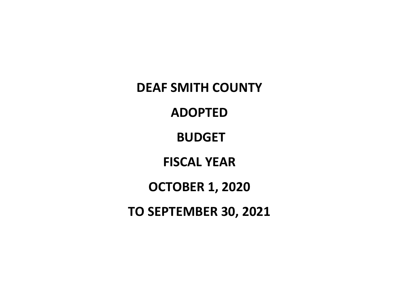**DEAF SMITH COUNTY ADOPTED BUDGET FISCAL YEAR OCTOBER 1, 2020 TO SEPTEMBER 30, 2021**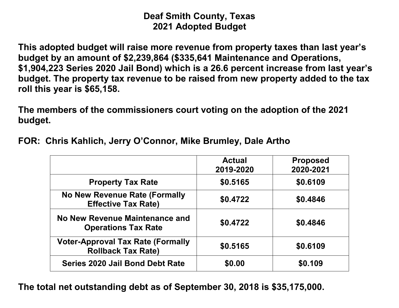# **Deaf Smith County, Texas 2021 Adopted Budget**

**This adopted budget will raise more revenue from property taxes than last year's budget by an amount of \$2,239,864 (\$335,641 Maintenance and Operations, \$1,904,223 Series 2020 Jail Bond) which is a 26.6 percent increase from last year's budget. The property tax revenue to be raised from new property added to the tax roll this year is \$65,158.**

**The members of the commissioners court voting on the adoption of the 2021 budget.**

|                                                                       | <b>Actual</b><br>2019-2020 | <b>Proposed</b><br>2020-2021 |
|-----------------------------------------------------------------------|----------------------------|------------------------------|
| <b>Property Tax Rate</b>                                              | \$0.5165                   | \$0.6109                     |
| No New Revenue Rate (Formally<br><b>Effective Tax Rate)</b>           | \$0.4722                   | \$0.4846                     |
| No New Revenue Maintenance and<br><b>Operations Tax Rate</b>          | \$0.4722                   | \$0.4846                     |
| <b>Voter-Approval Tax Rate (Formally</b><br><b>Rollback Tax Rate)</b> | \$0.5165                   | \$0.6109                     |
| Series 2020 Jail Bond Debt Rate                                       | \$0.00                     | \$0.109                      |

**FOR: Chris Kahlich, Jerry O'Connor, Mike Brumley, Dale Artho**

**The total net outstanding debt as of September 30, 2018 is \$35,175,000.**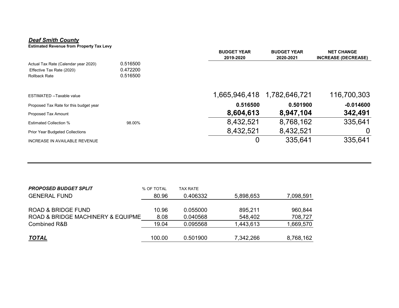#### *Deaf Smith County*

**Estimated Revenue from Property Tax Levy**

|                                                                                           |                                  | <b>BUDGET YEAR</b><br>2019-2020 | <b>BUDGET YEAR</b><br>2020-2021 | <b>NET CHANGE</b><br><b>INCREASE (DECREASE)</b> |
|-------------------------------------------------------------------------------------------|----------------------------------|---------------------------------|---------------------------------|-------------------------------------------------|
| Actual Tax Rate (Calendar year 2020)<br>Effective Tax Rate (2020)<br><b>Rollback Rate</b> | 0.516500<br>0.472200<br>0.516500 |                                 |                                 |                                                 |
| ESTIMATED --Taxable value                                                                 |                                  | 1,665,946,418                   | 1,782,646,721                   | 116,700,303                                     |
| Proposed Tax Rate for this budget year                                                    |                                  | 0.516500                        | 0.501900                        | $-0.014600$                                     |
| Proposed Tax Amount                                                                       |                                  | 8,604,613                       | 8,947,104                       | 342,491                                         |
| <b>Estimated Collection %</b>                                                             | 98.00%                           | 8,432,521                       | 8,768,162                       | 335,641                                         |
| <b>Prior Year Budgeted Collections</b>                                                    |                                  | 8,432,521                       | 8,432,521                       |                                                 |
| <b>INCREASE IN AVAILABLE REVENUE</b>                                                      |                                  | 0                               | 335,641                         | 335,641                                         |

| <b>PROPOSED BUDGET SPLIT</b>      | % OF TOTAL | TAX RATE |           |           |
|-----------------------------------|------------|----------|-----------|-----------|
| <b>GENERAL FUND</b>               | 80.96      | 0.406332 | 5,898,653 | 7,098,591 |
|                                   |            |          |           |           |
| <b>ROAD &amp; BRIDGE FUND</b>     | 10.96      | 0.055000 | 895,211   | 960,844   |
| ROAD & BRIDGE MACHINERY & EQUIPME | 8.08       | 0.040568 | 548,402   | 708,727   |
| <b>Combined R&amp;B</b>           | 19.04      | 0.095568 | 1,443,613 | 1,669,570 |
|                                   |            |          |           |           |
| <u>TOTAL</u>                      | 100.00     | 0.501900 | 7,342,266 | 8,768,162 |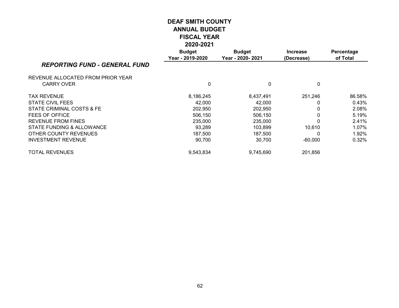|                                      | LULU-LUL I                        |                                    |                               |                        |
|--------------------------------------|-----------------------------------|------------------------------------|-------------------------------|------------------------|
|                                      | <b>Budget</b><br>Year - 2019-2020 | <b>Budget</b><br>Year - 2020- 2021 | <b>Increase</b><br>(Decrease) | Percentage<br>of Total |
| <b>REPORTING FUND - GENERAL FUND</b> |                                   |                                    |                               |                        |
| REVENUE ALLOCATED FROM PRIOR YEAR    |                                   |                                    |                               |                        |
| <b>CARRY OVER</b>                    | 0                                 | $\mathbf{0}$                       | 0                             |                        |
| <b>TAX REVENUE</b>                   | 8,186,245                         | 8,437,491                          | 251,246                       | 86.58%                 |
| <b>STATE CIVIL FEES</b>              | 42,000                            | 42,000                             |                               | 0.43%                  |
| STATE CRIMINAL COSTS & FE            | 202,950                           | 202,950                            |                               | 2.08%                  |
| FEES OF OFFICE                       | 506,150                           | 506,150                            |                               | 5.19%                  |
| <b>REVENUE FROM FINES</b>            | 235,000                           | 235,000                            |                               | 2.41%                  |
| STATE FUNDING & ALLOWANCE            | 93,289                            | 103,899                            | 10,610                        | 1.07%                  |
| OTHER COUNTY REVENUES                | 187,500                           | 187,500                            |                               | 1.92%                  |
| <b>INVESTMENT REVENUE</b>            | 90,700                            | 30,700                             | $-60,000$                     | 0.32%                  |
| <b>TOTAL REVENUES</b>                | 9,543,834                         | 9,745,690                          | 201,856                       |                        |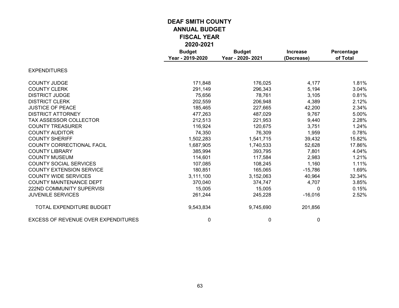|                                            | <b>Budget</b><br>Year - 2019-2020 | <b>Budget</b><br>Year - 2020-2021 | <b>Increase</b><br>(Decrease) | Percentage<br>of Total |
|--------------------------------------------|-----------------------------------|-----------------------------------|-------------------------------|------------------------|
| <b>EXPENDITURES</b>                        |                                   |                                   |                               |                        |
| <b>COUNTY JUDGE</b>                        | 171,848                           | 176,025                           | 4,177                         | 1.81%                  |
| <b>COUNTY CLERK</b>                        | 291,149                           | 296,343                           | 5,194                         | 3.04%                  |
| <b>DISTRICT JUDGE</b>                      | 75,656                            | 78,761                            | 3,105                         | 0.81%                  |
| <b>DISTRICT CLERK</b>                      | 202,559                           | 206,948                           | 4,389                         | 2.12%                  |
| <b>JUSTICE OF PEACE</b>                    | 185,465                           | 227,665                           | 42,200                        | 2.34%                  |
| <b>DISTRICT ATTORNEY</b>                   | 477,263                           | 487,029                           | 9,767                         | 5.00%                  |
| <b>TAX ASSESSOR COLLECTOR</b>              | 212,513                           | 221,953                           | 9,440                         | 2.28%                  |
| <b>COUNTY TREASURER</b>                    | 116,924                           | 120,675                           | 3,751                         | 1.24%                  |
| <b>COUNTY AUDITOR</b>                      | 74,350                            | 76,309                            | 1,959                         | 0.78%                  |
| <b>COUNTY SHERIFF</b>                      | 1,502,283                         | 1,541,715                         | 39,432                        | 15.82%                 |
| <b>COUNTY CORRECTIONAL FACIL</b>           | 1,687,905                         | 1,740,533                         | 52,628                        | 17.86%                 |
| <b>COUNTY LIBRARY</b>                      | 385,994                           | 393,795                           | 7,801                         | 4.04%                  |
| <b>COUNTY MUSEUM</b>                       | 114,601                           | 117,584                           | 2,983                         | 1.21%                  |
| <b>COUNTY SOCIAL SERVICES</b>              | 107,085                           | 108,245                           | 1,160                         | 1.11%                  |
| <b>COUNTY EXTENSION SERVICE</b>            | 180,851                           | 165,065                           | $-15,786$                     | 1.69%                  |
| <b>COUNTY WIDE SERVICES</b>                | 3,111,100                         | 3,152,063                         | 40,964                        | 32.34%                 |
| <b>COUNTY MAINTENANCE DEPT</b>             | 370,040                           | 374,747                           | 4,707                         | 3.85%                  |
| 222ND COMMUNITY SUPERVISI                  | 15,005                            | 15,005                            | $\Omega$                      | 0.15%                  |
| <b>JUVENILE SERVICES</b>                   | 261,244                           | 245,228                           | $-16,016$                     | 2.52%                  |
| TOTAL EXPENDITURE BUDGET                   | 9,543,834                         | 9,745,690                         | 201,856                       |                        |
| <b>EXCESS OF REVENUE OVER EXPENDITURES</b> | 0                                 | 0                                 | 0                             |                        |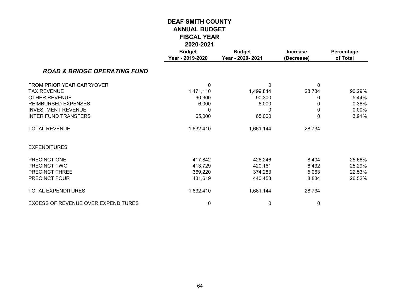|                                         | LVLV-LVL I                        |                                   |                               |                        |
|-----------------------------------------|-----------------------------------|-----------------------------------|-------------------------------|------------------------|
|                                         | <b>Budget</b><br>Year - 2019-2020 | <b>Budget</b><br>Year - 2020-2021 | <b>Increase</b><br>(Decrease) | Percentage<br>of Total |
| <b>ROAD &amp; BRIDGE OPERATING FUND</b> |                                   |                                   |                               |                        |
| FROM PRIOR YEAR CARRYOVER               | 0                                 | 0                                 | $\mathbf{0}$                  |                        |
| <b>TAX REVENUE</b>                      | 1,471,110                         | 1,499,844                         | 28,734                        | 90.29%                 |
| <b>OTHER REVENUE</b>                    | 90,300                            | 90,300                            | 0                             | 5.44%                  |
| <b>REIMBURSED EXPENSES</b>              | 6,000                             | 6,000                             | 0                             | 0.36%                  |
| <b>INVESTMENT REVENUE</b>               | 0                                 | 0                                 | 0                             | 0.00%                  |
| <b>INTER FUND TRANSFERS</b>             | 65,000                            | 65,000                            | 0                             | 3.91%                  |
| <b>TOTAL REVENUE</b>                    | 1,632,410                         | 1,661,144                         | 28,734                        |                        |
| <b>EXPENDITURES</b>                     |                                   |                                   |                               |                        |
| PRECINCT ONE                            | 417,842                           | 426,246                           | 8,404                         | 25.66%                 |
| PRECINCT TWO                            | 413,729                           | 420,161                           | 6,432                         | 25.29%                 |
| PRECINCT THREE                          | 369,220                           | 374,283                           | 5,063                         | 22.53%                 |
| PRECINCT FOUR                           | 431,619                           | 440,453                           | 8,834                         | 26.52%                 |
| <b>TOTAL EXPENDITURES</b>               | 1,632,410                         | 1,661,144                         | 28,734                        |                        |
| EXCESS OF REVENUE OVER EXPENDITURES     | 0                                 | 0                                 | 0                             |                        |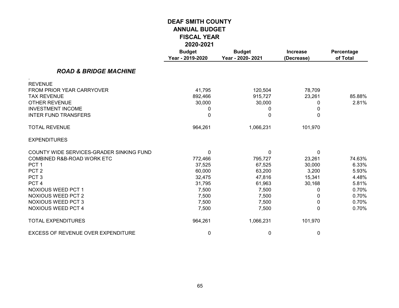|                                          | <b>Budget</b><br>Year - 2019-2020 | <b>Budget</b><br>Year - 2020-2021 | <b>Increase</b><br>(Decrease) | Percentage<br>of Total |
|------------------------------------------|-----------------------------------|-----------------------------------|-------------------------------|------------------------|
| <b>ROAD &amp; BRIDGE MACHINE</b>         |                                   |                                   |                               |                        |
| <b>REVENUE</b>                           |                                   |                                   |                               |                        |
| FROM PRIOR YEAR CARRYOVER                | 41,795                            | 120,504                           | 78,709                        |                        |
| <b>TAX REVENUE</b>                       | 892,466                           | 915,727                           | 23,261                        | 85.88%                 |
| <b>OTHER REVENUE</b>                     | 30,000                            | 30,000                            | 0                             | 2.81%                  |
| <b>INVESTMENT INCOME</b>                 | 0                                 | 0                                 | 0                             |                        |
| <b>INTER FUND TRANSFERS</b>              | 0                                 | 0                                 | 0                             |                        |
| <b>TOTAL REVENUE</b>                     | 964,261                           | 1,066,231                         | 101,970                       |                        |
| <b>EXPENDITURES</b>                      |                                   |                                   |                               |                        |
| COUNTY WIDE SERVICES-GRADER SINKING FUND | $\mathbf{0}$                      | $\mathbf{0}$                      | $\mathbf{0}$                  |                        |
| COMBINED R&B-ROAD WORK ETC               | 772,466                           | 795,727                           | 23,261                        | 74.63%                 |
| PCT <sub>1</sub>                         | 37,525                            | 67,525                            | 30,000                        | 6.33%                  |
| PCT <sub>2</sub>                         | 60,000                            | 63,200                            | 3,200                         | 5.93%                  |
| PCT <sub>3</sub>                         | 32,475                            | 47,816                            | 15,341                        | 4.48%                  |
| PCT <sub>4</sub>                         | 31,795                            | 61,963                            | 30,168                        | 5.81%                  |
| <b>NOXIOUS WEED PCT 1</b>                | 7,500                             | 7,500                             | 0                             | 0.70%                  |
| <b>NOXIOUS WEED PCT 2</b>                | 7,500                             | 7,500                             | 0                             | 0.70%                  |
| <b>NOXIOUS WEED PCT 3</b>                | 7,500                             | 7,500                             | 0                             | 0.70%                  |
| <b>NOXIOUS WEED PCT 4</b>                | 7,500                             | 7,500                             | 0                             | 0.70%                  |
| <b>TOTAL EXPENDITURES</b>                | 964,261                           | 1,066,231                         | 101,970                       |                        |
| EXCESS OF REVENUE OVER EXPENDITURE       | 0                                 | 0                                 | 0                             |                        |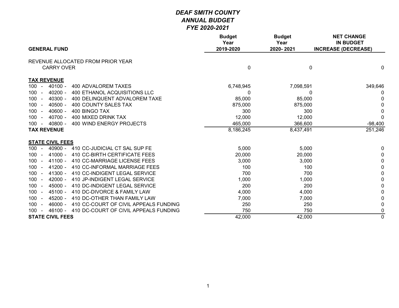|                                                                                  | <b>Budget</b><br>Year | <b>Budget</b><br>Year | <b>NET CHANGE</b><br><b>IN BUDGET</b> |
|----------------------------------------------------------------------------------|-----------------------|-----------------------|---------------------------------------|
| <b>GENERAL FUND</b>                                                              | 2019-2020             | 2020-2021             | <b>INCREASE (DECREASE)</b>            |
| REVENUE ALLOCATED FROM PRIOR YEAR                                                |                       |                       |                                       |
| <b>CARRY OVER</b>                                                                | 0                     | $\mathbf 0$           | 0                                     |
| <b>TAX REVENUE</b>                                                               |                       |                       |                                       |
| $40100 -$<br><b>400 ADVALOREM TAXES</b><br>100<br>$\sim$                         | 6,748,945             | 7,098,591             | 349,646                               |
| 400 ETHANOL ACQUISITIONS LLC<br>100<br>$40200 -$<br>$\sim$                       | 0                     | 0                     | 0                                     |
| $40300 -$<br>400 DELINQUENT ADVALOREM TAXE<br>100<br>$\sim$                      | 85,000                | 85,000                | <sup>0</sup>                          |
| $40500 -$<br>400 COUNTY SALES TAX<br>100<br>$\sim$                               | 875,000               | 875,000               | 0                                     |
| $40600 -$<br>400 BINGO TAX<br>100<br>$\sim$                                      | 300                   | 300                   | $\Omega$                              |
| $40700 -$<br>400 MIXED DRINK TAX<br>100<br>$\sim$                                | 12,000                | 12,000                | $\mathbf 0$                           |
| 400 WIND ENERGY PROJECTS<br>40800 -<br>100<br>$\sim$                             | 465,000               | 366,600               | $-98,400$                             |
| <b>TAX REVENUE</b>                                                               | 8,186,245             | 8,437,491             | 251,246                               |
| <b>STATE CIVIL FEES</b>                                                          |                       |                       |                                       |
| 100<br>$40900 -$<br>410 CC-JUDICIAL CT SAL SUP FE<br>$\sim$                      | 5,000                 | 5,000                 | 0                                     |
| $41000 -$<br>410 CC-BIRTH CERTIFICATE FEES<br>100<br>$\sim$                      | 20,000                | 20,000                | 0                                     |
| $41100 -$<br>410 CC-MARRIAGE LICENSE FEES<br>$100 -$                             | 3,000                 | 3,000                 | 0                                     |
| $41200 -$<br>100<br>410 CC-INFORMAL MARRIAGE FEES<br>$\sim$                      | 100                   | 100                   | 0                                     |
| $41300 -$<br>410 CC-INDIGENT LEGAL SERVICE<br>100<br>$\sim$                      | 700                   | 700                   | 0                                     |
| 100 <sub>1</sub><br>$42000 -$<br>410 JP-INDIGENT LEGAL SERVICE<br>$\sim$         | 1,000                 | 1,000                 | 0                                     |
| 100 <sub>1</sub><br>$45000 -$<br>410 DC-INDIGENT LEGAL SERVICE<br>$\overline{a}$ | 200                   | 200                   | $\mathbf{0}$                          |
| $45100 -$<br>410 DC-DIVORCE & FAMILY LAW<br>100 <sub>1</sub><br>$\blacksquare$   | 4,000                 | 4,000                 | 0                                     |
| $45200 -$<br>410 DC-OTHER THAN FAMILY LAW<br>100<br>$\sim$                       | 7,000                 | 7,000                 | 0                                     |
| $46000 -$<br>410 CC-COURT OF CIVIL APPEALS FUNDING<br>100<br>$\sim$              | 250                   | 250                   | 0                                     |
| 46100 - 410 DC-COURT OF CIVIL APPEALS FUNDING<br>100<br>$\sim$                   | 750                   | 750                   | 0                                     |
| <b>STATE CIVIL FEES</b>                                                          | 42,000                | 42,000                | $\overline{0}$                        |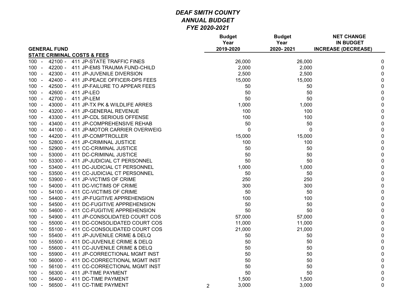|                                                       |                | <b>Budget</b><br>Year | <b>Budget</b><br>Year | <b>NET CHANGE</b><br><b>IN BUDGET</b> |             |
|-------------------------------------------------------|----------------|-----------------------|-----------------------|---------------------------------------|-------------|
| <b>GENERAL FUND</b>                                   |                | 2019-2020             | 2020-2021             | <b>INCREASE (DECREASE)</b>            |             |
| <b>STATE CRIMINAL COSTS &amp; FEES</b>                |                |                       |                       |                                       |             |
| 42100 -<br>411 JP-STATE TRAFFIC FINES<br>100 -        |                | 26,000                | 26,000                |                                       | 0           |
| 42200 -<br>411 JP-EMS TRAUMA FUND-CHILD<br>$100 -$    |                | 2,000                 | 2,000                 |                                       | 0           |
| 42300 - 411 JP-JUVENILE DIVERSION<br>$100 -$          |                | 2,500                 | 2,500                 |                                       | 0           |
| 42400 -<br>411 JP-PEACE OFFICER-DPS FEES<br>$100 -$   |                | 15,000                | 15,000                |                                       | 0           |
| $42500 -$<br>411 JP-FAILURE TO APPEAR FEES<br>100 -   |                | 50                    | 50                    |                                       | 0           |
| $42600 -$<br>100<br>411 JP-LEO                        |                | 50                    | 50                    |                                       | $\pmb{0}$   |
| 42700 -<br>$100 -$<br>411 JP-LEM                      |                | 50                    | 50                    |                                       | $\pmb{0}$   |
| $43000 -$<br>411 JP-TX PK & WILDLIFE ARRES<br>$100 -$ |                | 1,000                 | 1,000                 |                                       | $\pmb{0}$   |
| 43200 - 411 JP-GENERAL REVENUE<br>$100 -$             |                | 100                   | 100                   |                                       | $\pmb{0}$   |
| 43300 - 411 JP-CDL SERIOUS OFFENSE<br>$100 -$         |                | 100                   | 100                   |                                       | $\pmb{0}$   |
| 43400 -<br>411 JP-COMPREHENSIVE REHAB<br>$100 -$      |                | 50                    | 50                    |                                       | $\pmb{0}$   |
| 44100 -<br>$100 -$<br>411 JP-MOTOR CARRIER OVERWEIG   |                | $\mathbf 0$           | 0                     |                                       | $\pmb{0}$   |
| $100 -$<br>44200 -<br>411 JP-COMPTROLLER              |                | 15,000                | 15,000                |                                       | $\pmb{0}$   |
| $52800 -$<br>411 JP-CRIMINAL JUSTICE<br>$100 -$       |                | 100                   | 100                   |                                       | $\pmb{0}$   |
| $52900 -$<br>411 CC-CRIMINAL JUSTICE<br>$100 -$       |                | 50                    | 50                    |                                       | $\pmb{0}$   |
| $53000 -$<br>411 DC-CRIMINAL JUSTICE<br>$100 -$       |                | 50                    | 50                    |                                       | 0           |
| $53300 -$<br>$100 -$<br>411 JP-JUDICIAL CT PERSONNEL  |                | 50                    | 50                    |                                       | $\pmb{0}$   |
| 53400 -<br>$100 -$<br>411 DC-JUDICIAL CT PERSONNEL    |                | 1,000                 | 1,000                 |                                       | $\pmb{0}$   |
| 53500 -<br>411 CC-JUDICIAL CT PERSONNEL<br>$100 -$    |                | 50                    | 50                    |                                       | $\pmb{0}$   |
| 53900 - 411 JP-VICTIMS OF CRIME<br>$100 -$            |                | 250                   | 250                   |                                       | $\pmb{0}$   |
| 411 DC-VICTIMS OF CRIME<br>54000 -<br>$100 -$         |                | 300                   | 300                   |                                       | 0           |
| $54100 -$<br>411 CC-VICTIMS OF CRIME<br>$100 -$       |                | 50                    | 50                    |                                       | $\pmb{0}$   |
| 411 JP-FUGITIVE APPREHENSION<br>54400 -<br>$100 -$    |                | 100                   | 100                   |                                       | $\pmb{0}$   |
| 54500 -<br>411 DC-FUGITIVE APPREHENSION<br>$100 -$    |                | 50                    | 50                    |                                       | $\pmb{0}$   |
| 54600 -<br>411 CC-FUGITIVE APPREHENSION<br>$100 -$    |                | 50                    | 50                    |                                       | $\pmb{0}$   |
| 54900 -<br>411 JP-CONSOLIDATED COURT COS<br>$100 -$   |                | 57,000                | 57,000                |                                       | $\pmb{0}$   |
| 411 DC-CONSOLIDATED COURT COS<br>$100 -$<br>55000 -   |                | 11,000                | 11,000                |                                       | $\pmb{0}$   |
| $100 -$<br>$55100 -$<br>411 CC-CONSOLIDATED COURT COS |                | 21,000                | 21,000                |                                       | $\mathbf 0$ |
| $55400 -$<br>411 JP-JUVENILE CRIME & DELQ<br>$100 -$  |                | 50                    | 50                    |                                       | $\pmb{0}$   |
| $100 -$<br>$55500 -$<br>411 DC-JUVENILE CRIME & DELQ  |                | 50                    | 50                    |                                       | $\pmb{0}$   |
| 55600 - 411 CC-JUVENILE CRIME & DELQ<br>$100 -$       |                | 50                    | 50                    |                                       | $\pmb{0}$   |
| 55900 -<br>411 JP-CORRECTIONAL MGMT INST<br>$100 -$   |                | 50                    | 50                    |                                       | $\pmb{0}$   |
| 411 DC-CORRECTIONAL MGMT INST<br>$100 -$<br>56000 -   |                | 50                    | 50                    |                                       | $\pmb{0}$   |
| $56100 -$<br>411 CC-CORRECTIONAL MGMT INST<br>$100 -$ |                | 50                    | 50                    |                                       | $\pmb{0}$   |
| $100 -$<br>56300 -<br>411 JP-TIME PAYMENT             |                | 50                    | 50                    |                                       | $\pmb{0}$   |
| $56400 -$<br>411 DC-TIME PAYMENT<br>$100 -$           |                | 1,500                 | 1,500                 |                                       | $\pmb{0}$   |
| 411 CC-TIME PAYMENT<br>$100 -$<br>56500 -             | $\overline{2}$ | 3,000                 | 3,000                 |                                       | $\mathbf 0$ |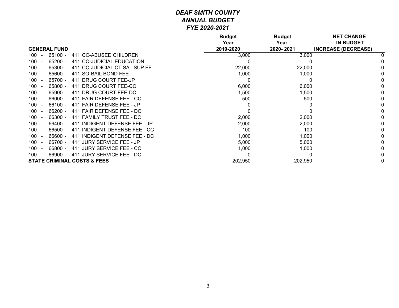|                       |                     |                                        | <b>Budget</b><br>Year | <b>Budget</b><br>Year | <b>NET CHANGE</b><br><b>IN BUDGET</b> |
|-----------------------|---------------------|----------------------------------------|-----------------------|-----------------------|---------------------------------------|
|                       | <b>GENERAL FUND</b> |                                        | 2019-2020             | 2020-2021             | <b>INCREASE (DECREASE)</b>            |
| 100                   | $65100 -$           | 411 CC-ABUSED CHILDREN                 | 3,000                 | 3,000                 |                                       |
| 100                   | 65200 -             | 411 CC-JUDICIAL EDUCATION              | 0                     |                       |                                       |
| 100                   | 65300 -             | 411 CC-JUDICIAL CT SAL SUP FE          | 22,000                | 22,000                |                                       |
| 100                   | $65600 -$           | 411 SO-BAIL BOND FEE                   | 1,000                 | 1,000                 |                                       |
| 100                   | 65700 -             | 411 DRUG COURT FEE-JP                  | 0                     | 0                     |                                       |
| 100                   | 65800 -             | 411 DRUG COURT FEE-CC                  | 6,000                 | 6,000                 |                                       |
| 100                   | $65900 -$           | 411 DRUG COURT FEE-DC                  | 1,500                 | 1,500                 |                                       |
| 100                   | 66000 -             | 411 FAIR DEFENSE FEE - CC              | 500                   | 500                   |                                       |
| 100                   | $66100 -$           | 411 FAIR DEFENSE FEE - JP              | 0                     |                       |                                       |
| 100                   | $66200 -$           | 411 FAIR DEFENSE FEE - DC              | 0                     |                       |                                       |
| 100                   | $66300 -$           | 411 FAMILY TRUST FEE - DC              | 2,000                 | 2,000                 |                                       |
| 100                   | 66400 -             | 411 INDIGENT DEFENSE FEE - JP          | 2,000                 | 2,000                 |                                       |
| 100                   | 66500 -             | 411 INDIGENT DEFENSE FEE - CC          | 100                   | 100                   |                                       |
| 100                   | 66600 -             | 411 INDIGENT DEFENSE FEE - DC          | 1,000                 | 1,000                 |                                       |
| 100                   | 66700 -             | 411 JURY SERVICE FEE - JP              | 5,000                 | 5,000                 |                                       |
| 100                   | 66800 -             | 411 JURY SERVICE FEE - CC              | 1,000                 | 1,000                 |                                       |
| 100<br>$\overline{a}$ | 66900 -             | 411 JURY SERVICE FEE - DC              | 0                     | 0                     |                                       |
|                       |                     | <b>STATE CRIMINAL COSTS &amp; FEES</b> | 202,950               | 202,950               |                                       |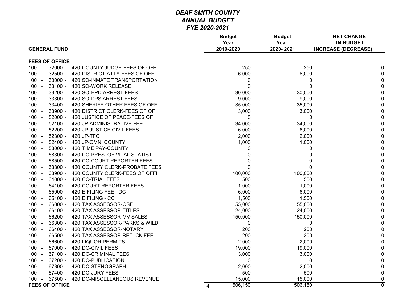|                       |                                            | <b>Budget</b><br>Year | <b>Budget</b><br>Year |              | <b>NET CHANGE</b><br><b>IN BUDGET</b> |
|-----------------------|--------------------------------------------|-----------------------|-----------------------|--------------|---------------------------------------|
| <b>GENERAL FUND</b>   |                                            | 2019-2020             | 2020-2021             |              | <b>INCREASE (DECREASE)</b>            |
| <b>FEES OF OFFICE</b> |                                            |                       |                       |              |                                       |
| $100 -$               | $32000 -$<br>420 COUNTY JUDGE-FEES OF OFFI |                       | 250                   | 250          | 0                                     |
| 100                   | 32500 -<br>420 DISTRICT ATTY-FEES OF OFF   |                       | 6,000                 | 6,000        | $\pmb{0}$                             |
| $100 -$               | 33000 -<br>420 SO-INMATE TRANSPORTATION    |                       | 0                     | 0            | $\pmb{0}$                             |
| $100 -$               | $33100 -$<br>420 SO-WORK RELEASE           |                       | $\mathbf 0$           | $\mathbf 0$  | $\pmb{0}$                             |
| $100 -$               | 33200 -<br>420 SO-HPD ARREST FEES          |                       | 30,000                | 30,000       | $\pmb{0}$                             |
| $100 -$               | 33300 -<br>420 SO-DPS ARREST FEES          |                       | 9,000                 | 9,000        | $\pmb{0}$                             |
| 100<br>$\sim$         | $33400 -$<br>420 SHERIFF-OTHER FEES OF OFF |                       | 35,000                | 35,000       | $\mathbf 0$                           |
| 100<br>$\sim$         | 33900 -<br>420 DISTRICT CLERK-FEES OF OF   |                       | 3,000                 | 3,000        | $\pmb{0}$                             |
| $100 -$               | $52000 -$<br>420 JUSTICE OF PEACE-FEES OF  |                       | 0                     | 0            | $\pmb{0}$                             |
| $100 -$               | 52100 - 420 JP-ADMINISTRATIVE FEE          |                       | 34,000                | 34,000       | $\pmb{0}$                             |
| $100 -$               | $52200 -$<br>420 JP-JUSTICE CIVIL FEES     |                       | 6,000                 | 6,000        | $\pmb{0}$                             |
| 100<br>$\sim$         | $52300 -$<br>420 JP-TFC                    |                       | 2,000                 | 2,000        | $\mathbf 0$                           |
| 100<br>$\sim$         | $52400 -$<br>420 JP-OMNI COUNTY            |                       | 1,000                 | 1,000        | $\pmb{0}$                             |
| $100 -$               | $58000 -$<br>420 TIME PAY-COUNTY           |                       | 0                     | 0            | $\pmb{0}$                             |
| $100 -$               | 58300 -<br>420 CC-PRES. OF VITAL STATIST   |                       | 0                     | $\mathbf 0$  | $\pmb{0}$                             |
| $100 -$               | $58500 -$<br>420 CC-COURT REPORTER FEES    |                       | $\mathbf 0$           | $\mathbf{0}$ | $\pmb{0}$                             |
| 100<br>$\sim$         | 63800 -<br>420 COUNTY CLERK-PROBATE FEES   |                       | $\mathbf 0$           | $\Omega$     | $\pmb{0}$                             |
| 100                   | 63900 -<br>420 COUNTY CLERK-FEES OF OFFI   |                       | 100,000               | 100,000      | $\pmb{0}$                             |
| $100 -$               | $64000 -$<br>420 CC-TRIAL FEES             |                       | 500                   | 500          | $\pmb{0}$                             |
| $100 -$               | $64100 -$<br>420 COURT REPORTER FEES       |                       | 1,000                 | 1,000        | $\pmb{0}$                             |
| $100 -$               | 65000 -<br>420 E FILING FEE - DC           |                       | 6,000                 | 6,000        | $\pmb{0}$                             |
| $100 -$               | 65100 -<br>420 E FILING - CC               |                       | 1,500                 | 1,500        | $\pmb{0}$                             |
| 100<br>$\sim$         | 66000 -<br>420 TAX ASSESSOR-OSF            |                       | 55,000                | 55,000       | $\mathbf 0$                           |
| 100<br>$\sim$         | $66100 -$<br>420 TAX ASSESSOR-TITLES       |                       | 24,000                | 24,000       | $\pmb{0}$                             |
| $100 -$               | $66200 -$<br>420 TAX ASSESSOR-MV SALES     |                       | 150,000               | 150,000      | $\pmb{0}$                             |
| $100 -$               | 66300 -<br>420 TAX ASSESSOR-PARKS & WILD   |                       | 0                     | 0            | $\pmb{0}$                             |
| $100 -$               | 66400 -<br>420 TAX ASSESSOR-NOTARY         |                       | 200                   | 200          | $\pmb{0}$                             |
| 100<br>$\sim$         | 66500 -<br>420 TAX ASSESSOR-RET. CK FEE    |                       | 200                   | 200          | $\pmb{0}$                             |
| 100                   | 66600 -<br><b>420 LIQUOR PERMITS</b>       |                       | 2,000                 | 2,000        | $\pmb{0}$                             |
| $100 -$               | 67000 -<br>420 DC-CIVIL FEES               |                       | 19,000                | 19,000       | $\pmb{0}$                             |
| $100 -$               | 67100 - 420 DC-CRIMINAL FEES               |                       | 3,000                 | 3,000        | $\pmb{0}$                             |
| 100<br>$\sim$         | 67200 -<br>420 DC-PUBLICATION              |                       | $\mathbf 0$           | 0            | $\pmb{0}$                             |
| $100 -$               | 67300 -<br>420 DC-STENOGRAPH               |                       | 2,000                 | 2,000        | $\pmb{0}$                             |
| 100<br>$\sim$         | 420 DC-JURY FEES<br>$67400 -$              |                       | 500                   | 500          | $\pmb{0}$                             |
| $100 -$               | 67500 -<br>420 DC-MISCELLANEOUS REVENUE    |                       | 15,000                | 15,000       | $\pmb{0}$                             |
| <b>FEES OF OFFICE</b> |                                            | $\overline{4}$        | 506,150               | 506,150      | $\overline{0}$                        |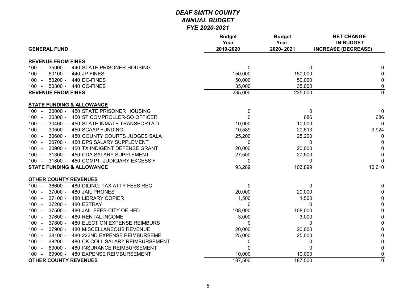| <b>GENERAL FUND</b>                                         | <b>Budget</b><br>Year<br>2019-2020 | <b>Budget</b><br>Year<br>2020-2021 | <b>NET CHANGE</b><br><b>IN BUDGET</b><br><b>INCREASE (DECREASE)</b> |
|-------------------------------------------------------------|------------------------------------|------------------------------------|---------------------------------------------------------------------|
|                                                             |                                    |                                    |                                                                     |
| <b>REVENUE FROM FINES</b>                                   |                                    |                                    |                                                                     |
| $35000 -$<br>$100 -$<br>440 STATE PRISONER HOUSING          | $\pmb{0}$                          | 0                                  | 0                                                                   |
| $50100 -$<br>440 JP-FINES<br>100<br>$\sim$                  | 150,000                            | 150,000                            | 0                                                                   |
| $50200 -$<br>440 DC-FINES<br>100<br>$\sim$                  | 50,000                             | 50,000                             | 0                                                                   |
| 50300 - 440 CC-FINES<br>$100 -$                             | 35,000                             | 35,000                             | $\pmb{0}$                                                           |
| <b>REVENUE FROM FINES</b>                                   | 235,000                            | 235,000                            | $\overline{0}$                                                      |
| <b>STATE FUNDING &amp; ALLOWANCE</b>                        |                                    |                                    |                                                                     |
| $30000 -$<br>450 STATE PRISONER HOUSING<br>100<br>$\sim$    | $\pmb{0}$                          | 0                                  | $\mathbf{0}$                                                        |
| $30300 -$<br>100<br>450 ST COMPROLLER-SO OFFICER            | $\mathbf 0$                        | 686                                | 686                                                                 |
| $30400 -$<br>100<br>450 STATE INMATE TRANSPORTATI           | 10,000                             | 10,000                             | $\mathbf 0$                                                         |
| $30500 -$<br>450 SCAAP FUNDING<br>100<br>$\sim$             | 10,589                             | 20,513                             | 9,924                                                               |
| $30600 -$<br>450 COUNTY COURTS JUDGES SALA<br>100<br>$\sim$ | 25,200                             | 25,200                             | 0                                                                   |
| $30700 -$<br>$100 -$<br>450 DPS SALARY SUPPLEMENT           | $\mathbf{0}$                       | 0                                  | $\mathbf{0}$                                                        |
| $30900 -$<br>$100 -$<br>450 TX INDIGENT DEFENSE GRANT       | 20,000                             | 20,000                             | 0                                                                   |
| $31300 -$<br>450 CDA SALARY SUPPLEMENT<br>$100 -$           | 27,500                             | 27,500                             | 0                                                                   |
| 31800 - 450 COMPT. JUDICIARY EXCESS F<br>$100 -$            | 0                                  | 0                                  | $\mathbf{0}$                                                        |
| <b>STATE FUNDING &amp; ALLOWANCE</b>                        | 93,289                             | 103,899                            | 10,610                                                              |
| <b>OTHER COUNTY REVENUES</b>                                |                                    |                                    |                                                                     |
| $36600 -$<br>$100 -$<br>480 DILINQ. TAX ATTY FEES REC       | 0                                  | 0                                  | 0                                                                   |
| $37000 -$<br>480 JAIL PHONES<br>100<br>$\sim$               | 20,000                             | 20,000                             | 0                                                                   |
| $37100 -$<br><b>480 LIBRARY COPIER</b><br>100<br>$\sim$     | 1,500                              | 1,500                              | 0                                                                   |
| $37200 -$<br>$100 -$<br>480 ESTRAY                          | $\mathbf{0}$                       | 0                                  | 0                                                                   |
| $37500 -$<br>100<br>480 JAIL FEES-CITY OF HFD<br>$\sim$     | 108,000                            | 108,000                            | $\pmb{0}$                                                           |
| 37600 -<br><b>480 RENTAL INCOME</b><br>$100 -$              | 3,000                              | 3,000                              | $\pmb{0}$                                                           |
| 37800 -<br>480 ELECTION EXPENSE REIMBURS<br>$100 -$         | 0                                  | 0                                  | $\pmb{0}$                                                           |
| 37900 -<br>480 MISCELLANEOUS REVENUE<br>$100 -$             | 20,000                             | 20,000                             | $\pmb{0}$                                                           |
| 38100 -<br>$100 -$<br>480 222ND EXPENSE REIMBURSEME         | 25,000                             | 25,000                             | $\boldsymbol{0}$                                                    |
| 38200 -<br>$100 -$<br>480 CK COLL SALARY REIMBURSEMENT      | 0                                  | 0                                  | $\boldsymbol{0}$                                                    |
| 69000 -<br>480 INSURANCE REIMBURSEMENT<br>$100 -$           | $\mathbf{0}$                       | $\Omega$                           | 0                                                                   |
| 69900 - 480 EXPENSE REIMBURSEMENT<br>$100 -$                | 10,000                             | 10,000                             | 0                                                                   |
| <b>OTHER COUNTY REVENUES</b>                                | 187,500                            | 187,500                            | $\overline{0}$                                                      |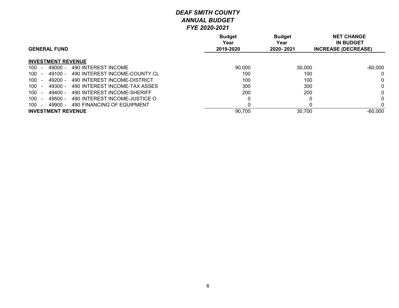|                                                        | <b>Budget</b><br>Year | <b>Budget</b><br>Year | <b>NET CHANGE</b><br><b>IN BUDGET</b> |
|--------------------------------------------------------|-----------------------|-----------------------|---------------------------------------|
| <b>GENERAL FUND</b>                                    | 2019-2020             | 2020-2021             | <b>INCREASE (DECREASE)</b>            |
| <b>INVESTMENT REVENUE</b>                              |                       |                       |                                       |
| 490 INTEREST INCOME<br>100<br>$49000 -$<br>$\sim$      | 90,000                | 30,000                | $-60,000$                             |
| 490 INTEREST INCOME-COUNTY CL<br>100<br>$49100 -$      | 100                   | 100                   | 0                                     |
| 490 INTEREST INCOME-DISTRICT<br>100<br>49200 -         | 100                   | 100                   | $\mathbf{0}$                          |
| 490 INTEREST INCOME-TAX ASSES<br>100<br>49300 -        | 300                   | 300                   |                                       |
| 490 INTEREST INCOME-SHERIFF<br>100<br>49400 -          | 200                   | 200                   |                                       |
| 490 INTEREST INCOME-JUSTICE O<br>100<br>49500 -        |                       |                       | $\Omega$                              |
| 100<br>490 FINANCING OF EQUIPMENT<br>49900 -<br>$\sim$ |                       |                       |                                       |
| <b>INVESTMENT REVENUE</b>                              | 90,700                | 30,700                | $-60,000$                             |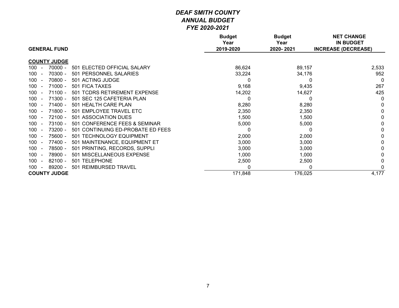|                                                     | <b>Budget</b><br>Year<br>2019-2020 | <b>Budget</b><br>Year | <b>NET CHANGE</b><br><b>IN BUDGET</b> |
|-----------------------------------------------------|------------------------------------|-----------------------|---------------------------------------|
| <b>GENERAL FUND</b>                                 |                                    | 2020-2021             | <b>INCREASE (DECREASE)</b>            |
| <b>COUNTY JUDGE</b>                                 |                                    |                       |                                       |
| $70000 -$<br>501 ELECTED OFFICIAL SALARY<br>$100 -$ | 86,624                             | 89,157                | 2,533                                 |
| 70300 -<br>501 PERSONNEL SALARIES<br>100            | 33,224                             | 34,176                | 952                                   |
| 70800 -<br>501 ACTING JUDGE<br>100                  | 0                                  | $\Omega$              | $\Omega$                              |
| $71000 -$<br>501 FICA TAXES<br>100                  | 9,168                              | 9,435                 | 267                                   |
| $71100 -$<br>501 TCDRS RETIREMENT EXPENSE<br>100    | 14,202                             | 14,627                | 425                                   |
| $71300 -$<br>501 SEC 125 CAFETERIA PLAN<br>100      | 0                                  | 0                     | 0                                     |
| $71400 -$<br>501 HEALTH CARE PLAN<br>100            | 8,280                              | 8,280                 | 0                                     |
| $71800 -$<br>501 EMPLOYEE TRAVEL ETC<br>100         | 2,350                              | 2,350                 | $\mathbf{0}$                          |
| 72100 -<br>501 ASSOCIATION DUES<br>100              | 1,500                              | 1,500                 | $\mathbf{0}$                          |
| 73100 -<br>501 CONFERENCE FEES & SEMINAR<br>100     | 5,000                              | 5,000                 | 0                                     |
| 73200 -<br>501 CONTINUING ED-PROBATE ED FEES<br>100 | 0                                  | 0                     | 0                                     |
| 75600 -<br>501 TECHNOLOGY EQUIPMENT<br>100          | 2,000                              | 2,000                 | 0                                     |
| 77400 -<br>100<br>501 MAINTENANCE, EQUIPMENT ET     | 3,000                              | 3,000                 | $\mathbf{0}$                          |
| 501 PRINTING, RECORDS, SUPPLI<br>78500 -<br>100     | 3,000                              | 3,000                 | 0                                     |
| 78900 -<br>501 MISCELLANEOUS EXPENSE<br>100         | 1,000                              | 1,000                 | 0                                     |
| $82100 -$<br><b>TELEPHONE</b><br>100<br>501         | 2,500                              | 2,500                 | 0                                     |
| 89200 -<br><b>REIMBURSED TRAVEL</b><br>100<br>501   | 0                                  | 0                     |                                       |
| <b>COUNTY JUDGE</b>                                 | 171,848                            | 176,025               | 4,177                                 |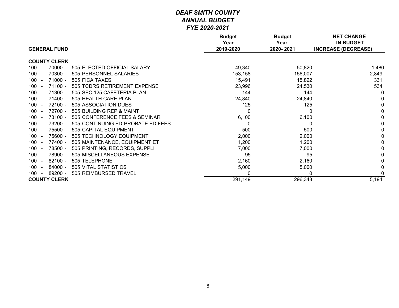| <b>GENERAL FUND</b>                                       | <b>Budget</b><br>Year<br>2019-2020 | <b>Budget</b><br>Year<br>2020-2021 | <b>NET CHANGE</b><br><b>IN BUDGET</b><br><b>INCREASE (DECREASE)</b> |
|-----------------------------------------------------------|------------------------------------|------------------------------------|---------------------------------------------------------------------|
|                                                           |                                    |                                    |                                                                     |
| <b>COUNTY CLERK</b>                                       |                                    |                                    |                                                                     |
| 100<br>$70000 -$<br>505 ELECTED OFFICIAL SALARY<br>$\sim$ | 49,340                             | 50,820                             | 1,480                                                               |
| 70300 -<br>100<br>505 PERSONNEL SALARIES                  | 153,158                            | 156,007                            | 2,849                                                               |
| 100<br>$71000 -$<br>505 FICA TAXES                        | 15,491                             | 15,822                             | 331                                                                 |
| $71100 -$<br>100<br>505 TCDRS RETIREMENT EXPENSE          | 23,996                             | 24,530                             | 534                                                                 |
| 71300 -<br>100<br>505 SEC 125 CAFETERIA PLAN              | 144                                | 144                                | 0                                                                   |
| $71400 -$<br>505 HEALTH CARE PLAN<br>100                  | 24,840                             | 24,840                             |                                                                     |
| 72100 -<br>100<br>505 ASSOCIATION DUES                    | 125                                | 125                                | $\Omega$                                                            |
| 72700 -<br>505 BUILDING REP & MAINT<br>100                | 0                                  |                                    | $\Omega$                                                            |
| 73100 -<br>505 CONFERENCE FEES & SEMINAR<br>100           | 6,100                              | 6,100                              |                                                                     |
| 73200 -<br>100<br>505 CONTINUING ED-PROBATE ED FEES       | 0                                  |                                    | 0                                                                   |
| 75500 -<br>100<br>505 CAPITAL EQUIPMENT                   | 500                                | 500                                | 0                                                                   |
| 100<br>75600 -<br>505 TECHNOLOGY EQUIPMENT                | 2,000                              | 2,000                              | 0                                                                   |
| 77400 -<br>505 MAINTENANCE, EQUIPMENT ET<br>100<br>$\sim$ | 1,200                              | 1,200                              | 0                                                                   |
| 100<br>78500 -<br>505 PRINTING, RECORDS, SUPPLI           | 7,000                              | 7,000                              | 0                                                                   |
| 78900 -<br>100<br>505 MISCELLANEOUS EXPENSE               | 95                                 | 95                                 |                                                                     |
| 100<br>$82100 -$<br>505 TELEPHONE                         | 2,160                              | 2,160                              |                                                                     |
| 84000 -<br>100<br>505 VITAL STATISTICS<br>$\sim$          | 5,000                              | 5,000                              |                                                                     |
| 89200 -<br>505 REIMBURSED TRAVEL<br>100                   | 0                                  | 0                                  | $\Omega$                                                            |
| <b>COUNTY CLERK</b>                                       | 291,149                            | 296,343                            | 5,194                                                               |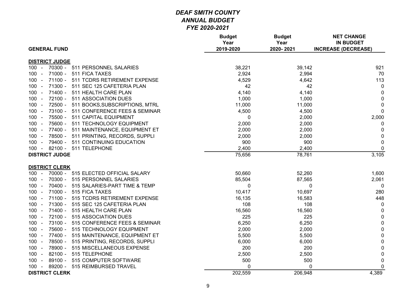| <b>GENERAL FUND</b>                                | <b>Budget</b><br>Year<br>2019-2020 | <b>Budget</b><br>Year<br>2020-2021 | <b>NET CHANGE</b><br><b>IN BUDGET</b><br><b>INCREASE (DECREASE)</b> |
|----------------------------------------------------|------------------------------------|------------------------------------|---------------------------------------------------------------------|
| <b>DISTRICT JUDGE</b>                              |                                    |                                    |                                                                     |
| $100 -$<br>70300 - 511 PERSONNEL SALARIES          | 38,221                             | 39,142                             | 921                                                                 |
| 71000 - 511 FICA TAXES<br>$100 -$                  | 2,924                              | 2,994                              | 70                                                                  |
| $100 -$<br>71100 -<br>511 TCDRS RETIREMENT EXPENSE | 4,529                              | 4,642                              | 113                                                                 |
| 71300 - 511 SEC 125 CAFETERIA PLAN<br>$100 -$      | 42                                 | 42                                 | $\mathbf 0$                                                         |
| 71400 -<br>$100 -$<br>511 HEALTH CARE PLAN         | 4,140                              | 4,140                              | $\mathbf 0$                                                         |
| 72100 - 511 ASSOCIATION DUES<br>$100 -$            | 1,000                              | 1,000                              | $\mathbf 0$                                                         |
| 72500 - 511 BOOKS, SUBSCRIPTIONS, MTRL<br>$100 -$  | 11,000                             | 11,000                             | $\mathbf 0$                                                         |
| 73100 - 511 CONFERENCE FEES & SEMINAR<br>$100 -$   | 4,500                              | 4,500                              | $\mathbf 0$                                                         |
| 75500 - 511 CAPITAL EQUIPMENT<br>$100 -$           | 0                                  | 2,000                              | 2,000                                                               |
| 75600 - 511 TECHNOLOGY EQUIPMENT<br>$100 -$        | 2,000                              | 2,000                              | $\mathbf 0$                                                         |
| 77400 - 511 MAINTENANCE, EQUIPMENT ET<br>$100 -$   | 2,000                              | 2,000                              | $\mathbf 0$                                                         |
| 78500 - 511 PRINTING, RECORDS, SUPPLI<br>$100 -$   | 2,000                              | 2,000                              | $\boldsymbol{0}$                                                    |
| 79400 - 511 CONTINUING EDUCATION<br>$100 -$        | 900                                | 900                                | $\mathbf 0$                                                         |
| 100 - 82100 - 511 TELEPHONE                        | 2,400                              | 2,400                              | $\mathbf 0$                                                         |
| <b>DISTRICT JUDGE</b>                              | 75,656                             | 78,761                             | 3,105                                                               |
|                                                    |                                    |                                    |                                                                     |
| <b>DISTRICT CLERK</b>                              |                                    |                                    |                                                                     |
| 70000 - 515 ELECTED OFFICIAL SALARY<br>$100 -$     | 50,660                             | 52,260                             | 1,600                                                               |
| 70300 -<br>515 PERSONNEL SALARIES<br>100<br>$\sim$ | 85,504                             | 87,565                             | 2,061                                                               |
| 70400 - 515 SALARIES-PART TIME & TEMP<br>$100 -$   | 0                                  | 0                                  | $\mathbf 0$                                                         |
| 71000 - 515 FICA TAXES<br>$100 -$                  | 10,417                             | 10,697                             | 280                                                                 |
| 71100 - 515 TCDRS RETIREMENT EXPENSE<br>$100 -$    | 16,135                             | 16,583                             | 448                                                                 |
| 71300 - 515 SEC 125 CAFETERIA PLAN<br>$100 -$      | 108                                | 108                                | $\overline{0}$                                                      |
| 71400 - 515 HEALTH CARE PLAN<br>$100 -$            | 16,560                             | 16,560                             | $\boldsymbol{0}$                                                    |
| 72100 - 515 ASSOCIATION DUES<br>$100 -$            | 225                                | 225                                | $\mathbf 0$                                                         |
| $100 -$<br>73100 - 515 CONFERENCE FEES & SEMINAR   | 6,250                              | 6,250                              | $\pmb{0}$                                                           |
| 75600 - 515 TECHNOLOGY EQUIPMENT<br>$100 -$        | 2,000                              | 2,000                              | $\pmb{0}$                                                           |
| 77400 - 515 MAINTENANCE, EQUIPMENT ET<br>$100 -$   | 5,500                              | 5,500                              | $\mathsf 0$                                                         |
| 78500 - 515 PRINTING, RECORDS, SUPPLI<br>$100 -$   | 6,000                              | 6,000                              | $\mathbf 0$                                                         |
| 78900 - 515 MISCELLANEOUS EXPENSE<br>$100 -$       | 200                                | 200                                | $\pmb{0}$                                                           |
| 82100 - 515 TELEPHONE<br>$100 -$                   | 2,500                              | 2,500                              | $\mathbf 0$                                                         |
| 89100 - 515 COMPUTER SOFTWARE<br>$100 -$           | 500                                | 500                                | $\pmb{0}$                                                           |
| 89200 - 515 REIMBURSED TRAVEL<br>$100 -$           | 0                                  | 0                                  | $\mathbf 0$                                                         |
| <b>DISTRICT CLERK</b>                              | 202,559                            | 206,948                            | 4,389                                                               |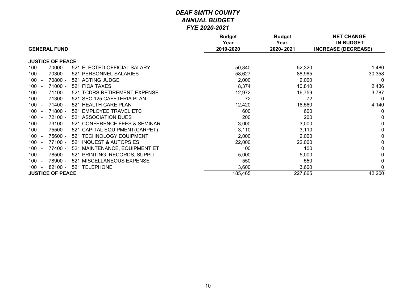| <b>GENERAL FUND</b>                                        | <b>Budget</b><br>Year<br>2019-2020 | <b>Budget</b><br>Year<br>2020-2021 | <b>NET CHANGE</b><br><b>IN BUDGET</b><br><b>INCREASE (DECREASE)</b> |
|------------------------------------------------------------|------------------------------------|------------------------------------|---------------------------------------------------------------------|
|                                                            |                                    |                                    |                                                                     |
| <b>JUSTICE OF PEACE</b>                                    |                                    |                                    |                                                                     |
| $70000 -$<br>$100 -$<br>521<br>ELECTED OFFICIAL SALARY     | 50,840                             | 52,320                             | 1,480                                                               |
| 70300 -<br>521 PERSONNEL SALARIES<br>100<br>$\sim$         | 58,627                             | 88,985                             | 30,358                                                              |
| 70800 -<br>100<br>521 ACTING JUDGE<br>$\sim$               | 2,000                              | 2,000                              | $\mathbf{0}$                                                        |
| 71000 -<br>521 FICA TAXES<br>100                           | 8,374                              | 10,810                             | 2,436                                                               |
| $71100 -$<br>521 TCDRS RETIREMENT EXPENSE<br>100<br>$\sim$ | 12,972                             | 16,759                             | 3,787                                                               |
| $71300 -$<br>100<br>521 SEC 125 CAFETERIA PLAN<br>$\sim$   | 72                                 | 72                                 | $\mathbf 0$                                                         |
| $71400 -$<br>100<br>521 HEALTH CARE PLAN<br>$\sim$         | 12,420                             | 16,560                             | 4,140                                                               |
| 71800 -<br>100<br>521 EMPLOYEE TRAVEL ETC<br>$\sim$        | 600                                | 600                                | $\mathbf{0}$                                                        |
| 72100 -<br>521 ASSOCIATION DUES<br>100                     | 200                                | 200                                | $\mathbf{0}$                                                        |
| 73100 -<br>521 CONFERENCE FEES & SEMINAR<br>100<br>$\sim$  | 3,000                              | 3,000                              | 0                                                                   |
| 100<br>75500 -<br>521 CAPITAL EQUIPMENT(CARPET)<br>$\sim$  | 3,110                              | 3,110                              | 0                                                                   |
| 75600 -<br>521 TECHNOLOGY EQUIPMENT<br>100<br>$\sim$       | 2,000                              | 2,000                              | 0                                                                   |
| 77100 -<br>521 INQUEST & AUTOPSIES<br>100<br>$\sim$        | 22,000                             | 22,000                             | 0                                                                   |
| 77400 -<br>521 MAINTENANCE, EQUIPMENT ET<br>100            | 100                                | 100                                | 0                                                                   |
| 521 PRINTING, RECORDS, SUPPLI<br>78500 -<br>100<br>$\sim$  | 5,000                              | 5,000                              | 0                                                                   |
| 78900 -<br>521 MISCELLANEOUS EXPENSE<br>100<br>$\sim$      | 550                                | 550                                | 0                                                                   |
| <b>TELEPHONE</b><br>$82100 -$<br>100<br>521<br>$\sim$      | 3,600                              | 3,600                              | $\mathbf{0}$                                                        |
| <b>JUSTICE OF PEACE</b>                                    | 185,465                            | 227,665                            | 42,200                                                              |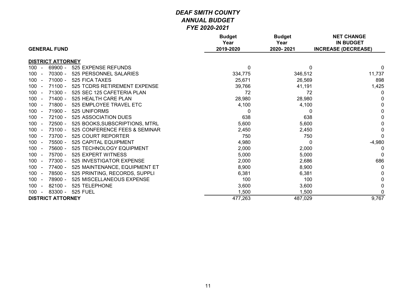| <b>GENERAL FUND</b>                                    | <b>Budget</b><br>Year<br>2019-2020 | <b>Budget</b><br>Year<br>2020-2021 | <b>NET CHANGE</b><br><b>IN BUDGET</b><br><b>INCREASE (DECREASE)</b> |
|--------------------------------------------------------|------------------------------------|------------------------------------|---------------------------------------------------------------------|
| <b>DISTRICT ATTORNEY</b>                               |                                    |                                    |                                                                     |
| 100<br>69900 -<br>525 EXPENSE REFUNDS<br>$\sim$        | 0                                  | $\Omega$                           | $\Omega$                                                            |
| 70300 -<br>525 PERSONNEL SALARIES<br>100<br>$\sim$     | 334,775                            | 346,512                            | 11,737                                                              |
| $71000 -$<br>525 FICA TAXES<br>$100 -$                 | 25,671                             | 26,569                             | 898                                                                 |
| $71100 -$<br>525 TCDRS RETIREMENT EXPENSE<br>100       | 39,766                             | 41,191                             | 1,425                                                               |
| 71300 -<br>100<br>525 SEC 125 CAFETERIA PLAN<br>$\sim$ | 72                                 | 72                                 | 0                                                                   |
| $71400 -$<br>$100 -$<br>525 HEALTH CARE PLAN           | 28,980                             | 28,980                             | 0                                                                   |
| $71800 -$<br>525 EMPLOYEE TRAVEL ETC<br>100            | 4,100                              | 4,100                              | $\Omega$                                                            |
| 71900 -<br>525 UNIFORMS<br>$100 -$                     | $\Omega$                           | $\Omega$                           | $\Omega$                                                            |
| $72100 -$<br>525 ASSOCIATION DUES<br>100<br>$\sim$     | 638                                | 638                                | $\mathbf{0}$                                                        |
| 72500 -<br>525 BOOKS, SUBSCRIPTIONS, MTRL<br>$100 -$   | 5,600                              | 5,600                              | 0                                                                   |
| 73100 -<br>100<br>525 CONFERENCE FEES & SEMINAR        | 2,450                              | 2,450                              | 0                                                                   |
| 73700 -<br>100<br>525 COURT REPORTER                   | 750                                | 750                                | $\Omega$                                                            |
| 75500 -<br>525 CAPITAL EQUIPMENT<br>100<br>$\sim$      | 4,980                              | $\Omega$                           | $-4,980$                                                            |
| 75600 -<br>525 TECHNOLOGY EQUIPMENT<br>$100 -$         | 2,000                              | 2,000                              | 0                                                                   |
| 75700 -<br>525 EXPERT WITNESS<br>100                   | 5,000                              | 5,000                              | $\Omega$                                                            |
| 77300 -<br>525 INVESTIGATOR EXPENSE<br>100             | 2,000                              | 2,686                              | 686                                                                 |
| 77400 -<br>$100 -$<br>525 MAINTENANCE, EQUIPMENT ET    | 8,900                              | 8,900                              | 0                                                                   |
| 78500 -<br>525 PRINTING, RECORDS, SUPPLI<br>$100 -$    | 6,381                              | 6,381                              |                                                                     |
| 78900 -<br>525 MISCELLANEOUS EXPENSE<br>$100 -$        | 100                                | 100                                | $\Omega$                                                            |
| $82100 -$<br>525 TELEPHONE<br>100                      | 3,600                              | 3,600                              | $\mathbf{0}$                                                        |
| 83300 -<br>525 FUEL<br>$100 -$                         | 1,500                              | 1,500                              | $\Omega$                                                            |
| <b>DISTRICT ATTORNEY</b>                               | 477,263                            | 487,029                            | 9,767                                                               |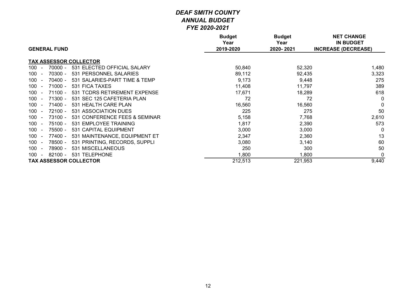| <b>GENERAL FUND</b>                               | <b>Budget</b><br>Year<br>2019-2020 | <b>Budget</b><br>Year<br>2020-2021 | <b>NET CHANGE</b><br><b>IN BUDGET</b><br><b>INCREASE (DECREASE)</b> |
|---------------------------------------------------|------------------------------------|------------------------------------|---------------------------------------------------------------------|
|                                                   |                                    |                                    |                                                                     |
| <b>TAX ASSESSOR COLLECTOR</b>                     |                                    |                                    |                                                                     |
| 531 ELECTED OFFICIAL SALARY<br>$70000 -$<br>100   | 50,840                             | 52,320                             | 1,480                                                               |
| 531 PERSONNEL SALARIES<br>100<br>70300 -          | 89,112                             | 92,435                             | 3,323                                                               |
| 100<br>$70400 -$<br>531 SALARIES-PART TIME & TEMP | 9,173                              | 9,448                              | 275                                                                 |
| $71000 -$<br>531 FICA TAXES<br>100                | 11,408                             | 11,797                             | 389                                                                 |
| $71100 -$<br>531 TCDRS RETIREMENT EXPENSE<br>100  | 17,671                             | 18,289                             | 618                                                                 |
| $71300 -$<br>531 SEC 125 CAFETERIA PLAN<br>100    | 72                                 | 72                                 | $\mathbf{0}$                                                        |
| $71400 -$<br>100<br>531 HEALTH CARE PLAN          | 16,560                             | 16,560                             | $\mathbf{0}$                                                        |
| 72100 -<br>531 ASSOCIATION DUES<br>100            | 225                                | 275                                | 50                                                                  |
| 73100 -<br>531 CONFERENCE FEES & SEMINAR<br>100   | 5,158                              | 7,768                              | 2,610                                                               |
| $75100 -$<br>531 EMPLOYEE TRAINING<br>100         | 1,817                              | 2,390                              | 573                                                                 |
| 75500 -<br>531 CAPITAL EQUIPMENT<br>100           | 3,000                              | 3,000                              | $\mathbf 0$                                                         |
| 77400 -<br>531 MAINTENANCE, EQUIPMENT ET<br>100   | 2,347                              | 2,360                              | 13                                                                  |
| 531 PRINTING, RECORDS, SUPPLI<br>78500 -<br>100   | 3,080                              | 3,140                              | 60                                                                  |
| 78900 -<br>531 MISCELLANEOUS<br>100               | 250                                | 300                                | 50                                                                  |
| 82100 -<br>531 TELEPHONE<br>100<br>$\sim$         | 1,800                              | 1,800                              | 0                                                                   |
| <b>TAX ASSESSOR COLLECTOR</b>                     | 212,513                            | 221,953                            | 9,440                                                               |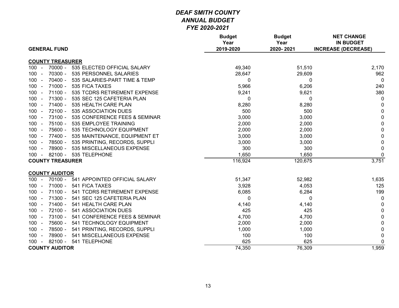| <b>GENERAL FUND</b>                                  | <b>Budget</b><br>Year<br>2019-2020 | <b>Budget</b><br>Year<br>2020-2021 | <b>NET CHANGE</b><br><b>IN BUDGET</b><br><b>INCREASE (DECREASE)</b> |
|------------------------------------------------------|------------------------------------|------------------------------------|---------------------------------------------------------------------|
|                                                      |                                    |                                    |                                                                     |
| <b>COUNTY TREASURER</b>                              |                                    |                                    |                                                                     |
| $70000 -$<br>$100 -$<br>535 ELECTED OFFICIAL SALARY  | 49,340                             | 51,510                             | 2,170                                                               |
| 70300 -<br>535 PERSONNEL SALARIES<br>$100 -$         | 28,647                             | 29,609                             | 962                                                                 |
| 70400 -<br>535 SALARIES-PART TIME & TEMP<br>$100 -$  | 0                                  | 0                                  | $\mathbf 0$                                                         |
| $71000 -$<br>535 FICA TAXES<br>$100 -$               | 5,966                              | 6,206                              | 240                                                                 |
| $71100 -$<br>535 TCDRS RETIREMENT EXPENSE<br>$100 -$ | 9,241                              | 9,621                              | 380                                                                 |
| 71300 -<br>535 SEC 125 CAFETERIA PLAN<br>$100 -$     | 0                                  | $\mathbf{0}$                       | $\mathbf 0$                                                         |
| 71400 -<br>535 HEALTH CARE PLAN<br>$100 -$           | 8,280                              | 8,280                              | 0                                                                   |
| 535 ASSOCIATION DUES<br>72100 -<br>$100 -$           | 500                                | 500                                | $\mathbf 0$                                                         |
| 73100 -<br>535 CONFERENCE FEES & SEMINAR<br>$100 -$  | 3,000                              | 3,000                              | $\mathbf 0$                                                         |
| $75100 -$<br>535 EMPLOYEE TRAINING<br>$100 -$        | 2,000                              | 2,000                              | $\pmb{0}$                                                           |
| 75600 -<br>$100 -$<br>535 TECHNOLOGY EQUIPMENT       | 2,000                              | 2,000                              | $\pmb{0}$                                                           |
| 77400 -<br>535 MAINTENANCE, EQUIPMENT ET<br>$100 -$  | 3,000                              | 3,000                              | $\pmb{0}$                                                           |
| 78500 -<br>535 PRINTING, RECORDS, SUPPLI<br>$100 -$  | 3,000                              | 3,000                              | $\pmb{0}$                                                           |
| 78900 - 535 MISCELLANEOUS EXPENSE<br>$100 -$         | 300                                | 300                                | $\mathbf 0$                                                         |
| 100 - 82100 - 535 TELEPHONE                          | 1,650                              | 1,650                              | $\mathbf 0$                                                         |
| <b>COUNTY TREASURER</b>                              | 116,924                            | 120,675                            | 3,751                                                               |
| <b>COUNTY AUDITOR</b>                                |                                    |                                    |                                                                     |
| 70100 -<br>541 APPOINTED OFFICIAL SALARY<br>$100 -$  | 51,347                             | 52,982                             | 1,635                                                               |
| 71000 -<br>541 FICA TAXES<br>$100 -$                 | 3,928                              | 4,053                              | 125                                                                 |
| 71100 -<br>541 TCDRS RETIREMENT EXPENSE<br>$100 -$   | 6,085                              | 6,284                              | 199                                                                 |
| 71300 -<br>$100 -$<br>541 SEC 125 CAFETERIA PLAN     | $\Omega$                           | $\mathbf{0}$                       | 0                                                                   |
| $100 -$<br>71400 -<br>541 HEALTH CARE PLAN           | 4,140                              | 4,140                              | $\mathbf 0$                                                         |
| 72100 -<br>$100 -$<br>541 ASSOCIATION DUES           | 425                                | 425                                | $\mathbf 0$                                                         |
| 73100 -<br>541 CONFERENCE FEES & SEMINAR<br>$100 -$  | 4,700                              | 4,700                              | $\mathsf 0$                                                         |
| 75600 -<br>541 TECHNOLOGY EQUIPMENT<br>$100 -$       | 2,000                              | 2,000                              | $\mathbf 0$                                                         |
| 78500 -<br>541 PRINTING, RECORDS, SUPPLI<br>$100 -$  | 1,000                              | 1,000                              | $\pmb{0}$                                                           |
| 78900 -<br>$100 -$<br>541 MISCELLANEOUS EXPENSE      | 100                                | 100                                | $\mathbf 0$                                                         |
| 82100 - 541 TELEPHONE<br>$100 -$                     | 625                                | 625                                | 0                                                                   |
| <b>COUNTY AUDITOR</b>                                | 74,350                             | 76,309                             | 1,959                                                               |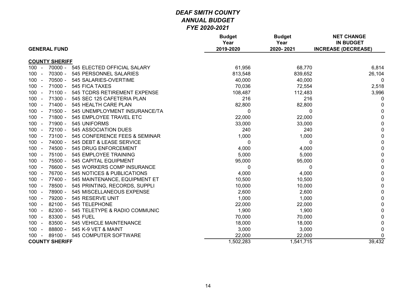| <b>GENERAL FUND</b>                                                    | <b>Budget</b><br>Year<br>2019-2020 | <b>Budget</b><br>Year<br>2020-2021 | <b>NET CHANGE</b><br><b>IN BUDGET</b><br><b>INCREASE (DECREASE)</b> |
|------------------------------------------------------------------------|------------------------------------|------------------------------------|---------------------------------------------------------------------|
| <b>COUNTY SHERIFF</b>                                                  |                                    |                                    |                                                                     |
| $70000 -$<br>545 ELECTED OFFICIAL SALARY<br>$100 -$                    | 61,956                             | 68,770                             | 6,814                                                               |
| 100<br>70300 -<br>545 PERSONNEL SALARIES                               | 813,548                            | 839,652                            | 26,104                                                              |
| $70500 -$<br>100 <sub>1</sub><br>545 SALARIES-OVERTIME<br>$\sim$       | 40,000                             | 40,000                             | 0                                                                   |
| $71000 -$<br>545 FICA TAXES<br>100 <sub>1</sub><br>$\sim$              | 70,036                             | 72,554                             | 2,518                                                               |
| $71100 -$<br>100<br>545 TCDRS RETIREMENT EXPENSE<br>$\sim$             | 108,487                            | 112,483                            | 3,996                                                               |
| $71300 -$<br>545 SEC 125 CAFETERIA PLAN<br>100<br>$\sim$               | 216                                | 216                                | 0                                                                   |
| 100<br>$71400 -$<br>545 HEALTH CARE PLAN<br>$\sim$                     | 82,800                             | 82,800                             | 0                                                                   |
| 100<br>$71500 -$<br>545 UNEMPLOYMENT INSURANCE/TA<br>$\sim$            | 0                                  | 0                                  | 0                                                                   |
| 71800 -<br>545 EMPLOYEE TRAVEL ETC<br>100                              | 22,000                             | 22,000                             | $\mathbf 0$                                                         |
| 71900 -<br>100 <sub>1</sub><br>545 UNIFORMS<br>$\blacksquare$          | 33,000                             | 33,000                             | 0                                                                   |
| 100 <sub>1</sub><br>$72100 -$<br>545 ASSOCIATION DUES<br>$\sim$        | 240                                | 240                                | 0                                                                   |
| 100 <sub>1</sub><br>73100 -<br>545 CONFERENCE FEES & SEMINAR<br>$\sim$ | 1,000                              | 1,000                              | 0                                                                   |
| 74000 -<br>$100 -$<br>545 DEBT & LEASE SERVICE                         | 0                                  | 0                                  | 0                                                                   |
| 74500 -<br>100<br>545 DRUG ENFORCEMENT<br>$\sim$                       | 4,000                              | 4,000                              | $\mathbf 0$                                                         |
| 75100 -<br>100 <sub>1</sub><br>545 EMPLOYEE TRAINING<br>$\sim$         | 5,000                              | 5,000                              | $\mathbf 0$                                                         |
| 75500 -<br>100<br>545 CAPITAL EQUIPMENT<br>$\sim$                      | 95,000                             | 95,000                             | $\mathbf 0$                                                         |
| 76600 -<br>100<br>545 WORKERS COMP INSURANCE<br>$\sim$                 | 0                                  | 0                                  | $\pmb{0}$                                                           |
| 100<br>76700 -<br>545 NOTICES & PUBLICATIONS<br>$\sim$                 | 4,000                              | 4,000                              | 0                                                                   |
| 77400 -<br>545 MAINTENANCE, EQUIPMENT ET<br>100<br>$\sim$              | 10,500                             | 10,500                             | $\mathbf 0$                                                         |
| 78500 -<br>545 PRINTING, RECORDS, SUPPLI<br>100                        | 10,000                             | 10,000                             | $\mathbf 0$                                                         |
| 78900 -<br>100<br>545 MISCELLANEOUS EXPENSE                            | 2,600                              | 2,600                              | $\mathbf 0$                                                         |
| 100<br>79200 -<br>545 RESERVE UNIT<br>$\sim$                           | 1,000                              | 1,000                              | 0                                                                   |
| 100<br>$82100 -$<br>545 TELEPHONE<br>$\sim$                            | 22,000                             | 22,000                             | 0                                                                   |
| $100 -$<br>$82300 -$<br>545 TELETYPE & RADIO COMMUNIC                  | 1,900                              | 1,900                              | 0                                                                   |
| 83300 -<br>100<br><b>545 FUEL</b><br>$\sim$                            | 70,000                             | 70,000                             | 0                                                                   |
| 83500 -<br>100<br>545 VEHICLE MAINTENANCE<br>$\sim$                    | 18,000                             | 18,000                             | 0                                                                   |
| 88800 -<br>545 K-9 VET & MAINT<br>100<br>$\sim$                        | 3,000                              | 3,000                              | 0                                                                   |
| 89100 -<br>545 COMPUTER SOFTWARE<br>100<br>$\sim$                      | 22,000                             | 22,000                             | 0                                                                   |
| <b>COUNTY SHERIFF</b>                                                  | 1,502,283                          | 1,541,715                          | 39,432                                                              |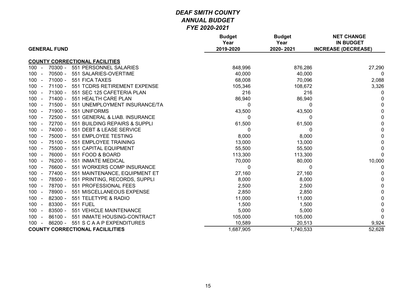| <b>GENERAL FUND</b>                                                    | <b>Budget</b><br>Year<br>2019-2020 | <b>Budget</b><br>Year<br>2020-2021 | <b>NET CHANGE</b><br><b>IN BUDGET</b><br><b>INCREASE (DECREASE)</b> |
|------------------------------------------------------------------------|------------------------------------|------------------------------------|---------------------------------------------------------------------|
| <b>COUNTY CORRECTIONAL FACILITIES</b>                                  |                                    |                                    |                                                                     |
| 551 PERSONNEL SALARIES<br>70300 -<br>$100 -$                           | 848,996                            | 876,286                            | 27,290                                                              |
| $70500 -$<br>551 SALARIES-OVERTIME<br>100                              | 40,000                             | 40,000                             | 0                                                                   |
| $71000 -$<br>551 FICA TAXES<br>100<br>$\blacksquare$                   | 68,008                             | 70,096                             | 2,088                                                               |
| $71100 -$<br>551 TCDRS RETIREMENT EXPENSE<br>100                       | 105,346                            | 108,672                            | 3,326                                                               |
| 71300 -<br>551 SEC 125 CAFETERIA PLAN<br>100                           | 216                                | 216                                | 0                                                                   |
| $71400 -$<br>551 HEALTH CARE PLAN<br>$100 -$                           | 86,940                             | 86,940                             | 0                                                                   |
| 71500 -<br>100 <sub>1</sub><br>551 UNEMPLOYMENT INSURANCE/TA<br>$\sim$ | 0                                  | 0                                  | 0                                                                   |
| 71900 -<br>100 <sub>1</sub><br>551 UNIFORMS<br>$\sim$                  | 43,500                             | 43,500                             | 0                                                                   |
| 72500 -<br>100<br>551 GENERAL & LIAB. INSURANCE<br>$\sim$              | 0                                  | 0                                  | 0                                                                   |
| 72700 -<br>551 BUILDING REPAIRS & SUPPLI<br>100                        | 61,500                             | 61,500                             | 0                                                                   |
| 74000 -<br>551 DEBT & LEASE SERVICE<br>100                             | 0                                  | $\Omega$                           | 0                                                                   |
| 75000 -<br>551 EMPLOYEE TESTING<br>$100 -$                             | 8,000                              | 8,000                              | 0                                                                   |
| 75100 -<br>551 EMPLOYEE TRAINING<br>100                                | 13,000                             | 13,000                             | $\mathbf{0}$                                                        |
| 75500 -<br>100<br>551 CAPITAL EQUIPMENT<br>$\sim$                      | 55,500                             | 55,500                             | 0                                                                   |
| 76000 -<br>551 FOOD & BOARD<br>$100 -$                                 | 113,300                            | 113,300                            | $\mathbf{0}$                                                        |
| 76200 -<br>551 INMATE MEDICAL<br>100                                   | 70,000                             | 80,000                             | 10,000                                                              |
| 76600 -<br>551 WORKERS COMP INSURANCE<br>100                           | 0                                  | 0                                  | 0                                                                   |
| 77400 -<br>551 MAINTENANCE, EQUIPMENT ET<br>$100 -$                    | 27,160                             | 27,160                             | 0                                                                   |
| 78500 -<br>551 PRINTING, RECORDS, SUPPLI<br>100                        | 8,000                              | 8,000                              | 0                                                                   |
| 78700 -<br>551 PROFESSIONAL FEES<br>100                                | 2,500                              | 2,500                              | 0                                                                   |
| 78900 -<br>551 MISCELLANEOUS EXPENSE<br>100<br>$\sim$                  | 2,850                              | 2,850                              | 0                                                                   |
| 82300 -<br>551 TELETYPE & RADIO<br>100                                 | 11,000                             | 11,000                             | 0                                                                   |
| 83300 -<br>100<br><b>551 FUEL</b>                                      | 1,500                              | 1,500                              | 0                                                                   |
| 83500 -<br>551 VEHICLE MAINTENANCE<br>100<br>$\blacksquare$            | 5,000                              | 5,000                              | 0                                                                   |
| $86100 -$<br>551 INMATE HOUSING-CONTRACT<br>100<br>$\sim$              | 105,000                            | 105,000                            | 0                                                                   |
| $86200 -$<br>551 S C A A P EXPENDITURES<br>100                         | 10,589                             | 20,513                             | 9,924                                                               |
| <b>COUNTY CORRECTIONAL FACILILITIES</b>                                | 1,687,905                          | 1,740,533                          | 52,628                                                              |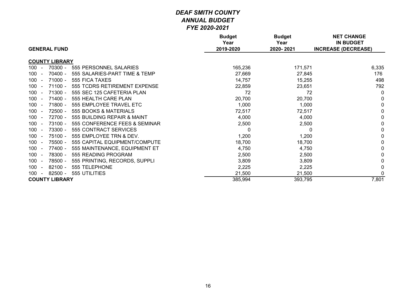|                                                                        | <b>Budget</b><br>Year | <b>Budget</b><br>Year | <b>NET CHANGE</b><br><b>IN BUDGET</b> |
|------------------------------------------------------------------------|-----------------------|-----------------------|---------------------------------------|
| <b>GENERAL FUND</b>                                                    | 2019-2020             | 2020-2021             | <b>INCREASE (DECREASE)</b>            |
| <b>COUNTY LIBRARY</b>                                                  |                       |                       |                                       |
| 70300 -<br>100<br>555 PERSONNEL SALARIES                               | 165,236               | 171,571               | 6,335                                 |
| 70400 -<br>555 SALARIES-PART TIME & TEMP<br>100                        | 27,669                | 27,845                | 176                                   |
| 100<br>$71000 -$<br>555 FICA TAXES                                     | 14,757                | 15,255                | 498                                   |
| $71100 -$<br>100<br>555 TCDRS RETIREMENT EXPENSE                       | 22,859                | 23,651                | 792                                   |
| 71300 -<br>555 SEC 125 CAFETERIA PLAN<br>100                           | 72                    | 72                    | $\Omega$                              |
| $71400 -$<br>555 HEALTH CARE PLAN<br>100                               | 20,700                | 20,700                | 0                                     |
| 71800 -<br>555 EMPLOYEE TRAVEL ETC<br>100                              | 1,000                 | 1,000                 | $\mathbf 0$                           |
| 100<br>72500 -<br>555 BOOKS & MATERIALS                                | 72,517                | 72,517                | 0                                     |
| 72700 -<br>555 BUILDING REPAIR & MAINT<br>100                          | 4,000                 | 4,000                 | 0                                     |
| 100<br>73100 -<br>555 CONFERENCE FEES & SEMINAR                        | 2,500                 | 2,500                 | 0                                     |
| 73300 -<br>555 CONTRACT SERVICES<br>100 <sub>1</sub>                   | 0                     | 0                     | 0                                     |
| 75100 -<br>100<br>555 EMPLOYEE TRN & DEV.                              | 1,200                 | 1,200                 | 0                                     |
| 75500 -<br>555 CAPITAL EQUIPMENT/COMPUTE<br>100 <sub>1</sub><br>$\sim$ | 18,700                | 18,700                | 0                                     |
| 77400 -<br>100<br>555 MAINTENANCE, EQUIPMENT ET                        | 4,750                 | 4,750                 | 0                                     |
| 100<br>78300 -<br>555 READING PROGRAM                                  | 2,500                 | 2,500                 |                                       |
| 78500 -<br>555 PRINTING, RECORDS, SUPPLI<br>100                        | 3,809                 | 3,809                 |                                       |
| $82100 -$<br>555 TELEPHONE<br>100                                      | 2,225                 | 2,225                 | $\Omega$                              |
| $82500 -$<br>100<br>555 UTILITIES                                      | 21,500                | 21,500                | $\Omega$                              |
| <b>COUNTY LIBRARY</b>                                                  | 385,994               | 393,795               | 7,801                                 |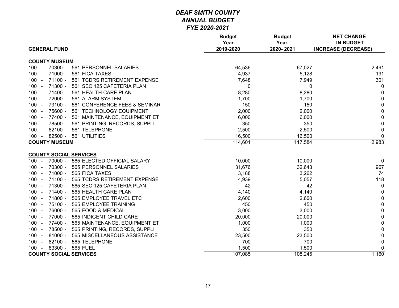| <b>GENERAL FUND</b>                                  | <b>Budget</b><br>Year<br>2019-2020 | <b>Budget</b><br>Year<br>2020-2021 | <b>NET CHANGE</b><br><b>IN BUDGET</b><br><b>INCREASE (DECREASE)</b> |
|------------------------------------------------------|------------------------------------|------------------------------------|---------------------------------------------------------------------|
|                                                      |                                    |                                    |                                                                     |
| <b>COUNTY MUSEUM</b>                                 |                                    |                                    |                                                                     |
| $100 -$<br>70300 -<br>561 PERSONNEL SALARIES         | 64,536                             | 67,027                             | 2,491                                                               |
| $71000 -$<br>561 FICA TAXES<br>$100 -$               | 4,937                              | 5,128                              | 191                                                                 |
| 71100 -<br>$100 -$<br>561 TCDRS RETIREMENT EXPENSE   | 7,648                              | 7,949                              | 301                                                                 |
| 71300 -<br>561 SEC 125 CAFETERIA PLAN<br>$100 -$     | 0                                  | 0                                  | 0                                                                   |
| 71400 -<br>561 HEALTH CARE PLAN<br>$100 -$           | 8,280                              | 8,280                              | $\mathbf 0$                                                         |
| $100 -$<br>72000 -<br>561 ALARM SYSTEM               | 1,700                              | 1,700                              | $\mathbf 0$                                                         |
| 73100 -<br>561 CONFERENCE FEES & SEMINAR<br>$100 -$  | 150                                | 150                                | $\mathsf 0$                                                         |
| 75600 -<br>$100 -$<br>561 TECHNOLOGY EQUIPMENT       | 2,000                              | 2,000                              | $\mathsf 0$                                                         |
| 77400 -<br>561 MAINTENANCE, EQUIPMENT ET<br>$100 -$  | 6,000                              | 6,000                              | $\pmb{0}$                                                           |
| 78500 -<br>561 PRINTING, RECORDS, SUPPLI<br>$100 -$  | 350                                | 350                                | $\pmb{0}$                                                           |
| $82100 -$<br>$100 -$<br>561 TELEPHONE                | 2,500                              | 2,500                              | $\mathbf 0$                                                         |
| 82500 -<br>561 UTILITIES<br>$100 -$                  | 16,500                             | 16,500                             | $\mathbf 0$                                                         |
| <b>COUNTY MUSEUM</b>                                 | 114,601                            | 117,584                            | 2,983                                                               |
|                                                      |                                    |                                    |                                                                     |
| <b>COUNTY SOCIAL SERVICES</b>                        |                                    |                                    |                                                                     |
| 565 ELECTED OFFICIAL SALARY<br>$100 -$<br>70000 -    | 10,000                             | 10,000                             | 0                                                                   |
| 70300 -<br>565 PERSONNEL SALARIES<br>$100 -$         | 31,676                             | 32,643                             | 967                                                                 |
| 71000 -<br>565 FICA TAXES<br>$100 -$                 | 3,188                              | 3,262                              | 74                                                                  |
| 71100 -<br>$100 -$<br>565 TCDRS RETIREMENT EXPENSE   | 4,939                              | 5,057                              | 118                                                                 |
| 71300 -<br>$100 -$<br>565 SEC 125 CAFETERIA PLAN     | 42                                 | 42                                 | $\overline{0}$                                                      |
| $71400 -$<br>565 HEALTH CARE PLAN<br>$100 -$         | 4,140                              | 4,140                              | $\mathbf 0$                                                         |
| 71800 -<br>565 EMPLOYEE TRAVEL ETC<br>$100 -$        | 2,600                              | 2,600                              | $\pmb{0}$                                                           |
| 75100 -<br>565 EMPLOYEE TRAINING<br>$100 -$          | 450                                | 450                                | $\mathbf 0$                                                         |
| 76000 -<br>565 FOOD & MEDICAL<br>$100 -$             | 3,000                              | 3,000                              | $\pmb{0}$                                                           |
| 77000 -<br>565 INDIGENT CHILD CARE<br>$100 -$        | 20,000                             | 20,000                             | $\pmb{0}$                                                           |
| 77400 -<br>565 MAINTENANCE, EQUIPMENT ET<br>$100 -$  | 1,000                              | 1,000                              | $\pmb{0}$                                                           |
| 78500 -<br>565 PRINTING, RECORDS, SUPPLI<br>$100 -$  | 350                                | 350                                | $\pmb{0}$                                                           |
| $81000 -$<br>$100 -$<br>565 MISCELLANEOUS ASSISTANCE | 23,500                             | 23,500                             | $\pmb{0}$                                                           |
| 82100 -<br>565 TELEPHONE<br>$100 -$                  | 700                                | 700                                | $\mathbf 0$                                                         |
| 83300 -<br><b>565 FUEL</b><br>$100 -$                | 1,500                              | 1,500                              | $\pmb{0}$                                                           |
| <b>COUNTY SOCIAL SERVICES</b>                        | 107,085                            | 108,245                            | 1,160                                                               |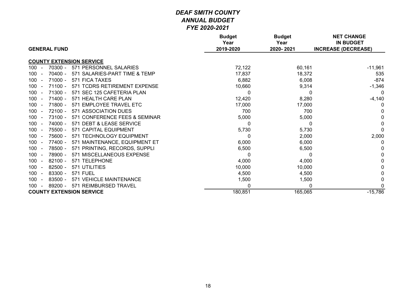| <b>GENERAL FUND</b>                                         | <b>Budget</b><br>Year<br>2019-2020 | <b>Budget</b><br>Year<br>2020-2021 | <b>NET CHANGE</b><br><b>IN BUDGET</b><br><b>INCREASE (DECREASE)</b> |
|-------------------------------------------------------------|------------------------------------|------------------------------------|---------------------------------------------------------------------|
| <b>COUNTY EXTENSION SERVICE</b>                             |                                    |                                    |                                                                     |
| 70300 -<br>571 PERSONNEL SALARIES<br>100                    | 72,122                             | 60,161                             | $-11,961$                                                           |
| 70400 -<br>571 SALARIES-PART TIME & TEMP<br>100             | 17,837                             | 18,372                             | 535                                                                 |
| $71000 -$<br>571 FICA TAXES<br>100                          | 6,882                              | 6,008                              | $-874$                                                              |
| $71100 -$<br>100<br>571 TCDRS RETIREMENT EXPENSE            | 10,660                             | 9,314                              | $-1,346$                                                            |
| $71300 -$<br>571 SEC 125 CAFETERIA PLAN<br>100              | 0                                  | 0                                  | 0                                                                   |
| $71400 -$<br>571 HEALTH CARE PLAN<br>100                    | 12,420                             | 8,280                              | $-4,140$                                                            |
| 71800 -<br>571 EMPLOYEE TRAVEL ETC<br>100                   | 17,000                             | 17,000                             | 0                                                                   |
| $72100 -$<br>571 ASSOCIATION DUES<br>100                    | 700                                | 700                                |                                                                     |
| $73100 -$<br>571 CONFERENCE FEES & SEMINAR<br>100           | 5,000                              | 5,000                              | $\Omega$                                                            |
| 100<br>74000 -<br>571 DEBT & LEASE SERVICE                  | 0                                  | 0                                  | $\mathbf{0}$                                                        |
| 75500 -<br>571 CAPITAL EQUIPMENT<br>100                     | 5,730                              | 5,730                              | $\Omega$                                                            |
| 75600 -<br>571 TECHNOLOGY EQUIPMENT<br>100                  | 0                                  | 2,000                              | 2,000                                                               |
| 77400 -<br>571 MAINTENANCE, EQUIPMENT ET<br>100             | 6,000                              | 6,000                              | 0                                                                   |
| 571 PRINTING, RECORDS, SUPPLI<br>78500 -<br>100             | 6,500                              | 6,500                              | 0                                                                   |
| 78900 -<br>571 MISCELLANEOUS EXPENSE<br>100                 | 0                                  | $\Omega$                           | $\Omega$                                                            |
| $82100 -$<br>571 TELEPHONE<br>100                           | 4,000                              | 4,000                              | 0                                                                   |
| $82500 -$<br>100<br>571 UTILITIES                           | 10,000                             |                                    |                                                                     |
| <b>571 FUEL</b><br>100                                      |                                    | 10,000                             |                                                                     |
| 83300 -                                                     | 4,500                              | 4,500                              | 0                                                                   |
| 83500 -<br>571 VEHICLE MAINTENANCE<br>100<br>$\blacksquare$ | 1,500                              | 1,500                              | 0                                                                   |
| 571 REIMBURSED TRAVEL<br>$89200 -$<br>100                   | ŋ                                  |                                    |                                                                     |
| <b>COUNTY EXTENSION SERVICE</b>                             | 180,851                            | 165,065                            | $-15,786$                                                           |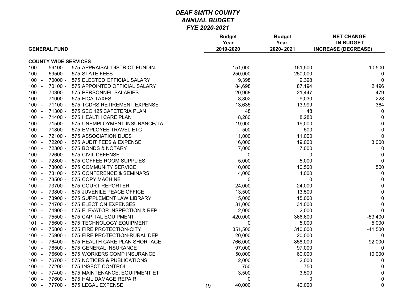|                            |                             |                               |    | <b>Budget</b><br>Year | <b>Budget</b><br>Year | <b>NET CHANGE</b><br><b>IN BUDGET</b> |
|----------------------------|-----------------------------|-------------------------------|----|-----------------------|-----------------------|---------------------------------------|
|                            | <b>GENERAL FUND</b>         |                               |    | 2019-2020             | 2020-2021             | <b>INCREASE (DECREASE)</b>            |
|                            | <b>COUNTY WIDE SERVICES</b> |                               |    |                       |                       |                                       |
| 100<br>$\sim$              | $59100 -$                   | 575 APPRAISAL DISTRICT FUNDIN |    | 151,000               | 161,500               | 10,500                                |
| 100<br>$\sim$              | 59500 -                     | 575 STATE FEES                |    | 250,000               | 250,000               | $\boldsymbol{0}$                      |
| $100 -$                    | $70000 -$                   | 575 ELECTED OFFICIAL SALARY   |    | 9,398                 | 9,398                 | $\mathbf 0$                           |
| 100<br>$\sim$              | $70100 -$                   | 575 APPOINTED OFFICIAL SALARY |    | 84,698                | 87,194                | 2,496                                 |
| $100 -$                    | 70300 -                     | 575 PERSONNEL SALARIES        |    | 20,968                | 21,447                | 479                                   |
| 100 <sub>1</sub><br>$\sim$ | $71000 -$                   | 575 FICA TAXES                |    | 8,802                 | 9,030                 | 228                                   |
| 100                        | $71100 -$                   | 575 TCDRS RETIREMENT EXPENSE  |    | 13,635                | 13,999                | 364                                   |
| $100 -$                    | $71300 -$                   | 575 SEC 125 CAFETERIA PLAN    |    | 48                    | 48                    | $\mathbf 0$                           |
| $100 -$                    | $71400 -$                   | 575 HEALTH CARE PLAN          |    | 8,280                 | 8,280                 | $\pmb{0}$                             |
| 100<br>$\sim$              | 71500 -                     | 575 UNEMPLOYMENT INSURANCE/TA |    | 19,000                | 19,000                | $\pmb{0}$                             |
| $100 -$                    | 71800 -                     | 575 EMPLOYEE TRAVEL ETC       |    | 500                   | 500                   | $\pmb{0}$                             |
| 100<br>$\sim$              | 72100 -                     | 575 ASSOCIATION DUES          |    | 11,000                | 11,000                | $\mathbf 0$                           |
| 100<br>$\sim$              | 72200 -                     | 575 AUDIT FEES & EXPENSE      |    | 16,000                | 19,000                | 3,000                                 |
| 100<br>$\sim$              | 72300 -                     | 575 BONDS & NOTARY            |    | 7,000                 | 7,000                 | $\boldsymbol{0}$                      |
| 100<br>$\sim$              | 72600 -                     | 575 CIVIL DEFENSE             |    | 0                     | $\mathbf{0}$          | $\pmb{0}$                             |
| $100 -$                    | 72800 -                     | 575 COFFEE ROOM SUPPLIES      |    | 5,000                 | 5,000                 | $\mathbf{0}$                          |
| 100<br>$\sim$              | 73000 -                     | 575 COMMUNITY SERVICE         |    | 10,000                | 10,500                | 500                                   |
| 100<br>$\sim$              | 73100 -                     | 575 CONFERENCE & SEMINARS     |    | 4,000                 | 4,000                 | 0                                     |
| $100 -$                    | 73500 -                     | 575 COPY MACHINE              |    | $\mathbf 0$           | $\mathbf 0$           | $\pmb{0}$                             |
| 100<br>$\sim$              | 73700 -                     | 575 COURT REPORTER            |    | 24,000                | 24,000                | $\pmb{0}$                             |
| $100 -$                    | 73800 -                     | 575 JUVENILE PEACE OFFICE     |    | 13,500                | 13,500                | $\pmb{0}$                             |
| 100<br>$\sim$              | 73900 -                     | 575 SUPPLEMENT LAW LIBRARY    |    | 15,000                | 15,000                | $\pmb{0}$                             |
| 100<br>$\sim$              | 74700 -                     | 575 ELECTION EXPENSES         |    | 31,000                | 31,000                | $\mathbf 0$                           |
| $100 -$                    | 74900 -                     | 575 ELEVATOR INSPECTION & REP |    | 2,000                 | 2,000                 | $\mathbf 0$                           |
| $100 -$                    | 75500 -                     | 575 CAPITAL EQUIPMENT         |    | 420,000               | 366,600               | $-53,400$                             |
| 101<br>$\sim$              | 75600 -                     | 575 TECHNOLOGY EQUIPMENT      |    | 0                     | 5,000                 | 5,000                                 |
| $100 -$                    | 75800 -                     | 575 FIRE PROTECTION-CITY      |    | 351,500               | 310,000               | $-41,500$                             |
| 100<br>$\sim$              | 75900 -                     | 575 FIRE PROTECTION-RURAL DEP |    | 20,000                | 20,000                | 0                                     |
| 100<br>$\sim$              | 76400 -                     | 575 HEALTH CARE PLAN SHORTAGE |    | 766,000               | 858,000               | 92,000                                |
| 100<br>$\sim$              | 76500 -                     | 575 GENERAL INSURANCE         |    | 97,000                | 97,000                | $\Omega$                              |
| 100<br>$\sim$              | 76600 -                     | 575 WORKERS COMP INSURANCE    |    | 50,000                | 60,000                | 10,000                                |
| 100<br>$\sim$              | 76700 -                     | 575 NOTICES & PUBLICATIONS    |    | 2,000                 | 2,000                 | 0                                     |
| 100<br>$\sim$              | 77200 -                     | 575 INSECT CONTROL            |    | 750                   | 750                   | 0                                     |
| 100 <sub>1</sub><br>$\sim$ | 77400 -                     | 575 MAINTENANCE, EQUIPMENT ET |    | 3,500                 | 3,500                 | 0                                     |
| $100 -$                    | 77600 -                     | 575 HAIL DAMAGE REPAIR        |    | 0                     | 0                     | $\pmb{0}$                             |
| $100 -$                    | 77700 -                     | 575 LEGAL EXPENSE             | 19 | 40,000                | 40,000                | $\mathbf 0$                           |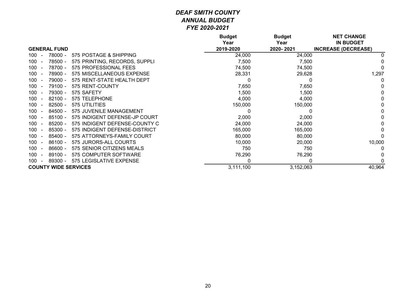|                     |                                            | <b>Budget</b><br>Year | <b>Budget</b><br>Year | <b>NET CHANGE</b><br><b>IN BUDGET</b> |
|---------------------|--------------------------------------------|-----------------------|-----------------------|---------------------------------------|
| <b>GENERAL FUND</b> |                                            | 2019-2020             | 2020-2021             | <b>INCREASE (DECREASE)</b>            |
| 100                 | 78000 -<br>575 POSTAGE & SHIPPING          | 24,000                | 24,000                |                                       |
| 100                 | 78500 -<br>575 PRINTING, RECORDS, SUPPLI   | 7,500                 | 7,500                 |                                       |
| 100                 | 78700 -<br>575 PROFESSIONAL FEES           | 74,500                | 74,500                |                                       |
| 100                 | 78900 -<br>575 MISCELLANEOUS EXPENSE       | 28,331                | 29,628                | 1,297                                 |
| 100                 | 79000 -<br>575 RENT-STATE HEALTH DEPT      | 0                     |                       | 0                                     |
| 100                 | 79100 -<br>575 RENT-COUNTY                 | 7,650                 | 7,650                 |                                       |
| 100                 | 79300 -<br>575 SAFETY                      | 1,500                 | 1,500                 |                                       |
| 100                 | $82100 -$<br>575 TELEPHONE                 | 4,000                 | 4,000                 |                                       |
| 100                 | $82500 -$<br>575 UTILITIES                 | 150,000               | 150,000               |                                       |
| 100                 | 84500 -<br>575 JUVENILE MANAGEMENT         |                       |                       | 0                                     |
| 100                 | $85100 -$<br>575 INDIGENT DEFENSE-JP COURT | 2,000                 | 2,000                 |                                       |
| 100                 | $85200 -$<br>575 INDIGENT DEFENSE-COUNTY C | 24,000                | 24,000                |                                       |
| 100                 | $85300 -$<br>575 INDIGENT DEFENSE-DISTRICT | 165,000               | 165,000               |                                       |
| 100                 | $85400 -$<br>575 ATTORNEYS-FAMILY COURT    | 80,000                | 80,000                |                                       |
| 100                 | $86100 -$<br>575 JURORS-ALL COURTS         | 10,000                | 20,000                | 10,000                                |
| 100                 | $86600 -$<br>575 SENIOR CITIZENS MEALS     | 750                   | 750                   |                                       |
| 100                 | $89100 -$<br>575 COMPUTER SOFTWARE         | 76,290                | 76,290                |                                       |
| 100                 | 575 LEGISLATIVE EXPENSE<br>$89300 -$       | 0                     | 0                     |                                       |
|                     | <b>COUNTY WIDE SERVICES</b>                | 3,111,100             | 3,152,063             | 40,964                                |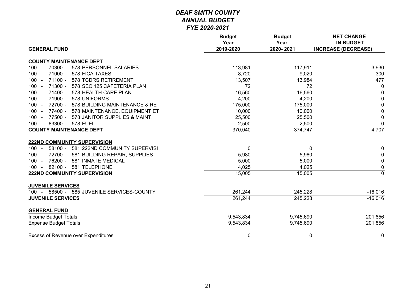| <b>GENERAL FUND</b>                                                    | <b>Budget</b><br>Year<br>2019-2020 | <b>Budget</b><br>Year<br>2020-2021 | <b>NET CHANGE</b><br><b>IN BUDGET</b><br><b>INCREASE (DECREASE)</b> |
|------------------------------------------------------------------------|------------------------------------|------------------------------------|---------------------------------------------------------------------|
|                                                                        |                                    |                                    |                                                                     |
| <b>COUNTY MAINTENANCE DEPT</b>                                         |                                    |                                    |                                                                     |
| 70300 -<br>578 PERSONNEL SALARIES<br>$100 -$                           | 113,981                            | 117,911                            | 3,930                                                               |
| 71000 -<br>578 FICA TAXES<br>100<br>$\sim$                             | 8,720                              | 9,020                              | 300                                                                 |
| $71100 -$<br>578 TCDRS RETIREMENT<br>100                               | 13,507                             | 13,984                             | 477                                                                 |
| 71300 -<br>578 SEC 125 CAFETERIA PLAN<br>100<br>$\sim$                 | 72                                 | 72                                 | $\mathbf 0$                                                         |
| 71400 - 578 HEALTH CARE PLAN<br>$100 -$                                | 16,560                             | 16,560                             | $\mathbf 0$                                                         |
| 71900 -<br>578 UNIFORMS<br>$100 -$                                     | 4,200                              | 4,200                              | $\pmb{0}$                                                           |
| 72700 -<br>578 BUILDING MAINTENANCE & RE<br>100 <sub>1</sub><br>$\sim$ | 175,000                            | 175,000                            | $\pmb{0}$                                                           |
| 77400 - 578 MAINTENANCE, EQUIPMENT ET<br>100<br>$\sim$                 | 10,000                             | 10,000                             | $\pmb{0}$                                                           |
| 77500 -<br>578 JANITOR SUPPLIES & MAINT.<br>100<br>$\sim$              | 25,500                             | 25,500                             | $\mathbf 0$                                                         |
| 83300 - 578 FUEL<br>$100 -$                                            | 2,500                              | 2,500                              | $\overline{0}$                                                      |
| <b>COUNTY MAINTENANCE DEPT</b>                                         | 370,040                            | 374,747                            | 4,707                                                               |
| <b>222ND COMMUNITY SUPERVISION</b>                                     |                                    |                                    |                                                                     |
| 58100 - 581 222ND COMMUNITY SUPERVISI<br>$100 -$                       | $\pmb{0}$                          | $\mathbf{0}$                       | $\mathbf 0$                                                         |
| 72700 -<br>581 BUILDING REPAIR, SUPPLIES<br>100<br>$\blacksquare$      | 5,980                              | 5,980                              | $\mathbf 0$                                                         |
| 76200 -<br>581 INMATE MEDICAL<br>100<br>$\blacksquare$                 | 5,000                              | 5,000                              | $\mathbf 0$                                                         |
| 82100 -<br>581 TELEPHONE<br>$100 -$                                    | 4,025                              | 4,025                              | $\pmb{0}$                                                           |
| <b>222ND COMMUNITY SUPERVISION</b>                                     | 15,005                             | 15,005                             | $\overline{0}$                                                      |
| <b>JUVENILE SERVICES</b>                                               |                                    |                                    |                                                                     |
| 100 - 58500 - 585 JUVENILE SERVICES-COUNTY                             | 261,244                            | 245,228                            | $-16,016$                                                           |
| <b>JUVENILE SERVICES</b>                                               | 261,244                            | 245,228                            | $-16,016$                                                           |
| <b>GENERAL FUND</b>                                                    |                                    |                                    |                                                                     |
| Income Budget Totals                                                   | 9,543,834                          | 9,745,690                          | 201,856                                                             |
| <b>Expense Budget Totals</b>                                           | 9,543,834                          | 9,745,690                          | 201,856                                                             |
| <b>Excess of Revenue over Expenditures</b>                             | 0                                  | $\mathbf 0$                        | $\mathbf 0$                                                         |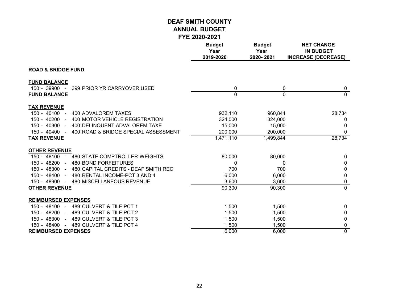|                                                                       | <b>Budget</b><br>Year<br>2019-2020 | <b>Budget</b><br>Year<br>2020-2021 | <b>NET CHANGE</b><br><b>IN BUDGET</b><br><b>INCREASE (DECREASE)</b> |
|-----------------------------------------------------------------------|------------------------------------|------------------------------------|---------------------------------------------------------------------|
| <b>ROAD &amp; BRIDGE FUND</b>                                         |                                    |                                    |                                                                     |
| <b>FUND BALANCE</b><br>$150 - 39900 -$<br>399 PRIOR YR CARRYOVER USED | 0                                  | 0                                  | 0                                                                   |
| <b>FUND BALANCE</b>                                                   | 0                                  | $\mathbf{0}$                       | $\mathbf{0}$                                                        |
| <b>TAX REVENUE</b>                                                    |                                    |                                    |                                                                     |
| $150 - 40100 -$<br><b>400 ADVALOREM TAXES</b>                         | 932,110                            | 960,844                            | 28,734                                                              |
| $150 - 40200 -$<br>400 MOTOR VEHICLE REGISTRATION                     | 324,000                            | 324,000                            | 0                                                                   |
| 400 DELINQUENT ADVALOREM TAXE<br>150 - 40300 -                        | 15,000                             | 15,000                             | 0                                                                   |
| 400 ROAD & BRIDGE SPECIAL ASSESSMENT<br>150 - 40400 -                 | 200,000                            | 200,000                            | 0                                                                   |
| <b>TAX REVENUE</b>                                                    | 1,471,110                          | 1,499,844                          | 28,734                                                              |
| <b>OTHER REVENUE</b>                                                  |                                    |                                    |                                                                     |
| 150 - 48100 - 480 STATE COMPTROLLER-WEIGHTS                           | 80,000                             | 80,000                             | 0                                                                   |
| 150 - 48200 -<br><b>480 BOND FORFEITURES</b>                          | 0                                  | 0                                  | 0                                                                   |
| 150 - 48300 -<br>480 CAPITAL CREDITS - DEAF SMITH REC                 | 700                                | 700                                | 0                                                                   |
| 150 - 48400 -<br>480 RENTAL INCOME-PCT 3 AND 4                        | 6,000                              | 6,000                              | $\mathbf 0$                                                         |
| 480 MISCELLANEOUS REVENUE<br>150 - 48900 -                            | 3,600                              | 3,600                              | 0                                                                   |
| <b>OTHER REVENUE</b>                                                  | 90,300                             | 90,300                             | $\overline{0}$                                                      |
| <b>REIMBURSED EXPENSES</b>                                            |                                    |                                    |                                                                     |
| 150 - 48100 - 489 CULVERT & TILE PCT 1                                | 1,500                              | 1,500                              | 0                                                                   |
| 489 CULVERT & TILE PCT 2<br>150 - 48200 -                             | 1,500                              | 1,500                              | 0                                                                   |
| 150 - 48300 - 489 CULVERT & TILE PCT 3                                | 1,500                              | 1,500                              | 0                                                                   |
| 489 CULVERT & TILE PCT 4<br>150 - 48400 -                             | 1,500                              | 1,500                              | 0                                                                   |
| <b>REIMBURSED EXPENSES</b>                                            | 6,000                              | 6,000                              | $\overline{0}$                                                      |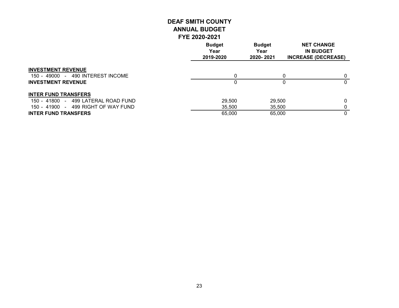|                                     | <b>Budget</b><br>Year<br>2019-2020 | <b>Budget</b><br>Year<br>2020-2021 | <b>NET CHANGE</b><br><b>IN BUDGET</b><br><b>INCREASE (DECREASE)</b> |
|-------------------------------------|------------------------------------|------------------------------------|---------------------------------------------------------------------|
| <b>INVESTMENT REVENUE</b>           |                                    |                                    |                                                                     |
| 150 - 49000 - 490 INTEREST INCOME   | 0                                  |                                    | $\Omega$                                                            |
| <b>INVESTMENT REVENUE</b>           |                                    |                                    | 0                                                                   |
| <b>INTER FUND TRANSFERS</b>         |                                    |                                    |                                                                     |
| 150 - 41800 - 499 LATERAL ROAD FUND | 29,500                             | 29,500                             | 0                                                                   |
| 150 - 41900 - 499 RIGHT OF WAY FUND | 35,500                             | 35,500                             |                                                                     |
| <b>INTER FUND TRANSFERS</b>         | 65,000                             | 65,000                             | 0                                                                   |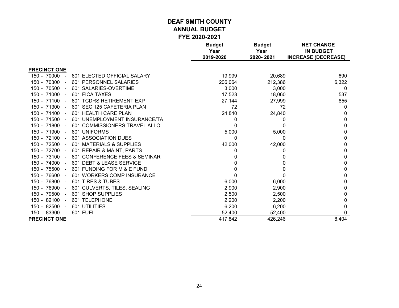|                              |                               | <b>Budget</b>     | <b>Budget</b>     | <b>NET CHANGE</b>                              |
|------------------------------|-------------------------------|-------------------|-------------------|------------------------------------------------|
|                              |                               | Year<br>2019-2020 | Year<br>2020-2021 | <b>IN BUDGET</b><br><b>INCREASE (DECREASE)</b> |
|                              |                               |                   |                   |                                                |
| <b>PRECINCT ONE</b>          |                               |                   |                   |                                                |
| 150 - 70000<br>$\sim$ $-$    | 601 ELECTED OFFICIAL SALARY   | 19,999            | 20,689            | 690                                            |
| 150 - 70300<br>$\sim$        | 601 PERSONNEL SALARIES        | 206,064           | 212,386           | 6,322                                          |
| 150 - 70500<br>$\sim$        | 601 SALARIES-OVERTIME         | 3,000             | 3,000             | $\Omega$                                       |
| 150 - 71000 -                | 601 FICA TAXES                | 17,523            | 18,060            | 537                                            |
| $150 - 71100 -$              | 601 TCDRS RETIREMENT EXP      | 27,144            | 27,999            | 855                                            |
| $150 - 71300 -$              | 601 SEC 125 CAFETERIA PLAN    | 72                | 72                | 0                                              |
| $150 - 71400 -$              | 601 HEALTH CARE PLAN          | 24,840            | 24,840            | 0                                              |
| 150 - 71500<br>$\sim$        | 601 UNEMPLOYMENT INSURANCE/TA | 0                 | 0                 | 0                                              |
| $150 - 71800 -$              | 601 COMMISSIONERS TRAVEL ALLO | 0                 | 0                 | 0                                              |
| 150 - 71900 -                | 601 UNIFORMS                  | 5,000             | 5,000             | 0                                              |
| 150 - 72100 -                | <b>601 ASSOCIATION DUES</b>   | 0                 | 0                 | 0                                              |
| 150 - 72500 -                | 601 MATERIALS & SUPPLIES      | 42,000            | 42,000            | 0                                              |
| 150 - 72700 -                | 601 REPAIR & MAINT, PARTS     |                   |                   | 0                                              |
| $150 - 73100 -$              | 601 CONFERENCE FEES & SEMINAR |                   |                   | 0                                              |
| 150 - 74000<br>$\sim$        | 601 DEBT & LEASE SERVICE      |                   |                   | 0                                              |
| 150 - 75500 -                | 601 FUNDING FOR M & E FUND    |                   |                   | 0                                              |
| 150 - 76600<br>$\sim$ $-$    | 601 WORKERS COMP INSURANCE    |                   |                   | 0                                              |
| 150 - 76800<br>$\sim$ $\sim$ | 601 TIRES & TUBES             | 6,000             | 6,000             | 0                                              |
| 150 - 76900 -                | 601 CULVERTS, TILES, SEALING  | 2,900             | 2,900             | 0                                              |
| 150 - 79500<br>$\sim$        | 601 SHOP SUPPLIES             | 2,500             | 2,500             | 0                                              |
| 150 - 82100<br>$\sim$        | 601 TELEPHONE                 | 2,200             | 2,200             | 0                                              |
| 150 - 82500<br>$\sim$        | 601 UTILITIES                 | 6,200             | 6,200             | 0                                              |
| 150 - 83300 -                | <b>601 FUEL</b>               | 52,400            | 52,400            | 0                                              |
| <b>PRECINCT ONE</b>          |                               | 417,842           | 426,246           | 8,404                                          |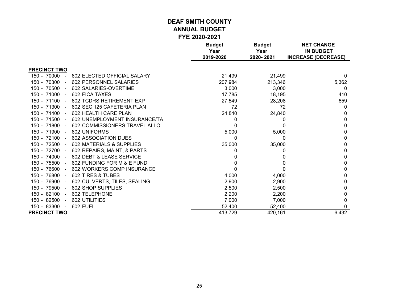|                       |                               | <b>Budget</b><br>Year | <b>Budget</b><br>Year | <b>NET CHANGE</b><br><b>IN BUDGET</b> |
|-----------------------|-------------------------------|-----------------------|-----------------------|---------------------------------------|
|                       |                               | 2019-2020             | 2020-2021             | <b>INCREASE (DECREASE)</b>            |
| <b>PRECINCT TWO</b>   |                               |                       |                       |                                       |
| $150 - 70000 -$       | 602 ELECTED OFFICIAL SALARY   | 21,499                | 21,499                | 0                                     |
| 150 - 70300 -         | 602 PERSONNEL SALARIES        | 207,984               | 213,346               | 5,362                                 |
| 150 - 70500<br>$\sim$ | 602 SALARIES-OVERTIME         | 3,000                 | 3,000                 | 0                                     |
| $150 - 71000 -$       | 602 FICA TAXES                | 17,785                | 18,195                | 410                                   |
| $150 - 71100 -$       | 602 TCDRS RETIREMENT EXP      | 27,549                | 28,208                | 659                                   |
| 150 - 71300 -         | 602 SEC 125 CAFETERIA PLAN    | 72                    | 72                    | 0                                     |
| $150 - 71400 -$       | 602 HEALTH CARE PLAN          | 24,840                | 24,840                | 0                                     |
| $150 - 71500 -$       | 602 UNEMPLOYMENT INSURANCE/TA | 0                     | $\Omega$              | 0                                     |
| 150 - 71800 -         | 602 COMMISSIONERS TRAVEL ALLO | 0                     |                       | 0                                     |
| 150 - 71900 -         | 602 UNIFORMS                  | 5,000                 | 5,000                 | 0                                     |
| $150 - 72100 -$       | <b>602 ASSOCIATION DUES</b>   | 0                     | 0                     | 0                                     |
| 150 - 72500 -         | 602 MATERIALS & SUPPLIES      | 35,000                | 35,000                | 0                                     |
| 150 - 72700 -         | 602 REPAIRS, MAINT, & PARTS   |                       | 0                     | 0                                     |
| $150 - 74000 -$       | 602 DEBT & LEASE SERVICE      |                       |                       | 0                                     |
| 150 - 75500 -         | 602 FUNDING FOR M & E FUND    |                       |                       | 0                                     |
| 150 - 76600 -         | 602 WORKERS COMP INSURANCE    |                       |                       | 0                                     |
| 150 - 76800 -         | 602 TIRES & TUBES             | 4,000                 | 4,000                 | 0                                     |
| 150 - 76900<br>$\sim$ | 602 CULVERTS, TILES, SEALING  | 2,900                 | 2,900                 | 0                                     |
| 150 - 79500 -         | 602 SHOP SUPPLIES             | 2,500                 | 2,500                 | 0                                     |
| 150 - 82100<br>$\sim$ | 602 TELEPHONE                 | 2,200                 | 2,200                 | 0                                     |
| 150 - 82500<br>$\sim$ | 602 UTILITIES                 | 7,000                 | 7,000                 | 0                                     |
| 150 - 83300 -         | <b>602 FUEL</b>               | 52,400                | 52,400                | 0                                     |
| <b>PRECINCT TWO</b>   |                               | 413,729               | 420,161               | 6,432                                 |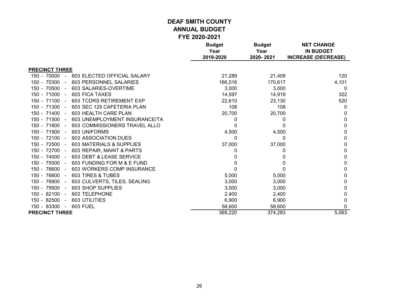|                                                      | <b>Budget</b><br>Year | <b>Budget</b><br>Year | <b>NET CHANGE</b><br><b>IN BUDGET</b> |
|------------------------------------------------------|-----------------------|-----------------------|---------------------------------------|
|                                                      | 2019-2020             | 2020-2021             | <b>INCREASE (DECREASE)</b>            |
| <b>PRECINCT THREE</b>                                |                       |                       |                                       |
| $150 - 70000 -$<br>603 ELECTED OFFICIAL SALARY       | 21,289                | 21,409                | 120                                   |
| 150 - 70300 -<br>603 PERSONNEL SALARIES              | 166,516               | 170,617               | 4,101                                 |
| 150 - 70500 -<br>603 SALARIES-OVERTIME               | 3,000                 | 3,000                 | 0                                     |
| <b>603 FICA TAXES</b><br>150 - 71000 -               | 14,597                | 14,919                | 322                                   |
| 150 - 71100 -<br>603 TCDRS RETIREMENT EXP            | 22,610                | 23,130                | 520                                   |
| 150 - 71300 -<br>603 SEC 125 CAFETERIA PLAN          | 108                   | 108                   | 0                                     |
| 150 - 71400 -<br>603 HEALTH CARE PLAN                | 20,700                | 20,700                | 0                                     |
| 150 - 71500 -<br>603 UNEMPLOYMENT INSURANCE/TA       | 0                     | 0                     | 0                                     |
| 150 - 71800 -<br>603 COMMISSIONERS TRAVEL ALLO       | 0                     | 0                     | 0                                     |
| 150 - 71900 -<br>603 UNIFORMS                        | 4,500                 | 4,500                 | 0                                     |
| 150 - 72100 -<br>603 ASSOCIATION DUES                | 0                     | 0                     | 0                                     |
| 150 - 72500 -<br><b>603 MATERIALS &amp; SUPPLIES</b> | 37,000                | 37,000                | 0                                     |
| 150 - 72700 -<br>603 REPAIR, MAINT & PARTS           | 0                     | 0                     | 0                                     |
| 150 - 74000 -<br>603 DEBT & LEASE SERVICE            |                       | 0                     | 0                                     |
| 150 - 75500 -<br>603 FUNDING FOR M & E FUND          |                       | $\Omega$              | 0                                     |
| 150 - 76600 -<br>603 WORKERS COMP INSURANCE          |                       |                       | 0                                     |
| 150 - 76800 -<br>603 TIRES & TUBES                   | 5,000                 | 5,000                 | 0                                     |
| 150 - 76900 -<br>603 CULVERTS, TILES, SEALING        | 3,000                 | 3,000                 | 0                                     |
| 150 - 79500 -<br>603 SHOP SUPPLIES                   | 3,000                 | 3,000                 | 0                                     |
| 150 - 82100 -<br>603 TELEPHONE                       | 2,400                 | 2,400                 | 0                                     |
| 150 - 82500<br>603 UTILITIES<br>$\sim$               | 6,900                 | 6,900                 | 0                                     |
| 150 - 83300 -<br>603 FUEL                            | 58,600                | 58,600                | 0                                     |
| <b>PRECINCT THREE</b>                                | 369,220               | 374,283               | 5,063                                 |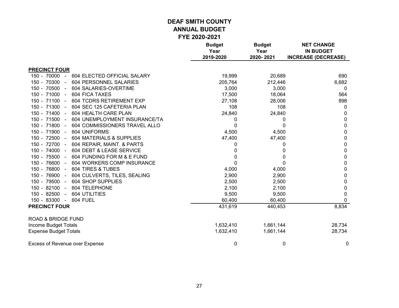|                                                | <b>Budget</b><br>Year<br>2019-2020 | <b>Budget</b><br>Year<br>2020-2021 | <b>NET CHANGE</b><br><b>IN BUDGET</b><br><b>INCREASE (DECREASE)</b> |
|------------------------------------------------|------------------------------------|------------------------------------|---------------------------------------------------------------------|
| <b>PRECINCT FOUR</b>                           |                                    |                                    |                                                                     |
| 604 ELECTED OFFICIAL SALARY<br>$150 - 70000 -$ | 19,999                             | 20,689                             | 690                                                                 |
| 150 - 70300 -<br>604 PERSONNEL SALARIES        | 205,764                            | 212,446                            | 6,682                                                               |
| 150 - 70500 -<br>604 SALARIES-OVERTIME         | 3,000                              | 3,000                              | 0                                                                   |
| 604 FICA TAXES<br>150 - 71000 -                | 17,500                             | 18,064                             | 564                                                                 |
| 150 - 71100 -<br>604 TCDRS RETIREMENT EXP      | 27,108                             | 28,006                             | 898                                                                 |
| 150 - 71300 -<br>604 SEC 125 CAFETERIA PLAN    | 108                                | 108                                | 0                                                                   |
| 150 - 71400 -<br>604 HEALTH CARE PLAN          | 24,840                             | 24,840                             | 0                                                                   |
| 150 - 71500 -<br>604 UNEMPLOYMENT INSURANCE/TA | 0                                  | 0                                  | 0                                                                   |
| 150 - 71800 -<br>604 COMMISSIONERS TRAVEL ALLO | 0                                  | 0                                  | 0                                                                   |
| 150 - 71900 -<br>604 UNIFORMS                  | 4,500                              | 4,500                              | 0                                                                   |
| 150 - 72500 -<br>604 MATERIALS & SUPPLIES      | 47,400                             | 47,400                             | 0                                                                   |
| 150 - 72700 -<br>604 REPAIR, MAINT. & PARTS    | 0                                  | 0                                  | 0                                                                   |
| 150 - 74000 -<br>604 DEBT & LEASE SERVICE      | 0                                  | 0                                  | 0                                                                   |
| 150 - 75500 -<br>604 FUNDING FOR M & E FUND    | 0                                  | 0                                  | 0                                                                   |
| 150 - 76600 -<br>604 WORKERS COMP INSURANCE    | 0                                  | 0                                  | 0                                                                   |
| 150 - 76800 -<br>604 TIRES & TUBES             | 4,000                              | 4,000                              | 0                                                                   |
| 150 - 76900 -<br>604 CULVERTS, TILES, SEALING  | 2,900                              | 2,900                              | 0                                                                   |
| 150 - 79500 -<br>604 SHOP SUPPLIES             | 2,500                              | 2,500                              | 0                                                                   |
| 150 - 82100 -<br>604 TELEPHONE                 | 2,100                              | 2,100                              | 0                                                                   |
| 150 - 82500 -<br>604 UTILITIES                 | 9,500                              | 9,500                              | 0                                                                   |
| 150 - 83300 -<br>604 FUEL                      | 60,400                             | 60,400                             | 0                                                                   |
| <b>PRECINCT FOUR</b>                           | 431,619                            | 440,453                            | 8,834                                                               |
| <b>ROAD &amp; BRIDGE FUND</b>                  |                                    |                                    |                                                                     |
| Income Budget Totals                           | 1,632,410                          | 1,661,144                          | 28,734                                                              |
| <b>Expense Budget Totals</b>                   | 1,632,410                          | 1,661,144                          | 28,734                                                              |
| <b>Excess of Revenue over Expense</b>          | 0                                  | 0                                  | 0                                                                   |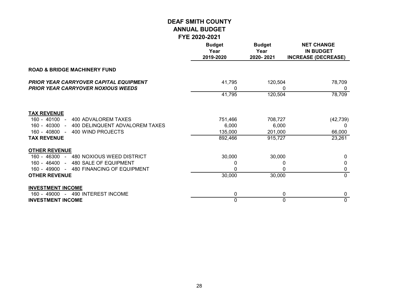|                                                                                            | <b>Budget</b><br>Year<br>2019-2020 | <b>Budget</b><br>Year<br>2020-2021 | <b>NET CHANGE</b><br><b>IN BUDGET</b><br><b>INCREASE (DECREASE)</b> |
|--------------------------------------------------------------------------------------------|------------------------------------|------------------------------------|---------------------------------------------------------------------|
| <b>ROAD &amp; BRIDGE MACHINERY FUND</b>                                                    |                                    |                                    |                                                                     |
| <b>PRIOR YEAR CARRYOVER CAPITAL EQUIPMENT</b><br><b>PRIOR YEAR CARRYOVER NOXIOUS WEEDS</b> | 41,795<br>0                        | 120,504<br>0                       | 78,709<br>0                                                         |
|                                                                                            | 41,795                             | 120,504                            | 78,709                                                              |
| <b>TAX REVENUE</b>                                                                         |                                    |                                    |                                                                     |
| 400 ADVALOREM TAXES<br>$160 - 40100 -$                                                     | 751,466                            | 708,727                            | (42, 739)                                                           |
| 160 - 40300 - 400 DELINQUENT ADVALOREM TAXES                                               | 6,000                              | 6,000                              | n                                                                   |
| $160 - 40800 -$<br>400 WIND PROJECTS<br><b>TAX REVENUE</b>                                 | 135,000                            | 201,000                            | 66,000                                                              |
|                                                                                            | 892,466                            | 915,727                            | 23,261                                                              |
| <b>OTHER REVENUE</b>                                                                       |                                    |                                    |                                                                     |
| 160 - 46300 - 480 NOXIOUS WEED DISTRICT                                                    | 30,000                             | 30,000                             | <sup>0</sup>                                                        |
| 160 - 46400 - 480 SALE OF EQUIPMENT                                                        | 0                                  | 0                                  | 0                                                                   |
| 160 - 49900 - 480 FINANCING OF EQUIPMENT                                                   | 0                                  | $\Omega$                           | 0                                                                   |
| <b>OTHER REVENUE</b>                                                                       | 30,000                             | 30,000                             | $\mathbf{0}$                                                        |
| <b>INVESTMENT INCOME</b>                                                                   |                                    |                                    |                                                                     |
| 160 - 49000 - 490 INTEREST INCOME                                                          | 0                                  | 0                                  | 0                                                                   |
| <b>INVESTMENT INCOME</b>                                                                   | 0                                  | $\Omega$                           | $\mathbf 0$                                                         |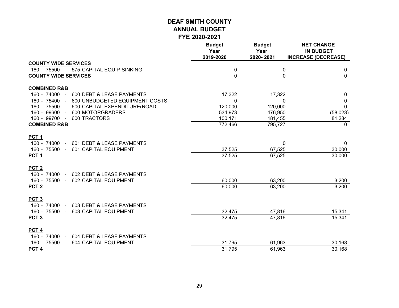|                                                                   | <b>Budget</b><br>Year<br>2019-2020 | <b>Budget</b><br>Year<br>2020-2021 | <b>NET CHANGE</b><br><b>IN BUDGET</b><br><b>INCREASE (DECREASE)</b> |
|-------------------------------------------------------------------|------------------------------------|------------------------------------|---------------------------------------------------------------------|
| <b>COUNTY WIDE SERVICES</b>                                       |                                    |                                    |                                                                     |
| 160 - 75500 - 575 CAPITAL EQUIP-SINKING                           | 0                                  | 0                                  | 0                                                                   |
| <b>COUNTY WIDE SERVICES</b>                                       | $\overline{0}$                     | $\overline{0}$                     | $\overline{0}$                                                      |
| <b>COMBINED R&amp;B</b>                                           |                                    |                                    |                                                                     |
| 160 - 74000 -<br>600 DEBT & LEASE PAYMENTS                        | 17,322                             | 17,322                             | 0                                                                   |
| 160 - 75400 - 600 UNBUDGETED EQUIPMENT COSTS<br>160 - 75500 -     | 0                                  | $\mathbf{0}$                       | 0<br>$\Omega$                                                       |
| 600 CAPITAL EXPENDITURE(ROAD<br>160 - 99600 -<br>600 MOTORGRADERS | 120,000<br>534,973                 | 120,000<br>476,950                 | (58,023)                                                            |
| 160 - 99700 -<br>600 TRACTORS                                     | 100,171                            | 181,455                            | 81,284                                                              |
| <b>COMBINED R&amp;B</b>                                           | 772,466                            | 795,727                            | $\Omega$                                                            |
| PCT <sub>1</sub>                                                  |                                    |                                    |                                                                     |
| 160 - 74000 - 601 DEBT & LEASE PAYMENTS                           |                                    | $\mathbf 0$                        | $\mathbf{0}$                                                        |
| 160 - 75500 -<br>601 CAPITAL EQUIPMENT                            | 37,525                             | 67,525                             | 30,000                                                              |
| PCT <sub>1</sub>                                                  | 37,525                             | 67,525                             | 30,000                                                              |
| PCT <sub>2</sub>                                                  |                                    |                                    |                                                                     |
| 160 - 74000 - 602 DEBT & LEASE PAYMENTS<br>160 - 75500 -          |                                    |                                    |                                                                     |
| 602 CAPITAL EQUIPMENT<br>PCT <sub>2</sub>                         | 60,000<br>60,000                   | 63,200<br>63,200                   | 3,200<br>3,200                                                      |
|                                                                   |                                    |                                    |                                                                     |
| PCT <sub>3</sub><br>160 - 74000 - 603 DEBT & LEASE PAYMENTS       |                                    |                                    |                                                                     |
| 160 - 75500 -<br>603 CAPITAL EQUIPMENT                            | 32,475                             | 47,816                             | 15,341                                                              |
| PCT <sub>3</sub>                                                  | 32,475                             | 47,816                             | 15,341                                                              |
| PCT <sub>4</sub>                                                  |                                    |                                    |                                                                     |
| 160 - 74000 -<br>604 DEBT & LEASE PAYMENTS                        |                                    |                                    |                                                                     |
| 160 - 75500 -<br>604 CAPITAL EQUIPMENT                            | 31,795                             | 61,963                             | 30,168                                                              |
| PCT <sub>4</sub>                                                  | 31,795                             | 61,963                             | 30,168                                                              |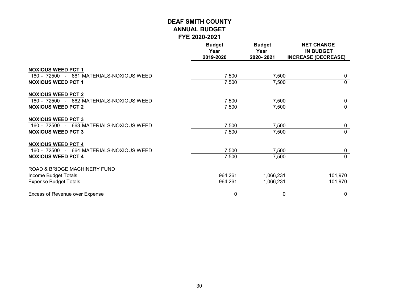|                                          | <b>Budget</b><br>Year<br>2019-2020 | <b>Budget</b><br>Year<br>2020-2021 | <b>NET CHANGE</b><br><b>IN BUDGET</b><br><b>INCREASE (DECREASE)</b> |
|------------------------------------------|------------------------------------|------------------------------------|---------------------------------------------------------------------|
| <b>NOXIOUS WEED PCT 1</b>                |                                    |                                    |                                                                     |
| 160 - 72500 - 661 MATERIALS-NOXIOUS WEED | 7,500                              | 7,500                              | 0                                                                   |
| <b>NOXIOUS WEED PCT 1</b>                | 7,500                              | 7,500                              | $\Omega$                                                            |
| <b>NOXIOUS WEED PCT 2</b>                |                                    |                                    |                                                                     |
| 160 - 72500 - 662 MATERIALS-NOXIOUS WEED | 7,500                              | 7,500                              | 0                                                                   |
| <b>NOXIOUS WEED PCT 2</b>                | 7,500                              | 7,500                              | $\mathbf{0}$                                                        |
| <b>NOXIOUS WEED PCT 3</b>                |                                    |                                    |                                                                     |
| 160 - 72500 - 663 MATERIALS-NOXIOUS WEED | 7,500                              | 7,500                              | 0                                                                   |
| <b>NOXIOUS WEED PCT 3</b>                | 7,500                              | 7,500                              | $\overline{0}$                                                      |
| <b>NOXIOUS WEED PCT 4</b>                |                                    |                                    |                                                                     |
| 160 - 72500 - 664 MATERIALS-NOXIOUS WEED | 7,500                              | 7,500                              | 0                                                                   |
| <b>NOXIOUS WEED PCT 4</b>                | 7,500                              | 7,500                              | $\overline{0}$                                                      |
| ROAD & BRIDGE MACHINERY FUND             |                                    |                                    |                                                                     |
| Income Budget Totals                     | 964,261                            | 1,066,231                          | 101,970                                                             |
| <b>Expense Budget Totals</b>             | 964,261                            | 1,066,231                          | 101,970                                                             |
| Excess of Revenue over Expense           | 0                                  | 0                                  | $\mathbf 0$                                                         |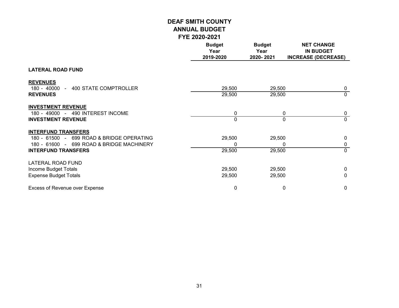|                                                                                                                                                    | <b>Budget</b><br>Year<br>2019-2020 | <b>Budget</b><br>Year<br>2020-2021 | <b>NET CHANGE</b><br><b>IN BUDGET</b><br><b>INCREASE (DECREASE)</b> |
|----------------------------------------------------------------------------------------------------------------------------------------------------|------------------------------------|------------------------------------|---------------------------------------------------------------------|
| <b>LATERAL ROAD FUND</b>                                                                                                                           |                                    |                                    |                                                                     |
| <b>REVENUES</b><br>180 - 40000 - 400 STATE COMPTROLLER<br><b>REVENUES</b>                                                                          | 29,500<br>29,500                   | 29,500<br>29,500                   | $\mathbf 0$<br>$\mathbf{0}$                                         |
| <b>INVESTMENT REVENUE</b><br>180 - 49000 - 490 INTEREST INCOME<br><b>INVESTMENT REVENUE</b>                                                        | 0<br>0                             | 0<br>0                             | 0<br>$\mathbf 0$                                                    |
| <b>INTERFUND TRANSFERS</b><br>180 - 61500 - 699 ROAD & BRIDGE OPERATING<br>180 - 61600 - 699 ROAD & BRIDGE MACHINERY<br><b>INTERFUND TRANSFERS</b> | 29,500<br>0<br>29,500              | 29,500<br>0<br>29,500              | $\mathbf{0}$<br>0<br>$\Omega$                                       |
| LATERAL ROAD FUND<br>Income Budget Totals<br><b>Expense Budget Totals</b>                                                                          | 29,500<br>29,500                   | 29,500<br>29,500                   | 0<br>0                                                              |
| <b>Excess of Revenue over Expense</b>                                                                                                              | 0                                  | 0                                  | 0                                                                   |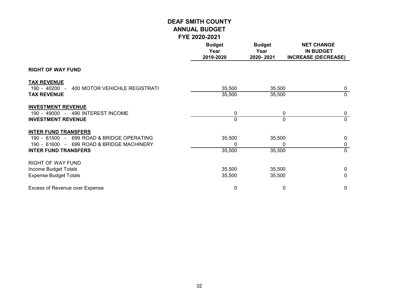|                                                                                                                                                      | <b>Budget</b><br>Year<br>2019-2020 | <b>Budget</b><br>Year<br>2020-2021 | <b>NET CHANGE</b><br><b>IN BUDGET</b><br><b>INCREASE (DECREASE)</b> |
|------------------------------------------------------------------------------------------------------------------------------------------------------|------------------------------------|------------------------------------|---------------------------------------------------------------------|
| <b>RIGHT OF WAY FUND</b>                                                                                                                             |                                    |                                    |                                                                     |
| <b>TAX REVENUE</b><br>$190 - 40200 -$<br>400 MOTOR VEHICHLE REGISTRATI<br><b>TAX REVENUE</b>                                                         | 35,500<br>35,500                   | 35,500<br>35,500                   | $\mathbf 0$<br>$\mathbf 0$                                          |
| <b>INVESTMENT REVENUE</b><br>190 - 49000 - 490 INTEREST INCOME<br><b>INVESTMENT REVENUE</b>                                                          | 0<br>0                             | 0<br>$\Omega$                      | 0<br>$\mathbf 0$                                                    |
| <b>INTER FUND TRANSFERS</b><br>190 - 61500 - 699 ROAD & BRIDGE OPERATING<br>190 - 61600 - 699 ROAD & BRIDGE MACHINERY<br><b>INTER FUND TRANSFERS</b> | 35,500<br>0<br>35,500              | 35,500<br>0<br>35,500              | $\mathbf{0}$<br>0<br>$\mathbf 0$                                    |
| <b>RIGHT OF WAY FUND</b><br>Income Budget Totals<br><b>Expense Budget Totals</b>                                                                     | 35,500<br>35,500                   | 35,500<br>35,500                   | $\mathbf{0}$<br>0                                                   |
| Excess of Revenue over Expense                                                                                                                       | $\pmb{0}$                          | 0                                  | 0                                                                   |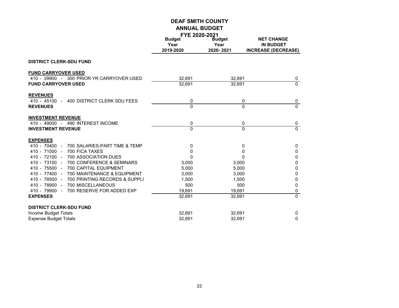|                                                        | FYE 2020-2021<br><b>Budget</b> | <b>Budget</b> | <b>NET CHANGE</b>          |
|--------------------------------------------------------|--------------------------------|---------------|----------------------------|
|                                                        | Year                           | Year          | <b>IN BUDGET</b>           |
|                                                        | 2019-2020                      | 2020-2021     | <b>INCREASE (DECREASE)</b> |
| <b>DISTRICT CLERK-SDU FUND</b>                         |                                |               |                            |
| <b>FUND CARRYOVER USED</b>                             |                                |               |                            |
| 410 - 39900 - 300 PRIOR YR CARRYOVER USED              | 32,691                         | 32,691        | 0                          |
| <b>FUND CARRYOVER USED</b>                             | 32,691                         | 32,691        | $\mathbf 0$                |
| <b>REVENUES</b>                                        |                                |               |                            |
| 400 DISTRICT CLERK SDU FEES<br>$410 - 45100 -$         | 0                              | 0             | 0                          |
| <b>REVENUES</b>                                        | $\Omega$                       | $\Omega$      | $\mathbf 0$                |
| <b>INVESTMENT REVENUE</b>                              |                                |               |                            |
| 410 - 49000 - 490 INTEREST INCOME                      | 0                              | 0             | 0                          |
| <b>INVESTMENT REVENUE</b>                              | $\Omega$                       | $\Omega$      | $\overline{0}$             |
| <b>EXPENSES</b>                                        |                                |               |                            |
| 700 SALARIES-PART TIME & TEMP<br>410 - 70400<br>$\sim$ | 0                              | 0             | 0                          |
| $410 - 71000 -$<br>700 FICA TAXES                      | 0                              | 0             | $\mathbf 0$                |
| 410 - 72100 - 700 ASSOCIATION DUES                     | 0                              | $\Omega$      | 0                          |
| 410 - 73100 - 700 CONFERENCE & SEMINARS                | 3,000                          | 3,000         | $\mathbf 0$                |
| 700 CAPITAL EQUIPMENT<br>$410 - 75500 -$               | 5,000                          | 5,000         | 0                          |
| 410 - 77400 -<br>700 MAINTENANCE & EQUIPMENT           | 3,000                          | 3,000         | 0                          |
| 410 - 78500 -<br>700 PRINTING RECORDS & SUPPLI         | 1,500                          | 1,500         | 0                          |
| 410 - 78900 - 700 MISCELLANEOUS                        | 500                            | 500           | $\mathbf 0$                |
| 700 RESERVE FOR ADDED EXP<br>$410 - 79900 -$           | 19,691                         | 19,691        | 0                          |
| <b>EXPENSES</b>                                        | 32,691                         | 32,691        | $\overline{0}$             |
| <b>DISTRICT CLERK-SDU FUND</b>                         |                                |               |                            |
| Income Budget Totals                                   | 32,691                         | 32,691        | $\mathbf 0$                |
| <b>Expense Budget Totals</b>                           | 32,691                         | 32,691        | $\mathbf 0$                |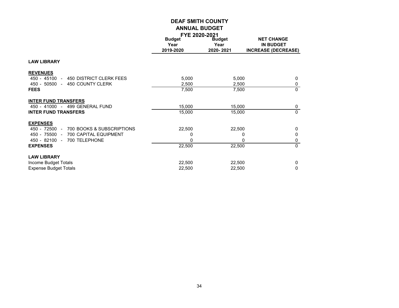|                                            | FYE ZUZU-ZUZT                      |                                    |                                                                     |
|--------------------------------------------|------------------------------------|------------------------------------|---------------------------------------------------------------------|
|                                            | <b>Budget</b><br>Year<br>2019-2020 | <b>Budget</b><br>Year<br>2020-2021 | <b>NET CHANGE</b><br><b>IN BUDGET</b><br><b>INCREASE (DECREASE)</b> |
| <b>LAW LIBRARY</b>                         |                                    |                                    |                                                                     |
| <b>REVENUES</b>                            |                                    |                                    |                                                                     |
| 450 - 45100 -<br>450 DISTRICT CLERK FEES   | 5,000                              | 5,000                              | $\mathbf{0}$                                                        |
| 450 - 50500 - 450 COUNTY CLERK             | 2,500                              | 2,500                              | 0                                                                   |
| <b>FEES</b>                                | 7,500                              | 7,500                              | $\mathbf{0}$                                                        |
| <b>INTER FUND TRANSFERS</b>                |                                    |                                    |                                                                     |
| 450 - 41000 - 499 GENERAL FUND             | 15,000                             | 15,000                             | 0                                                                   |
| <b>INTER FUND TRANSFERS</b>                | 15,000                             | 15,000                             | $\mathbf{0}$                                                        |
| <b>EXPENSES</b>                            |                                    |                                    |                                                                     |
| 700 BOOKS & SUBSCRIPTIONS<br>450 - 72500 - | 22,500                             | 22,500                             | $\mathbf{0}$                                                        |
| 450 - 75500 - 700 CAPITAL EQUIPMENT        | 0                                  | 0                                  | $\mathbf 0$                                                         |
| 450 - 82100 -<br>700 TELEPHONE             | 0                                  | 0                                  | 0                                                                   |
| <b>EXPENSES</b>                            | 22,500                             | 22,500                             | $\Omega$                                                            |
| <b>LAW LIBRARY</b>                         |                                    |                                    |                                                                     |
| Income Budget Totals                       | 22,500                             | 22,500                             | $\mathbf 0$                                                         |
| <b>Expense Budget Totals</b>               | 22,500                             | 22,500                             | 0                                                                   |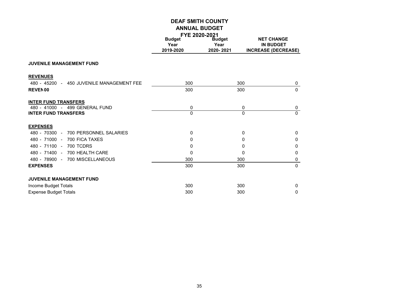|                                           | FYE 2020-2021 |               |                            |  |
|-------------------------------------------|---------------|---------------|----------------------------|--|
|                                           | <b>Budget</b> | <b>Budget</b> | <b>NET CHANGE</b>          |  |
|                                           | Year          | Year          | <b>IN BUDGET</b>           |  |
|                                           | 2019-2020     | 2020-2021     | <b>INCREASE (DECREASE)</b> |  |
| <b>JUVENILE MANAGEMENT FUND</b>           |               |               |                            |  |
| <b>REVENUES</b>                           |               |               |                            |  |
| 480 - 45200 - 450 JUVENILE MANAGEMENT FEE | 300           | 300           | $\mathbf 0$                |  |
| <b>REVEN00</b>                            | 300           | 300           | $\mathbf{0}$               |  |
| <b>INTER FUND TRANSFERS</b>               |               |               |                            |  |
| 480 - 41000 - 499 GENERAL FUND            | 0             | 0             | 0                          |  |
| <b>INTER FUND TRANSFERS</b>               | $\Omega$      | $\Omega$      | $\Omega$                   |  |
| <b>EXPENSES</b>                           |               |               |                            |  |
| 480 - 70300 -<br>700 PERSONNEL SALARIES   | 0             | 0             | $\Omega$                   |  |
| 480 - 71000 - 700 FICA TAXES              | 0             | 0             | $\Omega$                   |  |
| 480 - 71100 - 700 TCDRS                   | 0             | 0             | $\Omega$                   |  |
| 480 - 71400 - 700 HEALTH CARE             | $\Omega$      | 0             | $\Omega$                   |  |
| 480 - 78900 - 700 MISCELLANEOUS           | 300           | 300           | 0                          |  |
| <b>EXPENSES</b>                           | 300           | 300           | $\mathbf{0}$               |  |
| <b>JUVENILE MANAGEMENT FUND</b>           |               |               |                            |  |
|                                           | 300           | 300           | $\mathbf{0}$               |  |
| Income Budget Totals                      |               |               |                            |  |
| <b>Expense Budget Totals</b>              | 300           | 300           | $\Omega$                   |  |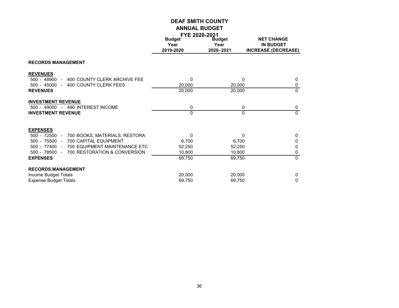|                                                            | <b>FYE 2020-2021</b> |               |                            |
|------------------------------------------------------------|----------------------|---------------|----------------------------|
|                                                            | <b>Budget</b>        | <b>Budget</b> | <b>NET CHANGE</b>          |
|                                                            | Year                 | Year          | <b>IN BUDGET</b>           |
|                                                            | 2019-2020            | 2020-2021     | <b>INCREASE (DECREASE)</b> |
| <b>RECORDS MANAGEMENT</b>                                  |                      |               |                            |
| <b>REVENUES</b>                                            |                      |               |                            |
| 500 - 48900<br>400 COUNTY CLERK ARCHIVE FEE<br>$\sim$      | 0                    | 0             | 0                          |
| 500 - 45000<br>400 COUNTY CLERK FEES<br>$\sim$ $-$         | 20,000               | 20,000        | 0                          |
| <b>REVENUES</b>                                            | 20,000               | 20,000        | $\mathbf 0$                |
| <b>INVESTMENT REVENUE</b>                                  |                      |               |                            |
| 500 - 49000 - 490 INTEREST INCOME                          | 0                    | 0             | 0                          |
| <b>INVESTMENT REVENUE</b>                                  | 0                    | $\Omega$      | $\mathbf{0}$               |
| <b>EXPENSES</b>                                            |                      |               |                            |
| $500 - 72500 -$<br>700 BOOKS, MATERIALS, RESTORA           | $\Omega$             | 0             | $\mathbf 0$                |
| $500 - 75500 -$<br><b>700 CAPITAL EQUIPMENT</b>            | 6,700                | 6,700         | 0                          |
| 500 - 77400<br>700 EQUIPMENT MAINTENANCE ETC<br>$\sim$ $-$ | 52,250               | 52,250        | 0                          |
| 500 - 78500<br>700 RESTORATION & CONVERSION<br>$\sim$      | 10,800               | 10,800        | 0                          |
| <b>EXPENSES</b>                                            | 69,750               | 69,750        | $\Omega$                   |
| <b>RECORDS MANAGEMENT</b>                                  |                      |               |                            |
| Income Budget Totals                                       | 20,000               | 20,000        | $\mathbf 0$                |
| <b>Expense Budget Totals</b>                               | 69,750               | 69,750        | 0                          |
|                                                            |                      |               |                            |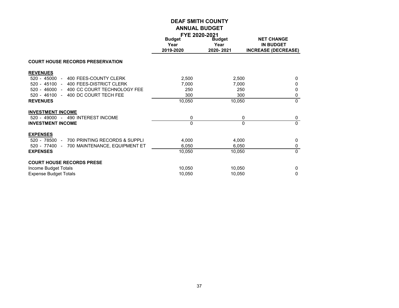|                                                                                                                                            | <b>FYE 2020-2021</b>               |                                    |                                                                     |
|--------------------------------------------------------------------------------------------------------------------------------------------|------------------------------------|------------------------------------|---------------------------------------------------------------------|
|                                                                                                                                            | <b>Budget</b><br>Year<br>2019-2020 | <b>Budget</b><br>Year<br>2020-2021 | <b>NET CHANGE</b><br><b>IN BUDGET</b><br><b>INCREASE (DECREASE)</b> |
| <b>COURT HOUSE RECORDS PRESERVATION</b>                                                                                                    |                                    |                                    |                                                                     |
| <b>REVENUES</b><br>400 FEES-COUNTY CLERK<br>520 - 45000 -                                                                                  | 2,500                              | 2,500                              | $\mathbf 0$                                                         |
| $520 - 45100 -$<br>400 FEES-DISTRICT CLERK<br>520 - 46000 - 400 CC COURT TECHNOLOGY FEE<br>400 DC COURT TECH FEE<br>$520 - 46100 -$        | 7,000<br>250<br>300                | 7,000<br>250<br>300                | $\Omega$<br>$\Omega$<br>0                                           |
| <b>REVENUES</b>                                                                                                                            | 10,050                             | 10,050                             | $\Omega$                                                            |
| <b>INVESTMENT INCOME</b><br>520 - 49000 - 490 INTEREST INCOME<br><b>INVESTMENT INCOME</b>                                                  | 0<br>$\Omega$                      | 0<br>$\Omega$                      | 0<br>$\mathbf{0}$                                                   |
| <b>EXPENSES</b><br>700 PRINTING RECORDS & SUPPLI<br>$520 - 78500 -$<br>$520 - 77400 -$<br>700 MAINTENANCE, EQUIPMENT ET<br><b>EXPENSES</b> | 4,000<br>6,050<br>10,050           | 4,000<br>6,050<br>10,050           | $\mathbf{0}$<br>0<br>$\Omega$                                       |
| <b>COURT HOUSE RECORDS PRESE</b><br>Income Budget Totals<br><b>Expense Budget Totals</b>                                                   | 10,050<br>10,050                   | 10,050<br>10,050                   | $\mathbf 0$<br>$\Omega$                                             |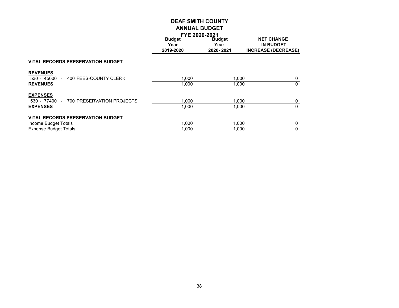|                                                                                                  | <b>FYE 2020-2021</b>               |                                    |                                                                     |  |
|--------------------------------------------------------------------------------------------------|------------------------------------|------------------------------------|---------------------------------------------------------------------|--|
|                                                                                                  | <b>Budget</b><br>Year<br>2019-2020 | <b>Budget</b><br>Year<br>2020-2021 | <b>NET CHANGE</b><br><b>IN BUDGET</b><br><b>INCREASE (DECREASE)</b> |  |
| <b>VITAL RECORDS PRESERVATION BUDGET</b>                                                         |                                    |                                    |                                                                     |  |
| <b>REVENUES</b><br>400 FEES-COUNTY CLERK<br>530 - 45000<br>$\sim$<br><b>REVENUES</b>             | 1.000<br>1.000                     | 1.000<br>1.000                     | 0<br>0                                                              |  |
| <b>EXPENSES</b><br>700 PRESERVATION PROJECTS<br>530 - 77400<br>$\sim$<br><b>EXPENSES</b>         | 1.000<br>1,000                     | 1,000<br>1.000                     | 0<br>$\mathbf{0}$                                                   |  |
| <b>VITAL RECORDS PRESERVATION BUDGET</b><br>Income Budget Totals<br><b>Expense Budget Totals</b> | 1,000<br>1.000                     | 1,000<br>1.000                     | 0<br>0                                                              |  |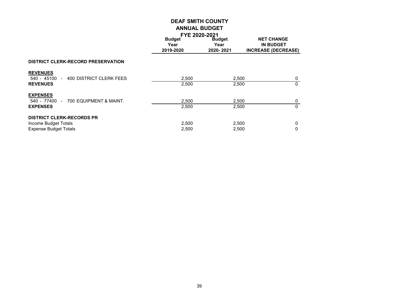|                                                                                          | <b>FYE 2020-2021</b>               |                                    |                                                                     |  |
|------------------------------------------------------------------------------------------|------------------------------------|------------------------------------|---------------------------------------------------------------------|--|
|                                                                                          | <b>Budget</b><br>Year<br>2019-2020 | <b>Budget</b><br>Year<br>2020-2021 | <b>NET CHANGE</b><br><b>IN BUDGET</b><br><b>INCREASE (DECREASE)</b> |  |
| <b>DISTRICT CLERK-RECORD PRESERVATION</b>                                                |                                    |                                    |                                                                     |  |
| <b>REVENUES</b><br>540 - 45100 - 400 DISTRICT CLERK FEES<br><b>REVENUES</b>              | 2,500<br>2,500                     | 2,500<br>2,500                     | 0<br>$\mathbf{0}$                                                   |  |
| <b>EXPENSES</b><br>700 EQUIPMENT & MAINT.<br>540 - 77400 -<br><b>EXPENSES</b>            | 2,500<br>2,500                     | 2,500<br>2,500                     | 0<br>$\mathbf{0}$                                                   |  |
| <b>DISTRICT CLERK-RECORDS PR</b><br>Income Budget Totals<br><b>Expense Budget Totals</b> | 2,500<br>2,500                     | 2,500<br>2,500                     | 0<br>$\Omega$                                                       |  |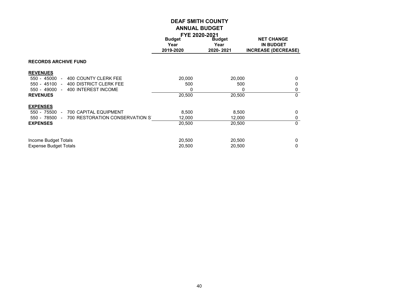|                                                  | <b>FYE 2020-2021</b>  |                       |                                       |  |
|--------------------------------------------------|-----------------------|-----------------------|---------------------------------------|--|
|                                                  | <b>Budget</b><br>Year | <b>Budget</b><br>Year | <b>NET CHANGE</b><br><b>IN BUDGET</b> |  |
|                                                  | 2019-2020             | 2020-2021             | <b>INCREASE (DECREASE)</b>            |  |
| <b>RECORDS ARCHIVE FUND</b>                      |                       |                       |                                       |  |
| <b>REVENUES</b>                                  |                       |                       |                                       |  |
| $550 - 45000 -$<br>400 COUNTY CLERK FEE          | 20,000                | 20,000                | 0                                     |  |
| $550 - 45100 -$<br>400 DISTRICT CLERK FEE        | 500                   | 500                   | 0                                     |  |
| 400 INTEREST INCOME<br>550 - 49000               | 0                     | 0                     | 0                                     |  |
| <b>REVENUES</b>                                  | 20,500                | 20,500                | $\mathbf{0}$                          |  |
| <b>EXPENSES</b>                                  |                       |                       |                                       |  |
| 550 - 75500 -<br>700 CAPITAL EQUIPMENT           | 8,500                 | 8,500                 | $\mathbf 0$                           |  |
| 550 - 78500 -<br>700 RESTORATION CONSERVATION ST | 12,000                | 12,000                | $\mathbf 0$                           |  |
| <b>EXPENSES</b>                                  | 20,500                | 20,500                | $\mathbf{0}$                          |  |
| Income Budget Totals                             | 20,500                | 20,500                | 0                                     |  |
| <b>Expense Budget Totals</b>                     | 20,500                | 20,500                | 0                                     |  |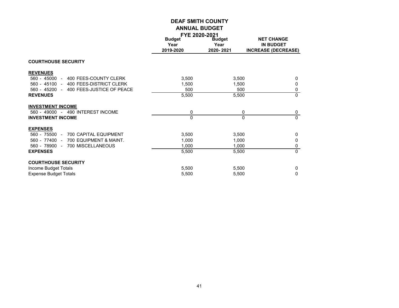|                                            | FYE 2020-2021 |               |                            |
|--------------------------------------------|---------------|---------------|----------------------------|
|                                            | <b>Budget</b> | <b>Budget</b> | <b>NET CHANGE</b>          |
|                                            | Year          | Year          | <b>IN BUDGET</b>           |
|                                            | 2019-2020     | 2020-2021     | <b>INCREASE (DECREASE)</b> |
|                                            |               |               |                            |
| <b>COURTHOUSE SECURITY</b>                 |               |               |                            |
| <b>REVENUES</b>                            |               |               |                            |
| 560 - 45000 -<br>400 FEES-COUNTY CLERK     | 3,500         | 3,500         | $\mathbf{0}$               |
| $560 - 45100 -$<br>400 FEES-DISTRICT CLERK | 1,500         | 1,500         | 0                          |
| 560 - 45200 - 400 FEES-JUSTICE OF PEACE    | 500           | 500           | 0                          |
| <b>REVENUES</b>                            | 5,500         | 5,500         | $\Omega$                   |
| <b>INVESTMENT INCOME</b>                   |               |               |                            |
| 560 - 49000 - 490 INTEREST INCOME          | 0             | 0             | 0                          |
| <b>INVESTMENT INCOME</b>                   | 0             | 0             | $\mathbf{0}$               |
| <b>EXPENSES</b>                            |               |               |                            |
| 700 CAPITAL EQUIPMENT<br>560 - 75500 -     | 3,500         | 3,500         | 0                          |
| 700 EQUIPMENT & MAINT.<br>560 - 77400 -    | 1,000         | 1,000         | $\mathbf{0}$               |
| 700 MISCELLANEOUS<br>560 - 78900<br>$\sim$ | 1,000         | 1,000         | 0                          |
| <b>EXPENSES</b>                            | 5,500         | 5,500         | $\Omega$                   |
| <b>COURTHOUSE SECURITY</b>                 |               |               |                            |
| Income Budget Totals                       | 5,500         | 5,500         | 0                          |
| <b>Expense Budget Totals</b>               | 5,500         | 5,500         | 0                          |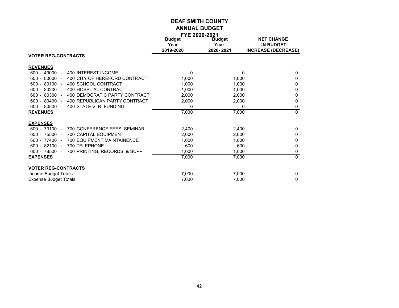| <b>NET CHANGE</b><br><b>Budget</b><br><b>Budget</b><br><b>IN BUDGET</b><br>Year<br>Year<br>2019-2020<br>2020-2021<br><b>INCREASE (DECREASE)</b><br><b>VOTER REG-CONTRACTS</b><br><b>REVENUES</b> |          |
|--------------------------------------------------------------------------------------------------------------------------------------------------------------------------------------------------|----------|
|                                                                                                                                                                                                  |          |
|                                                                                                                                                                                                  |          |
|                                                                                                                                                                                                  |          |
|                                                                                                                                                                                                  |          |
|                                                                                                                                                                                                  |          |
| 400 INTEREST INCOME<br>$600 - 49000$<br>$\mathbf{0}$<br>0<br>$\blacksquare$                                                                                                                      | 0        |
| $600 - 80000$<br>400 CITY OF HEREFORD CONTRACT<br>1,000<br>1,000<br>$\overline{a}$                                                                                                               | 0        |
| 600 - 80100<br>400 SCHOOL CONTRACT<br>1,000<br>1,000<br>$\overline{\phantom{a}}$                                                                                                                 | 0        |
| 600 - 80200<br>400 HOSPITAL CONTRACT<br>1,000<br>1,000<br>$\sim$                                                                                                                                 | 0        |
| $600 - 80300 -$<br>400 DEMOCRATIC PARTY CONTRACT<br>2,000<br>2,000                                                                                                                               | 0        |
| $600 - 80400$<br>400 REPUBLICAN PARTY CONTRACT<br>2,000<br>2,000<br>$\sim$                                                                                                                       | 0        |
| $600 - 80500 -$<br>400 STATE V. R. FUNDING<br>$\Omega$<br>0                                                                                                                                      | 0        |
| 7,000<br>7,000<br><b>REVENUES</b>                                                                                                                                                                | $\Omega$ |
|                                                                                                                                                                                                  |          |
| <b>EXPENSES</b>                                                                                                                                                                                  |          |
| 700 CONFERENCE FEES, SEMINAR<br>600 - 73100<br>2,400<br>2,400<br>$\sim$                                                                                                                          | 0        |
| 600 - 75500<br><b>700 CAPITAL EQUIPMENT</b><br>2,000<br>2,000<br>$\sim$                                                                                                                          | 0        |
| 600 - 77400 -<br><b>700 EQUIPMENT MAINTAINENCE</b><br>1.000<br>1,000                                                                                                                             | 0        |
| 600 - 82100<br>700 TELEPHONE<br>600<br>600<br>$\sim$                                                                                                                                             | $\Omega$ |
| 1,000<br>1,000<br>600 - 78500<br>700 PRINTING, RECORDS, & SUPP<br>$\overline{\phantom{a}}$                                                                                                       | 0        |
| <b>EXPENSES</b><br>7,000<br>7,000                                                                                                                                                                | $\Omega$ |
| <b>VOTER REG-CONTRACTS</b>                                                                                                                                                                       |          |
| 7,000<br>7,000<br>Income Budget Totals                                                                                                                                                           | 0        |

Expense Budget Totals 7,000 7,000 0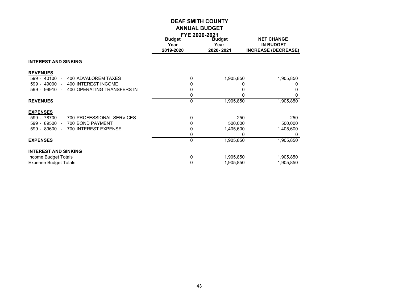|                                                     |               | FYE 2020-2021 |                            |
|-----------------------------------------------------|---------------|---------------|----------------------------|
|                                                     | <b>Budget</b> | <b>Budget</b> | <b>NET CHANGE</b>          |
|                                                     | Year          | Year          | <b>IN BUDGET</b>           |
|                                                     | 2019-2020     | 2020-2021     | <b>INCREASE (DECREASE)</b> |
| <b>INTEREST AND SINKING</b>                         |               |               |                            |
| <b>REVENUES</b>                                     |               |               |                            |
| 599 - 40100<br>400 ADVALOREM TAXES<br>$\sim$        | 0             | 1,905,850     | 1,905,850                  |
| 400 INTEREST INCOME<br>$599 - 49000 -$              | 0             |               |                            |
| 599 - 99910<br>400 OPERATING TRANSFERS IN<br>$\sim$ | 0             |               |                            |
|                                                     | 0             | 0             |                            |
| <b>REVENUES</b>                                     | 0             | 1,905,850     | 1,905,850                  |
| <b>EXPENSES</b>                                     |               |               |                            |
| 700 PROFESSIONAL SERVICES<br>599 - 78700            | 0             | 250           | 250                        |
| 599 - 89500<br>700 BOND PAYMENT                     | 0             | 500,000       | 500,000                    |
| 700 INTEREST EXPENSE<br>599 - 89600                 | 0             | 1,405,600     | 1,405,600                  |
|                                                     | 0             |               |                            |
| <b>EXPENSES</b>                                     | $\mathbf 0$   | 1,905,850     | 1,905,850                  |
| <b>INTEREST AND SINKING</b>                         |               |               |                            |
| Income Budget Totals                                | 0             | 1,905,850     | 1,905,850                  |
| <b>Expense Budget Totals</b>                        | 0             | 1,905,850     | 1,905,850                  |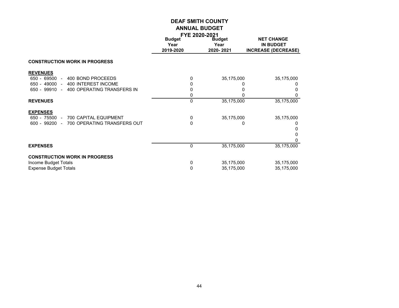|                                                |               | FYE 2020-2021 |                            |
|------------------------------------------------|---------------|---------------|----------------------------|
|                                                | <b>Budget</b> | <b>Budget</b> | <b>NET CHANGE</b>          |
|                                                | Year          | Year          | <b>IN BUDGET</b>           |
|                                                | 2019-2020     | 2020-2021     | <b>INCREASE (DECREASE)</b> |
| <b>CONSTRUCTION WORK IN PROGRESS</b>           |               |               |                            |
| <b>REVENUES</b>                                |               |               |                            |
| 650 - 69500<br>400 BOND PROCEEDS<br>$\sim$     | 0             | 35,175,000    | 35,175,000                 |
| 650 - 49000 -<br>400 INTEREST INCOME           | 0             |               |                            |
| 400 OPERATING TRANSFERS IN<br>650 - 99910 -    | 0             |               |                            |
|                                                | 0             |               |                            |
| <b>REVENUES</b>                                | 0             | 35,175,000    | 35,175,000                 |
| <b>EXPENSES</b>                                |               |               |                            |
| 650 - 75500 -<br>700 CAPITAL EQUIPMENT         | 0             | 35,175,000    | 35,175,000                 |
| $600 - 99200 -$<br>700 OPERATING TRANSFERS OUT | $\Omega$      | 0             |                            |
|                                                |               |               |                            |
|                                                |               |               |                            |
|                                                |               |               |                            |
| <b>EXPENSES</b>                                | 0             | 35,175,000    | 35,175,000                 |
| <b>CONSTRUCTION WORK IN PROGRESS</b>           |               |               |                            |
| Income Budget Totals                           | 0             | 35,175,000    | 35,175,000                 |
| <b>Expense Budget Totals</b>                   | 0             | 35,175,000    | 35,175,000                 |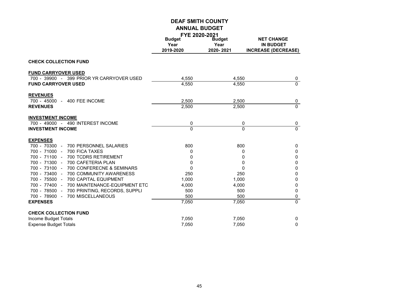|                                             | <b>FYE 2020-2021</b><br><b>Budget</b> | <b>Budget</b>  | <b>NET CHANGE</b>          |
|---------------------------------------------|---------------------------------------|----------------|----------------------------|
|                                             | Year                                  | Year           | <b>IN BUDGET</b>           |
|                                             | 2019-2020                             | 2020-2021      | <b>INCREASE (DECREASE)</b> |
|                                             |                                       |                |                            |
| <b>CHECK COLLECTION FUND</b>                |                                       |                |                            |
| <b>FUND CARRYOVER USED</b>                  |                                       |                |                            |
| 700 - 39900 - 399 PRIOR YR CARRYOVER USED   | 4,550                                 | 4,550          | 0                          |
| <b>FUND CARRYOVER USED</b>                  | 4,550                                 | 4,550          | $\Omega$                   |
| <b>REVENUES</b>                             |                                       |                |                            |
| 700 - 45000 - 400 FEE INCOME                | 2,500                                 | 2,500          | 0                          |
| <b>REVENUES</b>                             | 2,500                                 | 2,500          | $\Omega$                   |
| <b>INVESTMENT INCOME</b>                    |                                       |                |                            |
| 700 - 49000 - 490 INTEREST INCOME           | 0                                     | 0              | 0                          |
| <b>INVESTMENT INCOME</b>                    | $\Omega$                              | $\overline{0}$ | $\Omega$                   |
| <b>EXPENSES</b>                             |                                       |                |                            |
| 700 - 70300 - 700 PERSONNEL SALARIES        | 800                                   | 800            | 0                          |
| 700 - 71000 - 700 FICA TAXES                | 0                                     | 0              | 0                          |
| 700 - 71100 -<br>700 TCDRS RETIREMENT       | 0                                     | 0              | 0                          |
| 700 - 71300 -<br>700 CAFETERIA PLAN         | $\Omega$                              | $\mathbf{0}$   | 0                          |
| 700 - 73100 - 700 CONFERECNE & SEMINARS     | $\Omega$                              | $\mathbf{0}$   | 0                          |
| 700 - 73400 - 700 COMMUNITY AWARENESS       | 250                                   | 250            | 0                          |
| 700 - 75500 - 700 CAPITAL EQUIPMENT         | 1,000                                 | 1,000          | 0                          |
| 700 - 77400 - 700 MAINTENANCE-EQUIPMENT ETC | 4,000                                 | 4,000          | 0                          |
| 700 - 78500 - 700 PRINTING, RECORDS, SUPPLI | 500                                   | 500            | 0                          |
| 700 MISCELLANEOUS<br>700 - 78900 -          | 500                                   | 500            | 0                          |
| <b>EXPENSES</b>                             | 7,050                                 | 7,050          | $\overline{0}$             |
| <b>CHECK COLLECTION FUND</b>                |                                       |                |                            |
| Income Budget Totals                        | 7,050                                 | 7,050          | 0                          |
| <b>Expense Budget Totals</b>                | 7,050                                 | 7,050          | 0                          |
|                                             |                                       |                |                            |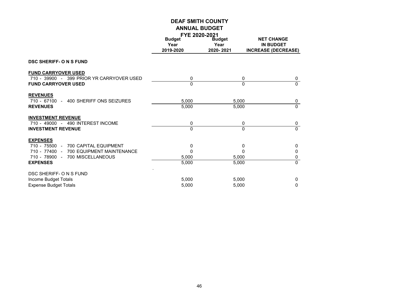|                                           | <b>FYE 2020-2021</b> |               |                            |
|-------------------------------------------|----------------------|---------------|----------------------------|
|                                           | <b>Budget</b>        | <b>Budget</b> | <b>NET CHANGE</b>          |
|                                           | Year                 | Year          | <b>IN BUDGET</b>           |
|                                           | 2019-2020            | 2020-2021     | <b>INCREASE (DECREASE)</b> |
| <b>DSC SHERIFF- O N S FUND</b>            |                      |               |                            |
| <b>FUND CARRYOVER USED</b>                |                      |               |                            |
| 710 - 39900 - 399 PRIOR YR CARRYOVER USED | 0                    | 0             | 0                          |
| <b>FUND CARRYOVER USED</b>                | $\Omega$             | $\Omega$      | $\mathbf{0}$               |
| <b>REVENUES</b>                           |                      |               |                            |
| 400 SHERIFF ONS SEIZURES<br>710 - 67100 - | 5,000                | 5,000         | 0                          |
| <b>REVENUES</b>                           | 5,000                | 5,000         | $\Omega$                   |
| <b>INVESTMENT REVENUE</b>                 |                      |               |                            |
| 710 - 49000 - 490 INTEREST INCOME         | 0                    | 0             | 0                          |
| <b>INVESTMENT REVENUE</b>                 | $\mathbf{0}$         | $\Omega$      | $\mathbf{0}$               |
| <b>EXPENSES</b>                           |                      |               |                            |
| 710 - 75500 -<br>700 CAPITAL EQUIPMENT    | 0                    | 0             | 0                          |
| 710 - 77400 - 700 EQUIPMENT MAINTENANCE   | 0                    | $\Omega$      | 0                          |
| 700 MISCELLANEOUS<br>710 - 78900 -        | 5,000                | 5,000         | 0                          |
| <b>EXPENSES</b>                           | 5,000                | 5,000         | $\mathbf{0}$               |
| DSC SHERIFF- O N S FUND                   |                      |               |                            |
|                                           |                      |               |                            |
| Income Budget Totals                      | 5,000                | 5,000         | 0                          |
| <b>Expense Budget Totals</b>              | 5,000                | 5,000         | 0                          |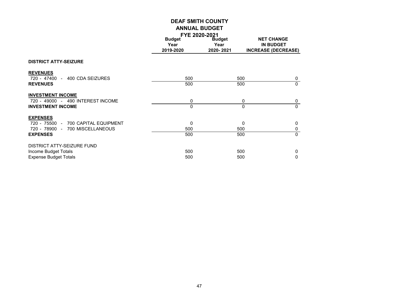|                                     | FYE 2020-2021 |               |                            |
|-------------------------------------|---------------|---------------|----------------------------|
|                                     | <b>Budget</b> | <b>Budget</b> | <b>NET CHANGE</b>          |
|                                     | Year          | Year          | <b>IN BUDGET</b>           |
|                                     | 2019-2020     | 2020-2021     | <b>INCREASE (DECREASE)</b> |
| <b>DISTRICT ATTY-SEIZURE</b>        |               |               |                            |
| <b>REVENUES</b>                     |               |               |                            |
| 720 - 47400 - 400 CDA SEIZURES      | 500           |               | 500<br>0                   |
| <b>REVENUES</b>                     | 500           |               | 500<br>$\Omega$            |
| <b>INVESTMENT INCOME</b>            |               |               |                            |
| 720 - 49000 - 490 INTEREST INCOME   | 0             |               | 0<br>0                     |
| <b>INVESTMENT INCOME</b>            | 0             |               | $\Omega$<br>0              |
| <b>EXPENSES</b>                     |               |               |                            |
| 720 - 75500 - 700 CAPITAL EQUIPMENT | 0             |               | 0<br>0                     |
| 720 - 78900 - 700 MISCELLANEOUS     | 500           |               | 500<br>0                   |
| <b>EXPENSES</b>                     | 500           |               | $\Omega$<br>500            |
| DISTRICT ATTY-SEIZURE FUND          |               |               |                            |
| Income Budget Totals                | 500           |               | 500<br>0                   |
| <b>Expense Budget Totals</b>        | 500           |               | 500<br>0                   |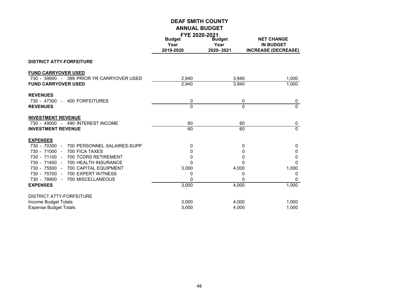|                                              | FYE 2020-2021<br><b>Budget</b> | <b>Budget</b> | <b>NET CHANGE</b>          |
|----------------------------------------------|--------------------------------|---------------|----------------------------|
|                                              | Year                           | Year          | <b>IN BUDGET</b>           |
|                                              | 2019-2020                      | 2020-2021     | <b>INCREASE (DECREASE)</b> |
|                                              |                                |               |                            |
| <b>DISTRICT ATTY-FORFEITURE</b>              |                                |               |                            |
| <b>FUND CARRYOVER USED</b>                   |                                |               |                            |
| 730 - 39900 - 399 PRIOR YR CARRYOVER USED    | 2,940                          | 3,940         | 1,000                      |
| <b>FUND CARRYOVER USED</b>                   | 2,940                          | 3,940         | 1,000                      |
| <b>REVENUES</b>                              |                                |               |                            |
| 730 - 47300 -<br><b>400 FORFEITURES</b>      | 0                              | 0             | 0                          |
| <b>REVENUES</b>                              | $\mathbf{0}$                   | $\mathbf{0}$  | $\overline{0}$             |
| <b>INVESTMENT REVENUE</b>                    |                                |               |                            |
| 730 - 49000 - 490 INTEREST INCOME            | 60                             | 60            | 0                          |
| <b>INVESTMENT REVENUE</b>                    | 60                             | 60            | $\Omega$                   |
| <b>EXPENSES</b>                              |                                |               |                            |
| 730 - 70300 -<br>700 PERSONNEL SALAIRES-SUPP | 0                              | 0             | $\mathbf 0$                |
| 730 - 71000 -<br>700 FICA TAXES              | 0                              | 0             | $\mathbf 0$                |
| 730 - 71100 -<br>700 TCDRS RETIREMENT        | 0                              | 0             | 0                          |
| 730 - 71400 -<br>700 HEALTH INSURANCE        | 0                              | 0             | 0                          |
| 730 - 75500 -<br>700 CAPITAL EQUIPMENT       | 3,000                          | 4,000         | 1,000                      |
| 730 - 75700 -<br>700 EXPERT WITNESS          | 0                              | 0             | 0                          |
| 730 - 78900 -<br>700 MISCELLANEOUS           | 0                              | 0             | $\Omega$                   |
| <b>EXPENSES</b>                              | 3,000                          | 4,000         | 1,000                      |
| <b>DISTRICT ATTY-FORFEITURE</b>              |                                |               |                            |
| Income Budget Totals                         | 3,000                          | 4,000         | 1,000                      |
| <b>Expense Budget Totals</b>                 | 3,000                          | 4,000         | 1,000                      |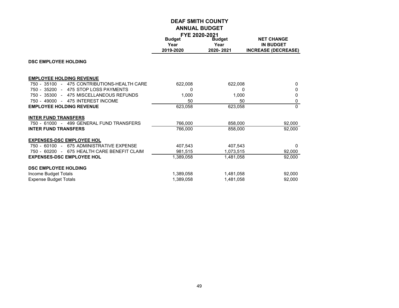|                                             | FYE 2020-2021 |               |                            |
|---------------------------------------------|---------------|---------------|----------------------------|
|                                             | <b>Budget</b> | <b>Budget</b> | <b>NET CHANGE</b>          |
|                                             | Year          | Year          | <b>IN BUDGET</b>           |
|                                             | 2019-2020     |               |                            |
|                                             |               | 2020-2021     | <b>INCREASE (DECREASE)</b> |
| <b>DSC EMPLOYEE HOLDING</b>                 |               |               |                            |
| <b>EMPLOYEE HOLDING REVENUE</b>             |               |               |                            |
| 750 - 35100 - 475 CONTRIBUTIONS-HEALTH CARE | 622,008       | 622,008       | 0                          |
| 750 - 35200 - 475 STOP LOSS PAYMENTS        | 0             | 0             | 0                          |
| 475 MISCELLANEOUS REFUNDS<br>750 - 35300 -  | 1,000         | 1,000         | 0                          |
| 750 - 49000 - 475 INTEREST INCOME           | 50            | 50            | 0                          |
| <b>EMPLOYEE HOLDING REVENUE</b>             | 623,058       | 623,058       | $\Omega$                   |
| <b>INTER FUND TRANSFERS</b>                 |               |               |                            |
| 750 - 61000 - 499 GENERAL FUND TRANSFERS    | 766,000       | 858,000       | 92,000                     |
| <b>INTER FUND TRANSFERS</b>                 | 766,000       | 858,000       | 92,000                     |
| <b>EXPENSES-DSC EMPLOYEE HOL</b>            |               |               |                            |
| 675 ADMINISTRATIVE EXPENSE<br>750 - 60100 - | 407,543       | 407,543       | $\Omega$                   |
| 750 - 60200 - 675 HEALTH CARE BENEFIT CLAIM | 981,515       | 1,073,515     | 92,000                     |
| <b>EXPENSES-DSC EMPLOYEE HOL</b>            | 1,389,058     | 1,481,058     | 92,000                     |
| <b>DSC EMPLOYEE HOLDING</b>                 |               |               |                            |
| Income Budget Totals                        | 1,389,058     | 1,481,058     | 92,000                     |
| <b>Expense Budget Totals</b>                | 1,389,058     | 1,481,058     | 92,000                     |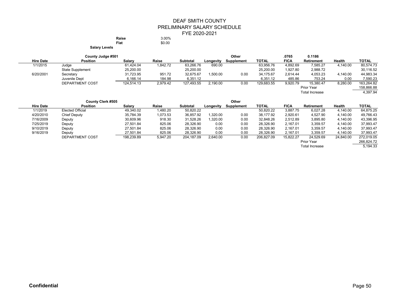#### DEAF SMITH COUNTY PRELIMINARY SALARY SCHEDULE FYE 2020-2021 **Raise** 3.00%<br> **Flat** \$0.00

**Flat** \$0.00

**Salary Levels**

|                  | County Judge #501       |            |          |            |           | Other      |              | .0765       | 0.1186                |          |              |
|------------------|-------------------------|------------|----------|------------|-----------|------------|--------------|-------------|-----------------------|----------|--------------|
| <b>Hire Date</b> | <b>Position</b>         | Salary     | Raise    | Subtotal   | Longevitv | Supplement | <b>TOTAL</b> | <b>FICA</b> | Retirement            | Health   | <b>TOTAL</b> |
| 1/1/2015         | Judge                   | 61,424.04  | 1,842.72 | 63,266.76  | 690.00    |            | 63,956.76    | 4,892.69    | 7,585.27              | 4,140.00 | 80,574.73    |
|                  | <b>State Supplement</b> | 25,200.00  |          | 25,200.00  |           |            | 25,200.00    | 1,927.80    | 2,988.72              |          | 30,116.52    |
| 6/20/2001        | Secretary               | 31,723.95  | 951.72   | 32,675.67  | 1,500.00  | 0.00       | 34,175.67    | 2,614.44    | 4,053.23              | 4,140.00 | 44,983.34    |
|                  | Juvenile Dept           | 6,166.14   | 184.98   | 6,351.12   |           |            | 6,351.12     | 485.86      | 753.24                | 0.00     | 7,590.23     |
|                  | DEPARTMENT COST         | 124,514.13 | 2,979.42 | 127,493.55 | 2,190.00  | 0.00       | 129,683.55   | 9,920.79    | 15,380.47             | 8,280.00 | 163.264.82   |
|                  |                         |            |          |            |           |            |              |             | Prior Year            |          | 158,866.88   |
|                  |                         |            |          |            |           |            |              |             | <b>Total Increase</b> |          | 4,397.94     |

| <b>County Clerk #505</b> |                         |            |          |                 | Other     |                   |              |             |                   |           |              |
|--------------------------|-------------------------|------------|----------|-----------------|-----------|-------------------|--------------|-------------|-------------------|-----------|--------------|
| <b>Hire Date</b>         | <b>Position</b>         | Salary     | Raise    | <b>Subtotal</b> | Longevity | <b>Supplement</b> | <b>TOTAL</b> | <b>FICA</b> | <b>Retirement</b> | Health    | <b>TOTAL</b> |
| 1/1/2019                 | <b>Elected Official</b> | 49,340.02  | 1.480.20 | 50,820.22       |           |                   | 50,820.22    | 3.887.75    | 6.027.28          | 4.140.00  | 64,875.25    |
| 4/20/2010                | Chief Deputy            | 35.784.39  | 1.073.53 | 36.857.92       | 1,320.00  | 0.00              | 38.177.92    | 2,920.61    | 4.527.90          | 4.140.00  | 49,766.43    |
| 7/16/2009                | Deputy                  | 30,609.96  | 918.30   | 31,528.26       | ,320.00   | 0.00              | 32,848.26    | 2,512.89    | 3,895.80          | 4.140.00  | 43,396.95    |
| 7/25/2019                | Deputy                  | 27.501.84  | 825.06   | 28.326.90       | 0.00      | 0.00              | 28,326.90    | 2,167.01    | 3,359.57          | 4.140.00  | 37,993.47    |
| 9/10/2019                | Deputy                  | 27.501.84  | 825.06   | 28.326.90       | 0.00      | 0.00              | 28,326.90    | 2.167.01    | 3,359.57          | 4.140.00  | 37,993.47    |
| 9/16/2019                | Deputy                  | 27,501.84  | 825.06   | 28,326.90       | 0.00      | 0.00              | 28,326.90    | 2,167.01    | 3,359.57          | 4,140.00  | 37,993.47    |
|                          | DEPARTMENT COST         | 198,239.89 | 5,947.20 | 204,187.09      | 2,640.00  | 0.00              | 206,827.09   | 15.822.27   | 24,529.69         | 24,840.00 | 272,019.05   |
|                          |                         |            |          |                 |           |                   |              |             | Prior Year        |           | 266,824.72   |

Total Increase 5,194.33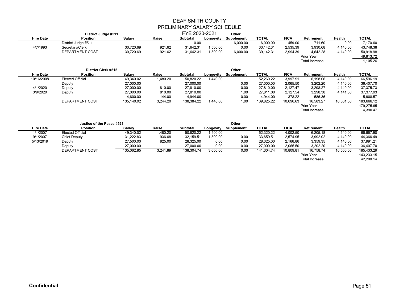| District Judge #511 |                            |            |          | FYE 2020-2021<br>Other |           |            |              |             |                       |           |              |
|---------------------|----------------------------|------------|----------|------------------------|-----------|------------|--------------|-------------|-----------------------|-----------|--------------|
| <b>Hire Date</b>    | <b>Position</b>            | Salary     | Raise    | <b>Subtotal</b>        | Longevity | Supplement | TOTAL        | <b>FICA</b> | Retirement            | Health    | <b>TOTAL</b> |
|                     | District Judge #511        |            |          | 0.00                   |           | 6,000.00   | 6,000.00     | 459.00      | 711.60                | 0.00      | 7,170.60     |
| 4/7/1993            | Secretary/Clerk            | 30,720.69  | 921.62   | 31,642.31              | 1,500.00  | 0.00       | 33,142.31    | 2,535.39    | 3,930.68              | 4,140.00  | 43,748.38    |
|                     | <b>DEPARTMENT COST</b>     | 30,720.69  | 921.62   | 31,642.31              | 1,500.00  | 6,000.00   | 39,142.31    | 2,994.39    | 4,642.28              | 4,140.00  | 50,918.98    |
|                     |                            |            |          |                        |           |            |              |             | Prior Year            |           | 49,813.72    |
|                     |                            |            |          |                        |           |            |              |             | <b>Total Increase</b> |           | 1,105.26     |
|                     | <b>District Clerk #515</b> |            |          |                        |           | Other      |              |             |                       |           |              |
| <b>Hire Date</b>    | <b>Position</b>            | Salary     | Raise    | <b>Subtotal</b>        | Longevity | Supplement | <b>TOTAL</b> | <b>FICA</b> | Retirement            | Health    | <b>TOTAL</b> |
| 10/16/2008          | <b>Elected Official</b>    | 49,340.02  | 1,480.20 | 50,820.22              | 1,440.00  |            | 52,260.22    | 3,997.91    | 6,198.06              | 4,140.00  | 66,596.19    |
|                     | Deputy                     | 27,000.00  |          | 27,000.00              |           | 0.00       | 27,000.00    | 2,065.50    | 3,202.20              | 4,140.00  | 36,407.70    |
| 4/1/2020            | Deputy                     | 27,000.00  | 810.00   | 27,810.00              |           | 0.00       | 27,810.00    | 2,127.47    | 3,298.27              | 4,140.00  | 37,375.73    |
| 3/9/2020            | Deputy                     | 27,000.00  | 810.00   | 27,810.00              |           | 1.00       | 27.811.00    | 2,127.54    | 3,298.38              | 4,141.00  | 37,377.93    |
|                     |                            | 4,800.00   | 144.00   | 4,944.00               |           | 0.00       | 4.944.00     | 378.22      | 586.36                |           | 5,908.57     |
|                     | DEPARTMENT COST            | 135,140.02 | 3,244.20 | 138,384.22             | 1,440.00  | 1.00       | 139,825.22   | 10,696.63   | 16,583.27             | 16,561.00 | 183,666.12   |
|                     |                            |            |          |                        |           |            |              |             | Prior Year            |           | 179,275.65   |
|                     |                            |            |          |                        |           |            |              |             | Total Increase        |           | 4,390.47     |
|                     |                            |            |          |                        |           |            |              |             |                       |           |              |
|                     | Justice of the Peace #521  |            |          |                        |           | Other      |              |             |                       |           |              |

| <b>Hire Date</b> | <b>Position</b>  | Salary     | Raise    | <b>Subtotal</b> | Longevity | Supplement | <b>TOTAL</b> | <b>FICA</b> | <b>Retirement</b>          | Health    | TOTAL      |
|------------------|------------------|------------|----------|-----------------|-----------|------------|--------------|-------------|----------------------------|-----------|------------|
| 1/1/2007         | Elected Official | 49,340.02  | ,480.20  | 50,820.22       | 1,500.00  |            | 52,320.22    | 4,002.50    | 6.205.18                   | 4.140.00  | 66.667.90  |
| 9/1/2007         | Chief Deputy     | 31,222.83  | 936.68   | 32.159.51       | 1.500.00  | 0.00       | 33.659.51    | 2,574.95    | 3.992.02                   | 4.140.00  | 44.366.49  |
| 5/13/2019        | Deputy           | 27,500.00  | 825.00   | 28.325.00       | 0.00      | 0.00       | 28,325.00    | 2,166.86    | 3.359.35                   | 4.140.00  | 37,991.21  |
|                  | Deputy           | 27,000.00  |          | 27,000.00       | 0.00      | 0.00       | 27,000.00    | 2,065.50    | 3,202.20                   | 4,140.00  | 36,407.70  |
|                  | DEPARTMENT COST  | 135,062.85 | 3,241.89 | 138,304.74      | 3,000.00  | 0.00       | 141,304.74   | 10,809.81   | 16,758.74                  | 16,560.00 | 185,433.29 |
|                  |                  |            |          |                 |           |            |              |             | Prior Year                 |           | 143,233.15 |
|                  |                  |            |          |                 |           |            |              |             | $T = 1 - 1$ be a set a set |           | 10.000A    |

Total Increase 42,200.14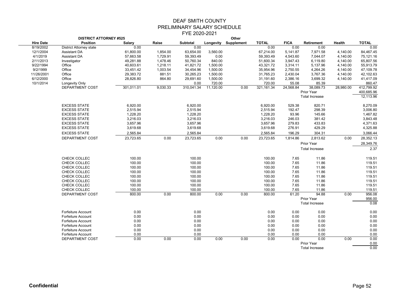|                  | <b>DISTRICT ATTORNEY #525</b>  |               |          |                 |           | Other                |              |             |                       |           |              |
|------------------|--------------------------------|---------------|----------|-----------------|-----------|----------------------|--------------|-------------|-----------------------|-----------|--------------|
| <b>Hire Date</b> | <b>Position</b>                | <b>Salary</b> | Raise    | <b>Subtotal</b> |           | Longevity Supplement | <b>TOTAL</b> | <b>FICA</b> | Retirement            | Health    | <b>TOTAL</b> |
| 8/19/2002        | <b>District Attorney state</b> | 0.00          |          | 0.00            |           |                      | 0.00         | 0.00        | 0.00                  |           | 0.00         |
| 12/1/2004        | <b>Assistant DA</b>            | 61,800.00     | 1,854.00 | 63,654.00       | 3,560.00  |                      | 67,214.00    | 5,141.87    | 7,971.58              | 4,140.00  | 84,467.45    |
| 4/1/2019         | <b>Assistant DA</b>            | 57,663.58     | 1,729.91 | 59,393.49       | 0.00      |                      | 59,393.49    | 4,543.60    | 7,044.07              | 4,140.00  | 75,121.16    |
| 2/11/2013        | Investigator                   | 49,281.88     | 1.478.46 | 50.760.34       | 840.00    |                      | 51,600.34    | 3,947.43    | 6.119.80              | 4.140.00  | 65,807.56    |
| 9/22/1994        | Office                         | 40,603.61     | 1,218.11 | 41,821.72       | 1,500.00  |                      | 43,321.72    | 3,314.11    | 5,137.96              | 4,140.00  | 55,913.79    |
| 9/2/1999         | Office                         | 33,451.42     | 1,003.54 | 34,454.96       | 1,500.00  |                      | 35,954.96    | 2,750.55    | 4,264.26              | 4,140.00  | 47,109.78    |
| 11/26/2001       | Office                         | 29,383.72     | 881.51   | 30,265.23       | 1,500.00  |                      | 31,765.23    | 2,430.04    | 3,767.36              | 4,140.00  | 42,102.63    |
| 6/12/2000        | Office                         | 28,826.80     | 864.80   | 29,691.60       | 1,500.00  |                      | 31,191.60    | 2,386.16    | 3,699.32              | 4,140.00  | 41,417.09    |
| 10/1/2014        | <b>Longevity Only</b>          |               |          | 0.00            | 720.00    |                      | 720.00       | 55.08       | 85.39                 |           | 860.47       |
|                  | DEPARTMENT COST                | 301,011.01    | 9,030.33 | 310,041.34      | 11,120.00 | 0.00                 | 321,161.34   | 24,568.84   | 38,089.73             | 28,980.00 | 412,799.92   |
|                  |                                |               |          |                 |           |                      |              |             | Prior Year            |           | 400,685.96   |
|                  |                                |               |          |                 |           |                      |              |             | Total Increase        |           | 12,113.96    |
|                  |                                |               |          |                 |           |                      |              |             |                       |           |              |
|                  | <b>EXCESS STATE</b>            | 6,920.00      |          | 6,920.00        |           |                      | 6,920.00     | 529.38      | 820.71                |           | 8,270.09     |
|                  | <b>EXCESS STATE</b>            | 2.515.94      |          | 2.515.94        |           |                      | 2.515.94     | 192.47      | 298.39                |           | 3,006.80     |
|                  | <b>EXCESS STATE</b>            | 1,228.20      |          | 1,228.20        |           |                      | 1,228.20     | 93.96       | 145.66                |           | 1,467.82     |
|                  | <b>EXCESS STATE</b>            | 3,216.03      |          | 3,216.03        |           |                      | 3,216.03     | 246.03      | 381.42                |           | 3,843.48     |
|                  | <b>EXCESS STATE</b>            | 3,657.96      |          | 3,657.96        |           |                      | 3,657.96     | 279.83      | 433.83                |           | 4,371.63     |
|                  | <b>EXCESS STATE</b>            | 3,619.68      |          | 3,619.68        |           |                      | 3,619.68     | 276.91      | 429.29                |           | 4,325.88     |
|                  | <b>EXCESS STATE</b>            | 2,565.84      |          | 2,565.84        |           |                      | 2,565.84     | 196.29      |                       |           | 3,066.44     |
|                  |                                |               |          |                 |           |                      |              |             | 304.31                |           |              |
|                  | DEPARTMENT COST                | 23,723.65     | 0.00     | 23,723.65       | 0.00      | 0.00                 | 23,723.65    | 1,814.86    | 2,813.62              | 0.00      | 28,352.13    |
|                  |                                |               |          |                 |           |                      |              |             | Prior Year            |           | 28,349.76    |
|                  |                                |               |          |                 |           |                      |              |             | <b>Total Increase</b> |           | 2.37         |
|                  |                                |               |          |                 |           |                      |              |             |                       |           |              |
|                  | CHECK COLLEC                   | 100.00        |          | 100.00          |           |                      | 100.00       | 7.65        | 11.86                 |           | 119.51       |
|                  | CHECK COLLEC                   | 100.00        |          | 100.00          |           |                      | 100.00       | 7.65        | 11.86                 |           | 119.51       |
|                  | CHECK COLLEC                   | 100.00        |          | 100.00          |           |                      | 100.00       | 7.65        | 11.86                 |           | 119.51       |
|                  | CHECK COLLEC                   | 100.00        |          | 100.00          |           |                      | 100.00       | 7.65        | 11.86                 |           | 119.51       |
|                  | CHECK COLLEC                   | 100.00        |          | 100.00          |           |                      | 100.00       | 7.65        | 11.86                 |           | 119.51       |
|                  | CHECK COLLEC                   | 100.00        |          | 100.00          |           |                      | 100.00       | 7.65        | 11.86                 |           | 119.51       |
|                  | CHECK COLLEC                   | 100.00        |          | 100.00          |           |                      | 100.00       | 7.65        | 11.86                 |           | 119.51       |
|                  | CHECK COLLEC                   | 100.00        |          | 100.00          |           |                      | 100.00       | 7.65        | 11.86                 |           | 119.51       |
|                  | DEPARTMENT COST                | 800.00        | 0.00     | 800.00          | 0.00      | 0.00                 | 800.00       | 61.20       | 94.88                 | 0.00      | 956.08       |
|                  |                                |               |          |                 |           |                      |              |             | Prior Year            |           | 956.00       |
|                  |                                |               |          |                 |           |                      |              |             | <b>Total Increase</b> |           | 0.08         |
|                  |                                |               |          |                 |           |                      |              |             |                       |           |              |
|                  | Forfeiture Account             | 0.00          |          | 0.00            |           |                      | 0.00         | 0.00        | 0.00                  |           | 0.00         |
|                  | Forfeiture Account             | 0.00          |          | 0.00            |           |                      | 0.00         | 0.00        | 0.00                  |           | 0.00         |
|                  | <b>Forfeiture Account</b>      | 0.00          |          | 0.00            |           |                      | 0.00         | 0.00        | 0.00                  |           | 0.00         |
|                  | <b>Forfeiture Account</b>      | 0.00          |          | 0.00            |           |                      | 0.00         | 0.00        | 0.00                  |           | 0.00         |
|                  | <b>Forfeiture Account</b>      | 0.00          |          | 0.00            |           |                      | 0.00         | 0.00        | 0.00                  |           | 0.00         |
|                  | <b>Forfeiture Account</b>      | 0.00          |          | 0.00            |           |                      | 0.00         | 0.00        | 0.00                  |           | 0.00         |
|                  | DEPARTMENT COST                | 0.00          | 0.00     | 0.00            | 0.00      | 0.00                 | 0.00         | 0.00        | 0.00                  | 0.00      | 0.00         |
|                  |                                |               |          |                 |           |                      |              |             | <b>Prior Year</b>     |           | 0.00         |
|                  |                                |               |          |                 |           |                      |              |             | <b>Total Increase</b> |           | 0.00         |
|                  |                                |               |          |                 |           |                      |              |             |                       |           |              |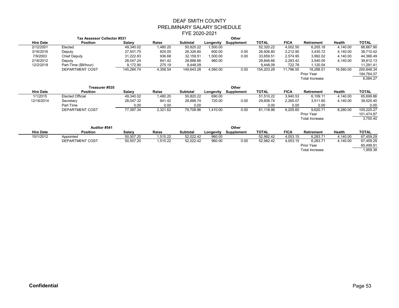|                  | Tax Assessor Collector #531 |            |          |                 | Other     |            |              |             |                       |           |              |
|------------------|-----------------------------|------------|----------|-----------------|-----------|------------|--------------|-------------|-----------------------|-----------|--------------|
| <b>Hire Date</b> | <b>Position</b>             | Salary     | Raise    | <b>Subtotal</b> | Longevity | Supplement | <b>TOTAL</b> | <b>FICA</b> | <b>Retirement</b>     | Health    | <b>TOTAL</b> |
| 2/12/2001        | Elected                     | 49,340.02  | 1,480.20 | 50,820.22       | 1,500.00  |            | 52,320.22    | 4,002.50    | 6,205.18              | 4,140.00  | 66,667.90    |
| 3/16/2016        | Deputy                      | 27.501.75  | 825.05   | 28,326.80       | 600.00    | 0.00       | 28,926.80    | 2.212.90    | 3.430.72              | 4.140.00  | 38,710.42    |
| 7/9/2003         | <b>Chief Deputy</b>         | 31,222.83  | 936.68   | 32.159.51       | 1,500.00  | 0.00       | 33,659.51    | 2,574.95    | 3,992.02              | 4.140.00  | 44,366.49    |
| 2/16/2012        | Deputy                      | 28,047.24  | 841.42   | 28,888.66       | 960.00    |            | 29,848.66    | 2,283.42    | 3,540.05              | 4,140.00  | 39,812.13    |
| 12/2/2019        | Part-Time (\$8/hour)        | 9,172.90   | 275.19   | 9.448.09        |           |            | 9.448.09     | 722.78      | 1,120.54              |           | 11,291.41    |
|                  | <b>DEPARTMENT COST</b>      | 145,284.74 | 4,358.54 | 149,643.28      | 4,560.00  | 0.00       | 154,203.28   | 11,796.55   | 18.288.51             | 16,560.00 | 200,848.34   |
|                  |                             |            |          |                 |           |            |              |             | Prior Year            |           | 194,764.07   |
|                  |                             |            |          |                 |           |            |              |             | <b>Total Increase</b> |           | 6.084.27     |
|                  |                             |            |          |                 |           |            |              |             |                       |           |              |

|                  | Treasurer #535          |           |          |                 | Other     |            |              |             |                       |          |            |
|------------------|-------------------------|-----------|----------|-----------------|-----------|------------|--------------|-------------|-----------------------|----------|------------|
| <b>Hire Date</b> | <b>Position</b>         | Salary    | Raise    | <b>Subtotal</b> | Longevity | Supplement | <b>TOTAL</b> | <b>FICA</b> | <b>Retirement</b>     | Health   | TOTAL      |
| 1/1/2015         | <b>Elected Official</b> | 49,340.02 | 1,480.20 | 50,820.22       | 690.00    |            | 51,510.22    | 3,940.53    | 6.109.11              | 4.140.00 | 65,699.86  |
| 12/16/2014       | Secretary               | 28,047.32 | 841.42   | 28,888.74       | 720.00    | 0.00       | 29,608.74    | 2,265.07    | 3.511.60              | 4,140.00 | 39,525.40  |
|                  | Part Time               | 0.00      | 0.00     | 0.00            |           |            | 0.00         | 0.00        | 0.00                  |          | 0.00       |
|                  | DEPARTMENT COST         | 77,387.34 | 2,321.62 | 79,708.96       | 1,410.00  | 0.00       | 81,118.96    | 6,205.60    | 9.620.71              | 8,280.00 | 105,225.27 |
|                  |                         |           |          |                 |           |            |              |             | Prior Year            |          | 101,474.87 |
|                  |                         |           |          |                 |           |            |              |             | <b>Total Increase</b> |          | 3,750.40   |
|                  |                         |           |          |                 |           |            |              |             |                       |          |            |
|                  | Auditor #541            |           |          |                 | Other     |            |              |             |                       |          |            |

| 1.991591.771     |                 |           |          |         |           | $\ddotsc$  |              |             |            |                                     |              |
|------------------|-----------------|-----------|----------|---------|-----------|------------|--------------|-------------|------------|-------------------------------------|--------------|
| <b>Hire Date</b> | <b>Position</b> | Salarv    | Raise    | Subtota | Longevity | Supplement | <b>TOTAL</b> | <b>FICA</b> | Retirement | Health                              | <b>TOTAL</b> |
| 10/1/2012        | Appointed       | 50.507.20 | 1.515.22 |         | 960.00    |            | 52.982.42    | 4,053.15    | 6,283.71   | 1.140.00                            | 67,459.29    |
|                  | DEPARTMENT COST | 50,507.20 | 1,515.22 |         | 960.00    | 0.00       | 52,982.42    | 4,053.15    | 6,283.71   | 140.00                              | 67,459.29    |
|                  |                 |           |          |         |           |            |              |             |            |                                     | 65,499.91    |
|                  |                 |           |          |         |           |            |              |             |            |                                     | 959.38       |
|                  |                 |           |          |         | 52,022.42 | 52.022.42  |              |             |            | Prior Year<br><b>Total Increase</b> |              |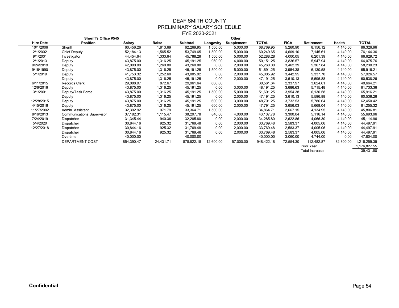|                  | <b>Sheriff's Office #545</b>     |            |           |            |           | Other      |              |             |                       |           |              |
|------------------|----------------------------------|------------|-----------|------------|-----------|------------|--------------|-------------|-----------------------|-----------|--------------|
| <b>Hire Date</b> | Position                         | Salary     | Raise     | Subtotal   | Longevity | Supplement | <b>TOTAL</b> | <b>FICA</b> | <b>Retirement</b>     | Health    | <b>TOTAL</b> |
| 10/1/2006        | Sheriff                          | 60,456.26  | 1,813.69  | 62,269.95  | 1,500.00  | 5,000.00   | 68,769.95    | 5,260.90    | 8,156.12              | 4,140.00  | 86,326.96    |
| 2/1/2002         | <b>Chief Deputy</b>              | 52,184.13  | 1,565.52  | 53,749.65  | 1,500.00  | 5,000.00   | 60,249.65    | 4,609.10    | 7,145.61              | 4,140.00  | 76,144.36    |
| 9/1/2001         | Investigator                     | 44,454.64  | 1,333.64  | 45,788.28  | 1,500.00  | 5,000.00   | 52,288.28    | 4,000.05    | 6,201.39              | 4,140.00  | 66,629.72    |
| 2/1/2013         | Deputy                           | 43,875.00  | 1,316.25  | 45, 191.25 | 960.00    | 4,000.00   | 50,151.25    | 3,836.57    | 5,947.94              | 4,140.00  | 64,075.76    |
| 9/24/2019        | Deputy                           | 42,000.00  | 1,260.00  | 43,260.00  | 0.00      | 2,000.00   | 45,260.00    | 3,462.39    | 5,367.84              | 4,140.00  | 58,230.23    |
| 9/16/1990        | Deputy                           | 43,875.00  | 1,316.25  | 45,191.25  | 1,500.00  | 5,000.00   | 51,691.25    | 3,954.38    | 6,130.58              | 4,140.00  | 65,916.21    |
| 5/1/2019         | Deputy                           | 41,753.32  | 1,252.60  | 43,005.92  | 0.00      | 2,000.00   | 45,005.92    | 3,442.95    | 5,337.70              | 4,140.00  | 57,926.57    |
|                  | Deputy                           | 43,875.00  | 1,316.25  | 45,191.25  | 0.00      | 2,000.00   | 47,191.25    | 3,610.13    | 5,596.88              | 4,140.00  | 60,538.26    |
| 6/11/2015        | <b>Records Clerk</b>             | 29,088.97  | 872.67    | 29,961.64  | 600.00    |            | 30,561.64    | 2,337.97    | 3,624.61              | 4,140.00  | 40,664.21    |
| 12/6/2016        | Deputy                           | 43,875.00  | 1,316.25  | 45,191.25  | 0.00      | 3,000.00   | 48,191.25    | 3,686.63    | 5,715.48              | 4,140.00  | 61,733.36    |
| 3/1/2001         | Deputy/Task Force                | 43,875.00  | 1,316.25  | 45,191.25  | 1,500.00  | 5,000.00   | 51,691.25    | 3,954.38    | 6,130.58              | 4,140.00  | 65,916.21    |
|                  | Deputy                           | 43,875.00  | 1,316.25  | 45,191.25  | 0.00      | 2,000.00   | 47,191.25    | 3,610.13    | 5,596.88              | 4,140.00  | 60,538.26    |
| 12/28/2015       | Deputy                           | 43,875.00  | 1,316.25  | 45,191.25  | 600.00    | 3,000.00   | 48,791.25    | 3,732.53    | 5,786.64              | 4,140.00  | 62,450.42    |
| 4/15/2016        | Deputy                           | 43,875.00  | 1,316.25  | 45,191.25  | 600.00    | 2,000.00   | 47,791.25    | 3,656.03    | 5,668.04              | 4,140.00  | 61,255.32    |
| 11/27/2002       | Admin. Assistant                 | 32,392.92  | 971.79    | 33,364.71  | 1,500.00  |            | 34,864.71    | 2,667.15    | 4,134.95              | 4,140.00  | 45,806.81    |
| 8/16/2013        | <b>Communications Supervisor</b> | 37,182.31  | 1,115.47  | 38,297.78  | 840.00    | 4,000.00   | 43,137.78    | 3,300.04    | 5,116.14              | 4,140.00  | 55,693.96    |
| 7/24/2019        | Dispatcher                       | 31,345.44  | 940.36    | 32,285.80  | 0.00      | 2,000.00   | 34,285.80    | 2,622.86    | 4,066.30              | 4,140.00  | 45,114.96    |
| 5/4/2020         | Dispatcher                       | 30,844.16  | 925.32    | 31,769.48  | 0.00      | 2,000.00   | 33,769.48    | 2,583.37    | 4,005.06              | 4,140.00  | 44,497.91    |
| 12/27/2018       | Dispatcher                       | 30,844.16  | 925.32    | 31,769.48  | 0.00      | 2,000.00   | 33,769.48    | 2,583.37    | 4,005.06              | 4,140.00  | 44,497.91    |
|                  | Dispatcher                       | 30,844.16  | 925.32    | 31,769.48  | 0.00      | 2,000.00   | 33,769.48    | 2,583.37    | 4,005.06              | 4,140.00  | 44,497.91    |
|                  | Overtime                         | 40,000.00  |           | 40,000.00  |           |            | 40,000.00    | 3,060.00    | 4,744.00              | 0.00      | 47,804.00    |
|                  | <b>DEPARTMENT COST</b>           | 854,390.47 | 24,431.71 | 878,822.18 | 12,600.00 | 57,000.00  | 948,422.18   | 72,554.30   | 112,482.87            | 82,800.00 | ,216,259.35  |
|                  |                                  |            |           |            |           |            |              |             | Prior Year            |           | 1,176,827.55 |
|                  |                                  |            |           |            |           |            |              |             | <b>Total Increase</b> |           | 39,431.80    |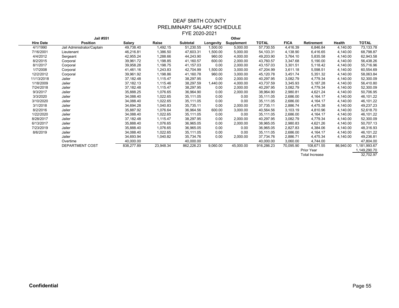|                  | <b>Jail #551</b>           |            |           |            |           | Other      |              |             |                       |           |             |
|------------------|----------------------------|------------|-----------|------------|-----------|------------|--------------|-------------|-----------------------|-----------|-------------|
| <b>Hire Date</b> | Position                   | Salary     | Raise     | Subtotal   | Longevity | Supplement | <b>TOTAL</b> | <b>FICA</b> | Retirement            | Health    | TOTAL       |
| 4/1/1990         | Jail Administrator/Captain | 49,738.40  | 1,492.15  | 51,230.55  | 1,500.00  | 5,000.00   | 57,730.55    | 4,416.39    | 6,846.84              | 4,140.00  | 73,133.78   |
| 7/16/2001        | Lieutenant                 | 46,216.81  | 1,386.50  | 47,603.31  | 1,500.00  | 5,000.00   | 54,103.31    | 4,138.90    | 6,416.65              | 4,140.00  | 68,798.87   |
| 4/4/2012         | Sergeant                   | 42,955.24  | 1,288.66  | 44,243.90  | 960.00    | 4,000.00   | 49,203.90    | 3,764.10    | 5,835.58              | 4,140.00  | 62,943.58   |
| 8/2/2015         | Corporal                   | 39,961.72  | 1,198.85  | 41,160.57  | 600.00    | 2,000.00   | 43,760.57    | 3,347.68    | 5,190.00              | 4,140.00  | 56,438.26   |
| 8/1/2017         | Corporal                   | 39,958.28  | 1,198.75  | 41,157.03  | 0.00      | 2,000.00   | 43,157.03    | 3,301.51    | 5,118.42              | 4,140.00  | 55,716.96   |
| 1/7/2008         | Corporal                   | 41,461.16  | 1,243.83  | 42,704.99  | 1,500.00  | 3,000.00   | 47,204.99    | 3,611.18    | 5,598.51              | 4,140.00  | 60,554.69   |
| 12/2/2012        | Corporal                   | 39,961.92  | 1,198.86  | 41,160.78  | 960.00    | 3,000.00   | 45,120.78    | 3,451.74    | 5,351.32              | 4,140.00  | 58,063.84   |
| 11/13/2018       | Jailer                     | 37,182.48  | 1,115.47  | 38,297.95  | 0.00      | 2,000.00   | 40,297.95    | 3,082.79    | 4,779.34              | 4,140.00  | 52,300.09   |
| 1/18/2009        | Jailer                     | 37,182.13  | 1,115.46  | 38,297.59  | 1,440.00  | 4,000.00   | 43,737.59    | 3,345.93    | 5,187.28              | 4,140.00  | 56,410.80   |
| 7/24/2018        | Jailer                     | 37,182.48  | 1,115.47  | 38,297.95  | 0.00      | 2,000.00   | 40,297.95    | 3,082.79    | 4,779.34              | 4,140.00  | 52,300.09   |
| 9/3/2017         | Jailer                     | 35,888.25  | 1,076.65  | 36,964.90  | 0.00      | 2,000.00   | 38,964.90    | 2,980.81    | 4,621.24              | 4,140.00  | 50,706.95   |
| 3/3/2020         | Jailer                     | 34,088.40  | 1,022.65  | 35,111.05  | 0.00      | 0.00       | 35,111.05    | 2,686.00    | 4,164.17              | 4,140.00  | 46,101.22   |
| 3/10/2020        | Jailer                     | 34,088.40  | 1,022.65  | 35,111.05  | 0.00      | 0.00       | 35,111.05    | 2,686.00    | 4,164.17              | 4,140.00  | 46,101.22   |
| 3/1/2018         | Jailer                     | 34,694.28  | 1,040.83  | 35,735.11  | 0.00      | 2,000.00   | 37,735.11    | 2,886.74    | 4,475.38              | 4,140.00  | 49,237.23   |
| 8/2/2016         | Jailer                     | 35,887.92  | 1,076.64  | 36,964.56  | 600.00    | 3,000.00   | 40,564.56    | 3,103.19    | 4,810.96              | 4,140.00  | 52,618.70   |
| 1/22/2020        | Jailer                     | 34,088.40  | 1,022.65  | 35,111.05  | 0.00      | 0.00       | 35,111.05    | 2,686.00    | 4,164.17              | 4,140.00  | 46,101.22   |
| 8/28/2017        | Jailer                     | 37,182.48  | 1,115.47  | 38,297.95  | 0.00      | 2,000.00   | 40,297.95    | 3,082.79    | 4,779.34              | 4,140.00  | 52,300.09   |
| 6/13/2017        | Jailer                     | 35,888.40  | 1,076.65  | 36,965.05  | 0.00      | 2,000.00   | 38,965.05    | 2,980.83    | 4,621.26              | 4,140.00  | 50,707.13   |
| 7/23/2019        | Jailer                     | 35,888.40  | 1,076.65  | 36,965.05  | 0.00      | 0.00       | 36,965.05    | 2,827.83    | 4,384.06              | 4,140.00  | 48,316.93   |
| 8/6/2019         | Jailer                     | 34,088.40  | 1,022.65  | 35,111.05  | 0.00      | 0.00       | 35,111.05    | 2,686.00    | 4,164.17              | 4,140.00  | 46,101.22   |
|                  | Jailer                     | 34,693.94  | 1,040.82  | 35,734.76  | 0.00      | 2,000.00   | 37,734.76    | 2,886.71    | 4,475.34              | 4,140.00  | 49,236.81   |
|                  | Overtime                   | 40,000.00  |           | 40,000.00  |           |            | 40,000.00    | 3,060.00    | 4,744.00              |           | 47,804.00   |
|                  | DEPARTMENT COST            | 838,277.89 | 23,948.34 | 862,226.23 | 9,060.00  | 45,000.00  | 916,286.23   | 70,095.90   | 108,671.55            | 86,940.00 | ,181,993.67 |
|                  |                            |            |           |            |           |            |              |             | Prior Year            |           | 149,290.70  |
|                  |                            |            |           |            |           |            |              |             | <b>Total Increase</b> |           | 32,702.97   |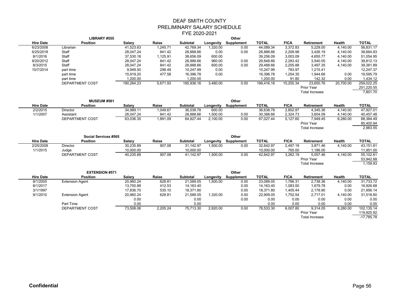|                              | LIBRARY #555           |            |          |            |           | Other                |                           |             |                        |           |                           |
|------------------------------|------------------------|------------|----------|------------|-----------|----------------------|---------------------------|-------------|------------------------|-----------|---------------------------|
| <b>Hire Date</b>             | <b>Position</b>        | Salary     | Raise    | Subtotal   | Longevity | Supplement           | <b>TOTAL</b>              | <b>FICA</b> | Retirement             | Health    | <b>TOTAL</b>              |
| 6/23/2008                    | Librarian              | 41,523.63  | 1,245.71 | 42,769.34  | 1,320.00  | 0.00                 | 44,089.34                 | 3,372.83    | 5,229.00               | 4,140.00  | 56,831.17                 |
| 6/25/2018                    | Staff                  | 28,047.24  | 841.42   | 28,888.66  | 0.00      | 0.00                 | 28,888.66                 | 2,209.98    | 3,426.19               | 4,140.00  | 38,664.83                 |
| 8/1/2016                     | Staff                  | 37,530.18  | 1,125.91 | 38,656.09  | 600.00    |                      | 39,256.09                 | 3,003.09    | 4,655.77               | 4,140.00  | 51,054.95                 |
| 8/20/2012                    | Staff                  | 28,047.24  | 841.42   | 28,888.66  | 960.00    | 0.00                 | 29,848.66                 | 2,283.42    | 3,540.05               | 4,140.00  | 39,812.13                 |
| 8/3/2015                     | Staff                  | 28,047.24  | 841.42   | 28,888.66  | 600.00    | 0.00                 | 29,488.66                 | 2,255.88    | 3,497.35               | 4,140.00  | 39,381.89                 |
| 10/7/2014                    | part time              | 9,949.50   | 298.49   | 10,247.99  | 0.00      |                      | 10,247.99                 | 783.97      | 1,215.41               |           | 12,247.37                 |
|                              | part time              | 15,919.20  | 477.58   | 16,396.78  | 0.00      |                      | 16,396.78                 | 1,254.35    | 1,944.66               | 0.00      | 19,595.79                 |
|                              | part time              | 1,200.00   |          | 1,200.00   |           |                      | 1,200.00                  | 91.80       | 142.32                 | 0.00      | 1,434.12                  |
|                              | DEPARTMENT COST        | 190,264.23 | 5,671.93 | 195,936.16 | 3,480.00  | 0.00                 | 199,416.16                | 15,255.34   | 23,650.76              | 20,700.00 | 259,022.25                |
|                              |                        |            |          |            |           |                      |                           |             | Prior Year             |           | 251,220.55                |
|                              |                        |            |          |            |           |                      |                           |             | <b>Total Increase</b>  |           | 7,801.70                  |
|                              |                        |            |          |            |           |                      |                           |             |                        |           |                           |
|                              | <b>MUSEUM #561</b>     |            |          |            |           | Other                |                           |             |                        |           |                           |
| <b>Hire Date</b><br>2/2/2015 | <b>Position</b>        | Salary     | Raise    | Subtotal   | Longevity | Supplement           | <b>TOTAL</b><br>36,638.78 | <b>FICA</b> | <b>Retirement</b>      | Health    | <b>TOTAL</b><br>47,927.01 |
|                              | <b>Director</b>        | 34,989.11  | 1,049.67 | 36,038.78  | 600.00    |                      |                           | 2,802.87    | 4,345.36               | 4,140.00  |                           |
| 1/1/2007                     | Assistant              | 28,047.24  | 841.42   | 28,888.66  | 1,500.00  | 0.00                 | 30,388.66                 | 2,324.73    | 3,604.09               | 4,140.00  | 40,457.48                 |
|                              | DEPARTMENT COST        | 63,036.35  | 1,891.09 | 64,927.44  | 2,100.00  | 0.00                 | 67,027.44                 | 5,127.60    | 7,949.45<br>Prior Year | 8,280.00  | 88,384.49                 |
|                              |                        |            |          |            |           |                      |                           |             |                        |           | 85,400.94<br>2,983.55     |
|                              |                        |            |          |            |           |                      |                           |             | <b>Total Increase</b>  |           |                           |
|                              | Social Services #565   |            |          |            |           | Other                |                           |             |                        |           |                           |
| <b>Hire Date</b>             | <b>Position</b>        | Salary     | Raise    | Subtotal   | Longevity | Supplement           | <b>TOTAL</b>              | <b>FICA</b> | Retirement             | Health    | <b>TOTAL</b>              |
| 2/25/2008                    | Director               | 30,235.89  | 907.08   | 31,142.97  | 1,500.00  | 0.00                 | 32,642.97                 | 2,497.19    | 3.871.46               | 4,140.00  | 43,151.61                 |
| 1/1/2015                     | Judge                  | 10,000.00  |          | 10,000.00  |           |                      | 10,000.00                 | 765.00      | 1,186.00               |           | 11,951.00                 |
|                              | DEPARTMENT COST        | 40,235.89  | 907.08   | 41,142.97  | 1,500.00  | 0.00                 | 42,642.97                 | 3,262.19    | 5,057.46               | 4,140.00  | 55,102.61                 |
|                              |                        |            |          |            |           |                      |                           |             | Prior Year             |           | 53,942.68                 |
|                              |                        |            |          |            |           |                      |                           |             | <b>Total Increase</b>  |           | 1,159.93                  |
|                              |                        |            |          |            |           |                      |                           |             |                        |           |                           |
|                              | <b>EXTENSION #571</b>  |            |          |            |           | Other                |                           |             |                        |           |                           |
| <b>Hire Date</b>             | <b>Position</b>        | Salary     | Raise    | Subtotal   |           | Longevity Supplement | <b>TOTAL</b>              | <b>FICA</b> | Retirement             | Health    | <b>TOTAL</b>              |
| 8/1/2005                     | <b>Extension Agent</b> | 20,960.24  | 628.81   | 21,589.05  | 1,500.00  | 0.00                 | 23,089.05                 | 1,766.31    | 2,738.36               | 4,140.00  | 31,733.72                 |
| 8/1/2017                     |                        | 13,750.88  | 412.53   | 14,163.40  |           | 0.00                 | 14,163.40                 | 1,083.50    | 1,679.78               | 0.00      | 16,926.68                 |
| 3/1/1997                     |                        | 17,836.70  | 535.10   | 18,371.80  |           | 0.00                 | 18,371.80                 | 1,405.44    | 2,178.90               | 0.00      | 21,956.14                 |
| 9/1/2010                     | <b>Extension Agent</b> | 20,960.24  | 628.81   | 21,589.05  | 1,320.00  | 0.00                 | 22,909.05                 | 1,752.54    | 2,717.01               | 4,140.00  | 31,518.60                 |
|                              |                        | 0.00       |          | 0.00       |           | 0.00                 | 0.00                      | 0.00        | 0.00                   | 0.00      | 0.00                      |
|                              | Part Time              | 0.00       |          | 0.00       |           |                      | 0.00                      | 0.00        | 0.00                   | 0.00      | 0.00                      |
|                              |                        |            |          |            |           |                      |                           |             |                        |           |                           |
|                              | DEPARTMENT COST        | 73,508.06  | 2,205.24 | 75,713.30  | 2,820.00  | 0.00                 | 78,533.30                 | 6,007.80    | 9,314.05               | 8,280.00  | 102,135.14                |
|                              |                        |            |          |            |           |                      |                           |             | Prior Year             |           | 119,920.92                |
|                              |                        |            |          |            |           |                      |                           |             | <b>Total Increase</b>  |           | $-17,785.78$              |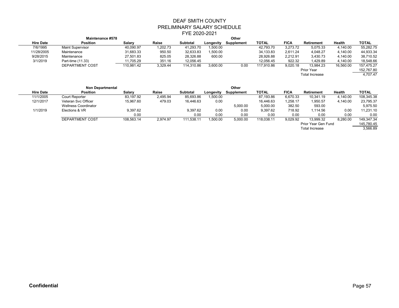|                  | <b>Maintenance #578</b> |            |          |                 |           | Other      |            |             |                       |           |              |
|------------------|-------------------------|------------|----------|-----------------|-----------|------------|------------|-------------|-----------------------|-----------|--------------|
| <b>Hire Date</b> | <b>Position</b>         | Salary     | Raise    | <b>Subtotal</b> | Longevity | Supplement | TOTAL      | <b>FICA</b> | Retirement            | Health    | <b>TOTAL</b> |
| 7/6/1995         | <b>Maint Supervisor</b> | 40,090.97  | 1,202.73 | 41,293.70       | 1,500.00  |            | 42,793.70  | 3,273.72    | 5.075.33              | 4.140.00  | 55,282.75    |
| 11/28/2005       | Maintenance             | 31,683.33  | 950.50   | 32,633.83       | 1,500.00  |            | 34,133.83  | 2.611.24    | 4.048.27              | 4.140.00  | 44,933.34    |
| 9/28/2015        | Maintenance             | 27,501.83  | 825.05   | 28,326.88       | 600.00    |            | 28,926.88  | 2,212.91    | 3,430.73              | 4.140.00  | 38,710.52    |
| 3/1/2019         | Part-time (11.33)       | 11,705.29  | 351.16   | 12.056.45       |           |            | 12.056.45  | 922.32      | 1.429.89              | 4.140.00  | 18,548.66    |
|                  | DEPARTMENT COST         | 110.981.42 | 3.329.44 | 114.310.86      | 3,600.00  | 0.00       | 117.910.86 | 9.020.18    | 13.984.23             | 16,560.00 | 157.475.27   |
|                  |                         |            |          |                 |           |            |            |             | Prior Year            |           | 152,767.80   |
|                  |                         |            |          |                 |           |            |            |             | <b>Total Increase</b> |           | 4,707.47     |
|                  |                         |            |          |                 |           |            |            |             |                       |           |              |

|                  | Non Departmental            |            |          |                 |           | Other      |              |             |                       |          |              |
|------------------|-----------------------------|------------|----------|-----------------|-----------|------------|--------------|-------------|-----------------------|----------|--------------|
| <b>Hire Date</b> | <b>Position</b>             | Salary     | Raise    | <b>Subtotal</b> | Longevity | Supplement | <b>TOTAL</b> | <b>FICA</b> | <b>Retirement</b>     | Health   | <b>TOTAL</b> |
| 11/1/2005        | Court Reporter              | 83.197.92  | 2.495.94 | 85,693.86       | 1,500.00  |            | 87,193.86    | 6,670.33    | 10.341.19             | 4.140.00 | 108,345.38   |
| 12/1/2017        | Veteran Svc Officer         | 15,967.60  | 479.03   | 16,446.63       | 0.00      |            | 16,446.63    | 1,258.17    | 1,950.57              | 4,140.00 | 23,795.37    |
|                  | <b>Wellness Coordinator</b> |            |          |                 |           | 5,000.00   | 5,000.00     | 382.50      | 593.00                |          | 5,975.50     |
| 1/1/2019         | Elections & VR              | 9.397.62   |          | 9.397.62        | 0.00      | 0.00       | 9.397.62     | 718.92      | 1.114.56              | 0.00     | 11,231.10    |
|                  |                             | 0.00       |          | 0.00            | 0.00      | 0.00       | 0.00         | 0.00        | 0.00                  | 0.00     | 0.00         |
|                  | DEPARTMENT COST             | 108,563.14 | 2.974.97 | 111,538.11      | 1,500.00  | 5,000.00   | 118,038.11   | 9,029.92    | 13,999.32             | 8,280.00 | 149,347.34   |
|                  |                             |            |          |                 |           |            |              |             | Prior Year Gen Fund   |          | 145,780.45   |
|                  |                             |            |          |                 |           |            |              |             | <b>Total Increase</b> |          | 3,566.89     |
|                  |                             |            |          |                 |           |            |              |             |                       |          |              |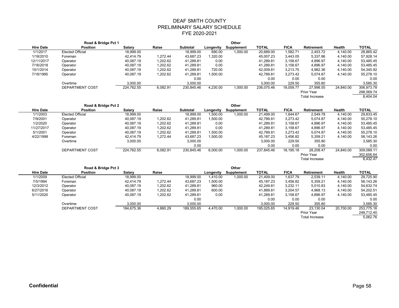|                  | Road & Bridge Pct 1     |            |          |                 | Other     |            |              |             |                       |               |              |
|------------------|-------------------------|------------|----------|-----------------|-----------|------------|--------------|-------------|-----------------------|---------------|--------------|
| <b>Hire Date</b> | <b>Position</b>         | Salary     | Raise    | <b>Subtotal</b> | Longevity | Supplement | <b>TOTAL</b> | <b>FICA</b> | <b>Retirement</b>     | <b>Health</b> | <b>TOTAL</b> |
| 1/1/2017         | <b>Elected Official</b> | 18,999.00  |          | 18,999.00       | 690.00    | 1,000.00   | 20,689.00    | 1.582.71    | 2,453.72              | 4,140.00      | 28,865.42    |
| 1/18/2010        | Foreman                 | 42.414.79  | 1.272.44 | 43,687.23       | 1,320.00  |            | 45,007.23    | 3,443.05    | 5,337.86              | 4,140.00      | 57,928.14    |
| 12/11/2017       | Operator                | 40,087.19  | 1,202.62 | 41,289.81       | 0.00      |            | 41,289.81    | 3,158.67    | 4.896.97              | 4.140.00      | 53,485.45    |
| 7/16/2018        | Operator                | 40,087.19  | 1,202.62 | 41,289.81       | 0.00      |            | 41,289.81    | 3,158.67    | 4,896.97              | 4,140.00      | 53,485.45    |
| 10/1/2014        | Operator                | 40,087.19  | 1,202.62 | 41,289.81       | 720.00    |            | 42,009.81    | 3,213.75    | 4,982.36              | 4,140.00      | 54,345.92    |
| 7/18/1995        | Operator                | 40,087.19  | 1,202.62 | 41,289.81       | 1.500.00  |            | 42,789.81    | 3,273.42    | 5.074.87              | 4.140.00      | 55,278.10    |
|                  |                         |            |          | 0.00            |           |            | 0.00         | 0.00        | 0.00                  |               | 0.00         |
|                  | Overtime                | 3,000.00   |          | 3,000.00        |           |            | 3,000.00     | 229.50      | 355.80                |               | 3,585.30     |
|                  | DEPARTMENT COST         | 224,762.55 | 6,082.91 | 230,845.46      | 4,230.00  | 1,000.00   | 236,075.46   | 18,059.77   | 27,998.55             | 24,840.00     | 306,973.78   |
|                  |                         |            |          |                 |           |            |              |             | Prior Year            |               | 298,569.74   |
|                  |                         |            |          |                 |           |            |              |             | <b>Total Increase</b> |               | 8.404.04     |

| Road & Bridge Pct 2 |                         |            |          |                 |           | Other      |              |             |                       |            |              |
|---------------------|-------------------------|------------|----------|-----------------|-----------|------------|--------------|-------------|-----------------------|------------|--------------|
| <b>Hire Date</b>    | <b>Position</b>         | Salary     | Raise    | <b>Subtotal</b> | Longevity | Supplement | <b>TOTAL</b> | <b>FICA</b> | <b>Retirement</b>     | Health     | <b>TOTAL</b> |
| 1/1/2003            | <b>Elected Official</b> | 18,999.00  |          | 18,999.00       | 1,500.00  | 1,000.00   | 21,499.00    | 1,644.67    | 2,549.78              | 4.140.00   | 29,833.45    |
| 7/9/2001            | Operator                | 40,087.19  | 1.202.62 | 41,289.81       | 1,500.00  |            | 42,789.81    | 3.273.42    | 5,074.87              | 4.140.00   | 55,278.10    |
| 1/2/2020            | Operator                | 40,087.19  | 1,202.62 | 41.289.81       | 0.00      |            | 41,289.81    | 3,158.67    | 4,896.97              | 4.140.00   | 53,485.45    |
| 11/27/2017          | Operator                | 40,087.19  | 1,202.62 | 41,289.81       | 0.00      |            | 41,289.81    | 3,158.67    | 4,896.97              | 4,140.00   | 53,485.45    |
| 5/1/2001            | Operator                | 40,087.19  | 1,202.62 | 41,289.81       | 1,500.00  |            | 42,789.81    | 3,273.42    | 5.074.87              | 4.140.00   | 55,278.10    |
| 4/22/1998           | Foreman                 | 42.414.79  | 1.272.44 | 43.687.23       | 1.500.00  |            | 45,187.23    | 3,456.82    | 5.359.21              | 4.140.00   | 58,143.26    |
|                     | Overtime                | 3,000.00   |          | 3,000.00        |           |            | 3.000.00     | 229.50      | 355.80                |            | 3,585.30     |
|                     |                         |            |          | 0.00            |           |            | 0.00         | 0.00        | 0.00                  |            | 0.00         |
|                     | DEPARTMENT COST         | 224,762.55 | 6,082.91 | 230,845.46      | 6,000.00  | 1,000.00   | 237,845.46   | 18,195.18   | 28.208.47             | 24,840.00  | 309,089.11   |
|                     |                         |            |          |                 |           |            |              | Prior Year  |                       | 302,656.64 |              |
|                     |                         |            |          |                 |           |            |              |             | <b>Total Increase</b> |            | 6.432.47     |

|                  | Road & Bridge Pct 3 |            |          |            | Other     |            |              |             |                       |               |              |
|------------------|---------------------|------------|----------|------------|-----------|------------|--------------|-------------|-----------------------|---------------|--------------|
| <b>Hire Date</b> | <b>Position</b>     | Salary     | Raise    |            | Longevity | Supplement | <b>TOTAL</b> | <b>FICA</b> | Retirement            | <b>Health</b> | <b>TOTAL</b> |
| 1/1/2009         | Elected Official    | 18,999.00  |          | 18,999.00  | 1.410.00  | 1,000.00   | 21,409.00    | 1.637.79    | 2.539.11              | 4.140.00      | 29,725.90    |
| 7/5/1994         | Foreman             | 42.414.79  | 1.272.44 | 43,687.23  | 1,500.00  |            | 45,187.23    | 3,456.82    | 5,359.21              | 4.140.00      | 58,143.26    |
| 12/3/2012        | Operator            | 40.087.19  | 1,202.62 | 41.289.81  | 960.00    |            | 42,249.81    | 3,232.11    | 5.010.83              | 4.140.00      | 54,632.74    |
| 6/27/2016        | Operator            | 40.087.19  | 1,202.62 | 41,289.81  | 600.00    |            | 41,889.81    | 3,204.57    | 4.968.13              | 4,140.00      | 54,202.51    |
| 5/11/2020        | Operator            | 40,087.19  | 1,202.62 | 41,289.81  | 0.00      |            | 41,289.81    | 3,158.67    | 4,896.97              | 4,140.00      | 53,485.45    |
|                  |                     |            |          | 0.00       |           |            | 0.00         | 0.00        | 0.00                  |               | 0.00         |
|                  | Overtime            | 3.000.00   |          | 3.000.00   |           |            | 3.000.00     | 229.50      | 355.80                |               | 3,585.30     |
|                  | DEPARTMENT COST     | 184,675.36 | 4,880.29 | 189,555.65 | 4,470.00  | 1,000.00   | 195,025.65   | 14,919.46   | 23.130.04             | 20,700.00     | 253,775.16   |
|                  |                     |            |          |            |           |            |              |             | Prior Year            |               | 248,712.40   |
|                  |                     |            |          |            |           |            |              |             | <b>Total Increase</b> |               | 5.062.76     |
|                  |                     |            |          |            |           |            |              |             |                       |               |              |